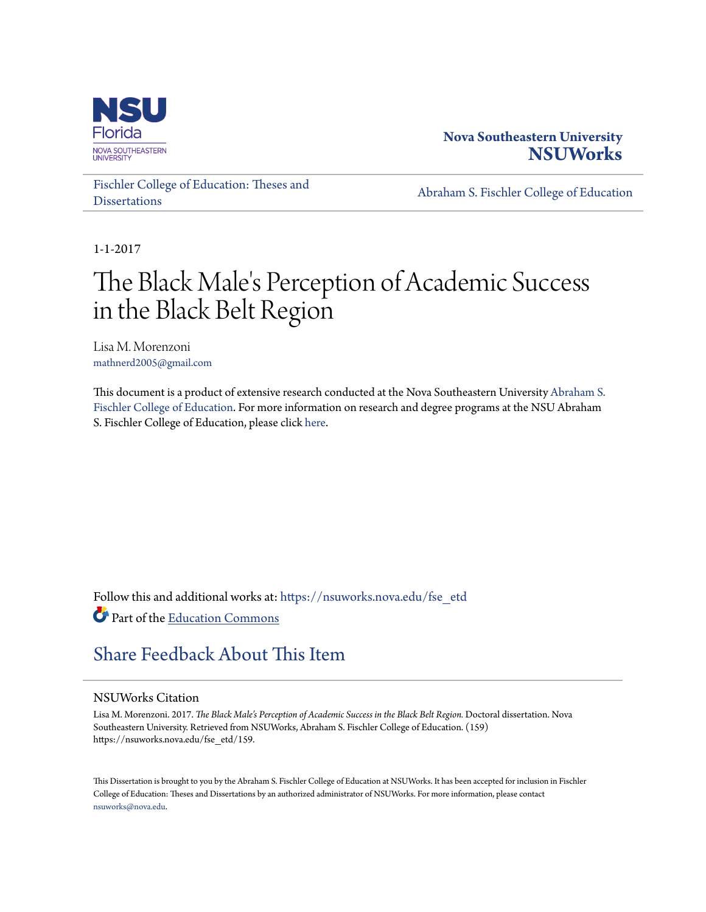

# **Nova Southeastern University [NSUWorks](https://nsuworks.nova.edu?utm_source=nsuworks.nova.edu%2Ffse_etd%2F159&utm_medium=PDF&utm_campaign=PDFCoverPages)**

[Fischler College of Education: Theses and](https://nsuworks.nova.edu/fse_etd?utm_source=nsuworks.nova.edu%2Ffse_etd%2F159&utm_medium=PDF&utm_campaign=PDFCoverPages) **[Dissertations](https://nsuworks.nova.edu/fse_etd?utm_source=nsuworks.nova.edu%2Ffse_etd%2F159&utm_medium=PDF&utm_campaign=PDFCoverPages)** 

[Abraham S. Fischler College of Education](https://nsuworks.nova.edu/fse?utm_source=nsuworks.nova.edu%2Ffse_etd%2F159&utm_medium=PDF&utm_campaign=PDFCoverPages)

1-1-2017

# The Black Male's Perception of Academic Success in the Black Belt Region

Lisa M. Morenzoni mathnerd2005@gmail.com

This document is a product of extensive research conducted at the Nova Southeastern University [Abraham S.](http://education.nova.edu/index.html) [Fischler College of Education](http://education.nova.edu/index.html). For more information on research and degree programs at the NSU Abraham S. Fischler College of Education, please click [here.](http://education.nova.edu/index.html)

Follow this and additional works at: [https://nsuworks.nova.edu/fse\\_etd](https://nsuworks.nova.edu/fse_etd?utm_source=nsuworks.nova.edu%2Ffse_etd%2F159&utm_medium=PDF&utm_campaign=PDFCoverPages) Part of the [Education Commons](http://network.bepress.com/hgg/discipline/784?utm_source=nsuworks.nova.edu%2Ffse_etd%2F159&utm_medium=PDF&utm_campaign=PDFCoverPages)

# [Share Feedback About This Item](http://nsuworks.nova.edu/user_survey.html)

### NSUWorks Citation

Lisa M. Morenzoni. 2017. *The Black Male's Perception of Academic Success in the Black Belt Region.* Doctoral dissertation. Nova Southeastern University. Retrieved from NSUWorks, Abraham S. Fischler College of Education. (159) https://nsuworks.nova.edu/fse\_etd/159.

This Dissertation is brought to you by the Abraham S. Fischler College of Education at NSUWorks. It has been accepted for inclusion in Fischler College of Education: Theses and Dissertations by an authorized administrator of NSUWorks. For more information, please contact [nsuworks@nova.edu.](mailto:nsuworks@nova.edu)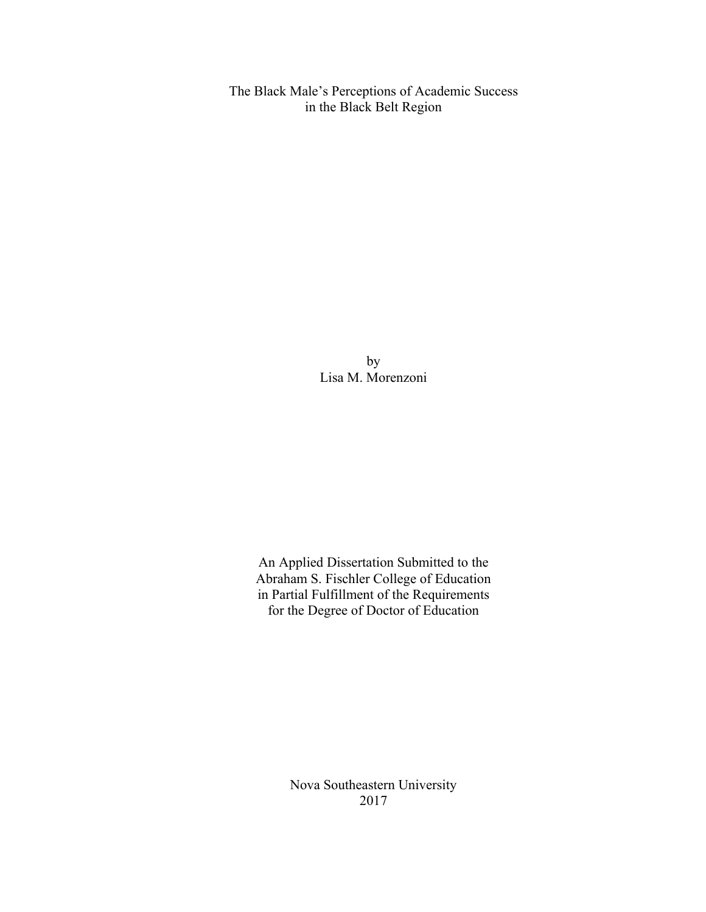The Black Male's Perceptions of Academic Success in the Black Belt Region

> by Lisa M. Morenzoni

An Applied Dissertation Submitted to the Abraham S. Fischler College of Education in Partial Fulfillment of the Requirements for the Degree of Doctor of Education

> Nova Southeastern University 2017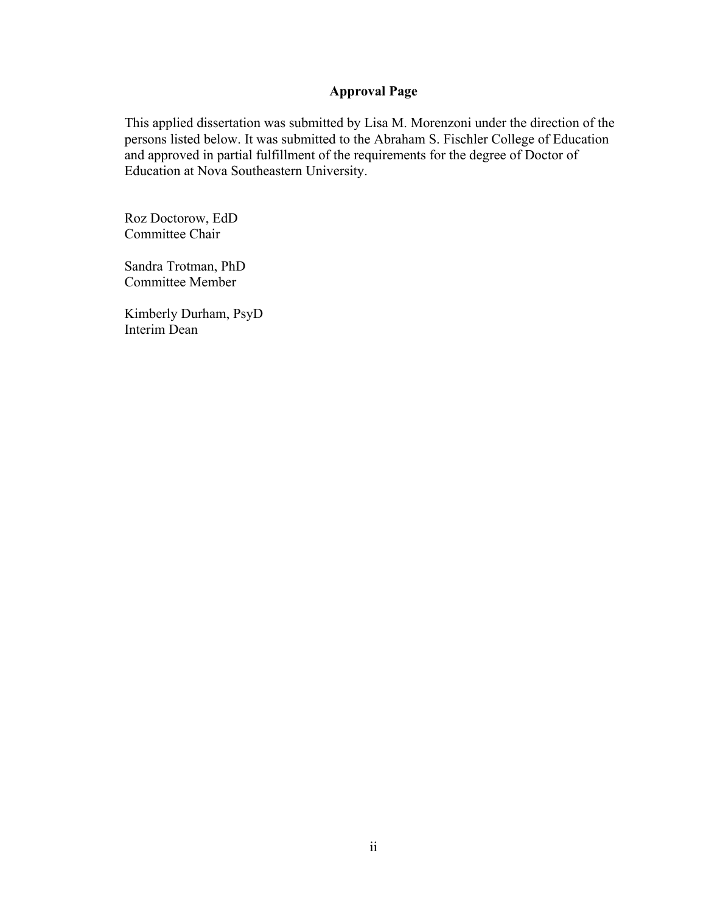## **Approval Page**

This applied dissertation was submitted by Lisa M. Morenzoni under the direction of the persons listed below. It was submitted to the Abraham S. Fischler College of Education and approved in partial fulfillment of the requirements for the degree of Doctor of Education at Nova Southeastern University.

Roz Doctorow, EdD Committee Chair

Sandra Trotman, PhD Committee Member

Kimberly Durham, PsyD Interim Dean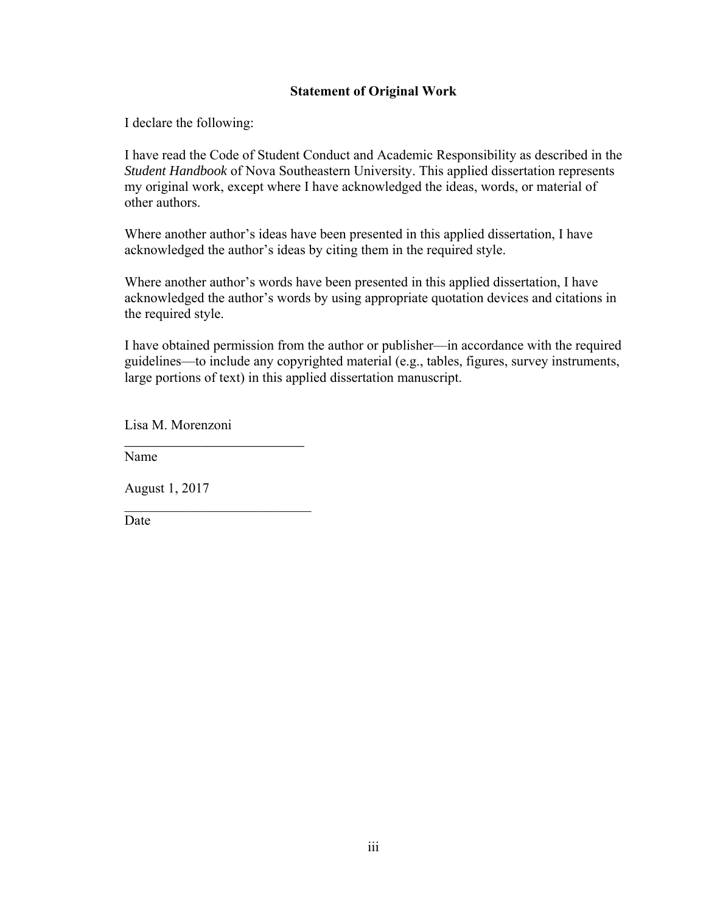### **Statement of Original Work**

I declare the following:

I have read the Code of Student Conduct and Academic Responsibility as described in the *Student Handbook* of Nova Southeastern University. This applied dissertation represents my original work, except where I have acknowledged the ideas, words, or material of other authors.

Where another author's ideas have been presented in this applied dissertation, I have acknowledged the author's ideas by citing them in the required style.

Where another author's words have been presented in this applied dissertation, I have acknowledged the author's words by using appropriate quotation devices and citations in the required style.

I have obtained permission from the author or publisher—in accordance with the required guidelines—to include any copyrighted material (e.g., tables, figures, survey instruments, large portions of text) in this applied dissertation manuscript.

Lisa M. Morenzoni

*\_\_\_\_\_\_\_\_\_\_\_\_\_\_\_\_\_\_\_\_\_\_\_\_\_\_* 

 $\mathcal{L}_\text{max}$ 

Name

August 1, 2017

Date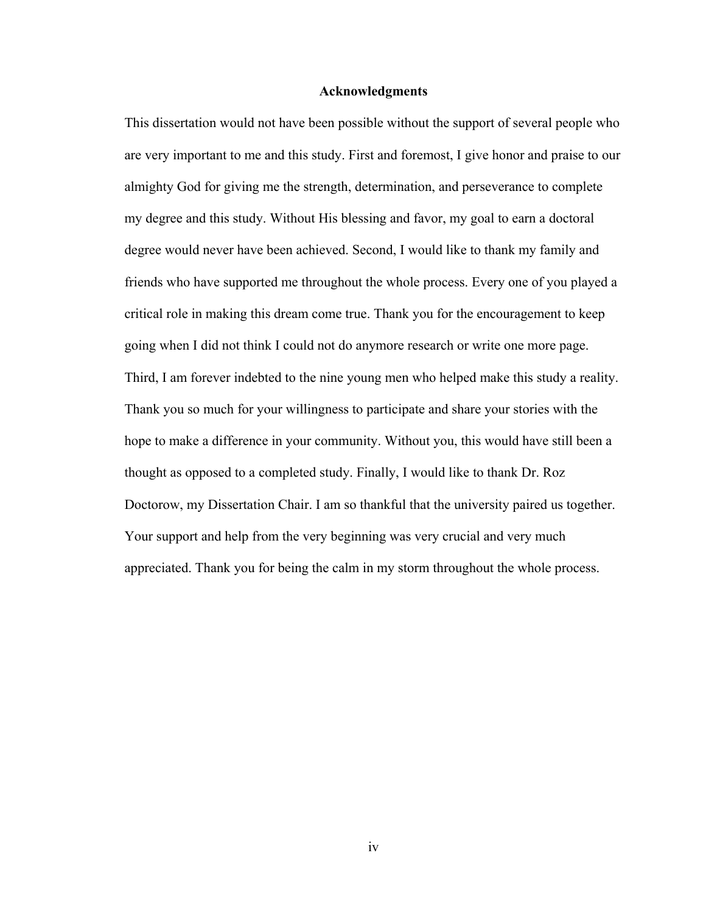#### **Acknowledgments**

This dissertation would not have been possible without the support of several people who are very important to me and this study. First and foremost, I give honor and praise to our almighty God for giving me the strength, determination, and perseverance to complete my degree and this study. Without His blessing and favor, my goal to earn a doctoral degree would never have been achieved. Second, I would like to thank my family and friends who have supported me throughout the whole process. Every one of you played a critical role in making this dream come true. Thank you for the encouragement to keep going when I did not think I could not do anymore research or write one more page. Third, I am forever indebted to the nine young men who helped make this study a reality. Thank you so much for your willingness to participate and share your stories with the hope to make a difference in your community. Without you, this would have still been a thought as opposed to a completed study. Finally, I would like to thank Dr. Roz Doctorow, my Dissertation Chair. I am so thankful that the university paired us together. Your support and help from the very beginning was very crucial and very much appreciated. Thank you for being the calm in my storm throughout the whole process.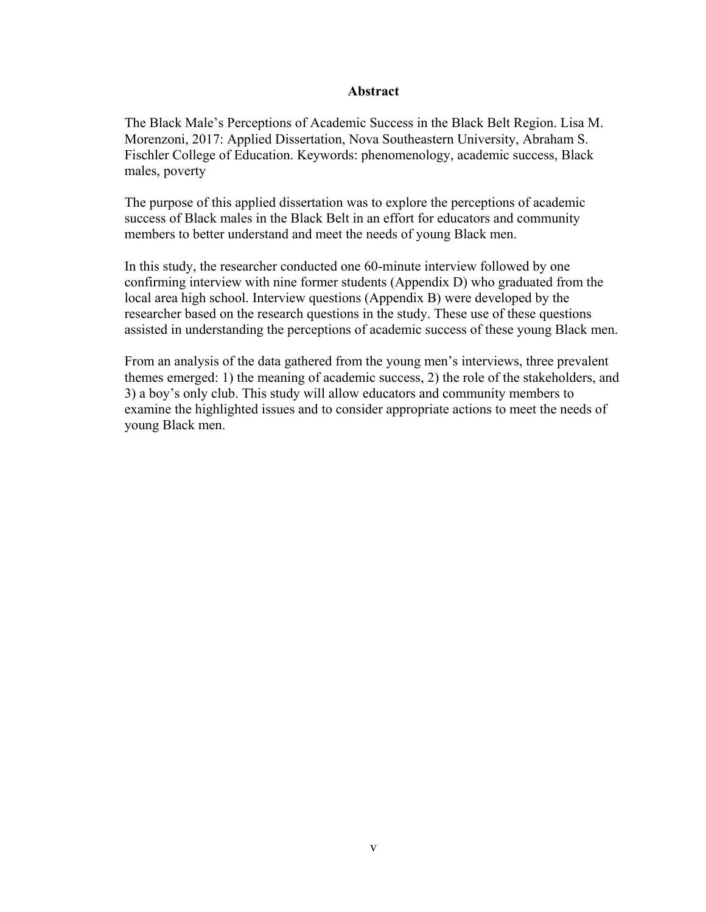#### **Abstract**

The Black Male's Perceptions of Academic Success in the Black Belt Region. Lisa M. Morenzoni, 2017: Applied Dissertation, Nova Southeastern University, Abraham S. Fischler College of Education. Keywords: phenomenology, academic success, Black males, poverty

The purpose of this applied dissertation was to explore the perceptions of academic success of Black males in the Black Belt in an effort for educators and community members to better understand and meet the needs of young Black men.

In this study, the researcher conducted one 60-minute interview followed by one confirming interview with nine former students (Appendix D) who graduated from the local area high school. Interview questions (Appendix B) were developed by the researcher based on the research questions in the study. These use of these questions assisted in understanding the perceptions of academic success of these young Black men.

From an analysis of the data gathered from the young men's interviews, three prevalent themes emerged: 1) the meaning of academic success, 2) the role of the stakeholders, and 3) a boy's only club. This study will allow educators and community members to examine the highlighted issues and to consider appropriate actions to meet the needs of young Black men.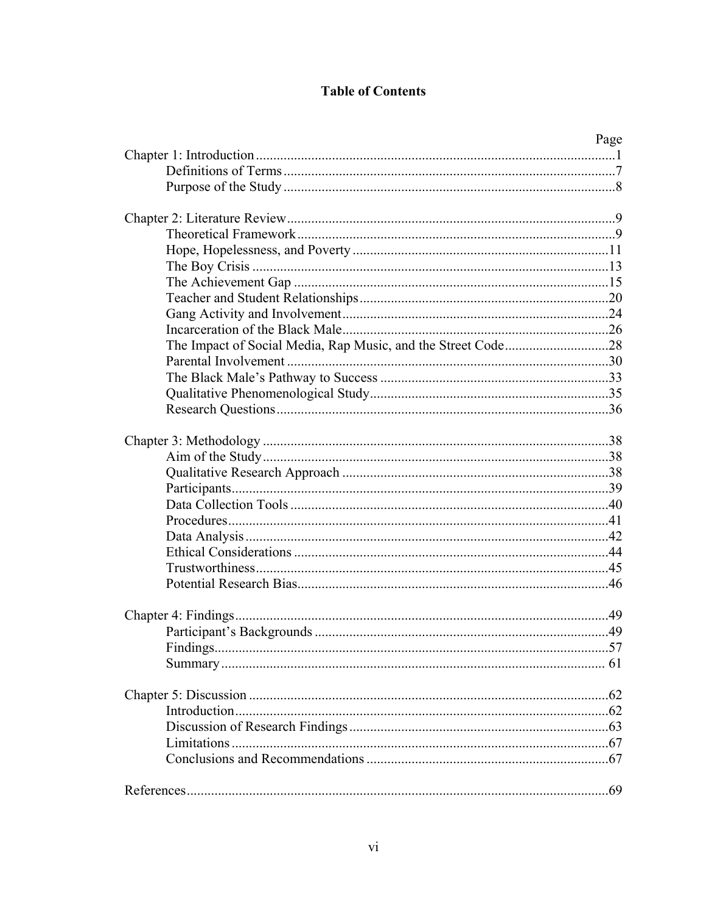# **Table of Contents**

|          | Page |
|----------|------|
|          |      |
|          |      |
|          |      |
|          |      |
|          |      |
|          |      |
|          |      |
|          |      |
|          |      |
|          |      |
|          |      |
|          |      |
|          |      |
|          |      |
|          |      |
|          |      |
|          |      |
|          |      |
|          |      |
|          |      |
|          |      |
|          |      |
|          |      |
|          |      |
|          |      |
|          |      |
|          |      |
|          |      |
|          |      |
|          |      |
|          |      |
| Findings | .57  |
|          |      |
|          |      |
|          |      |
|          |      |
|          |      |
|          |      |
|          |      |
|          |      |
|          |      |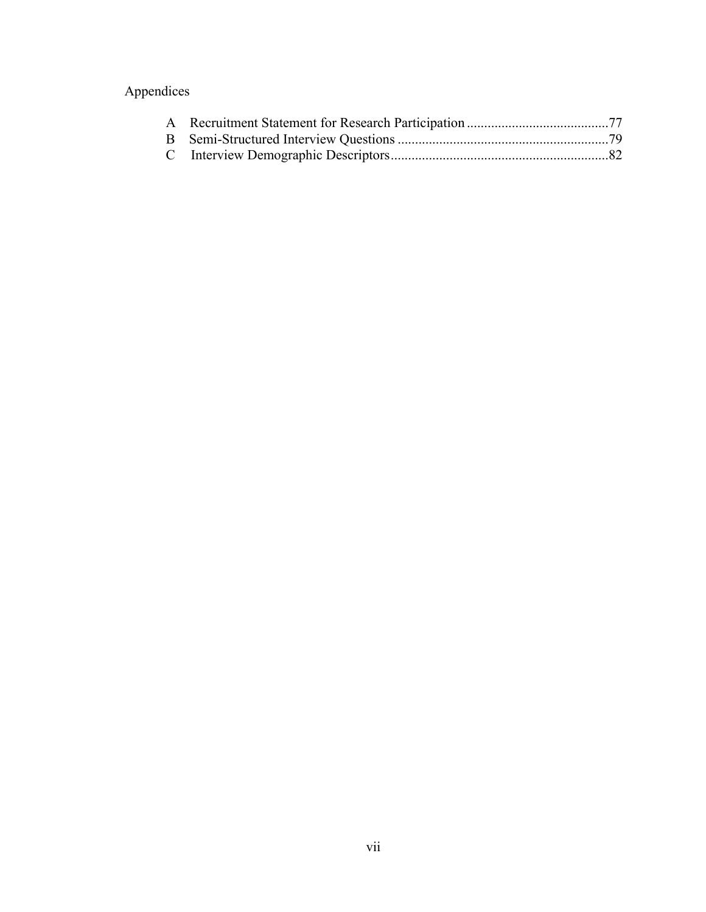# Appendices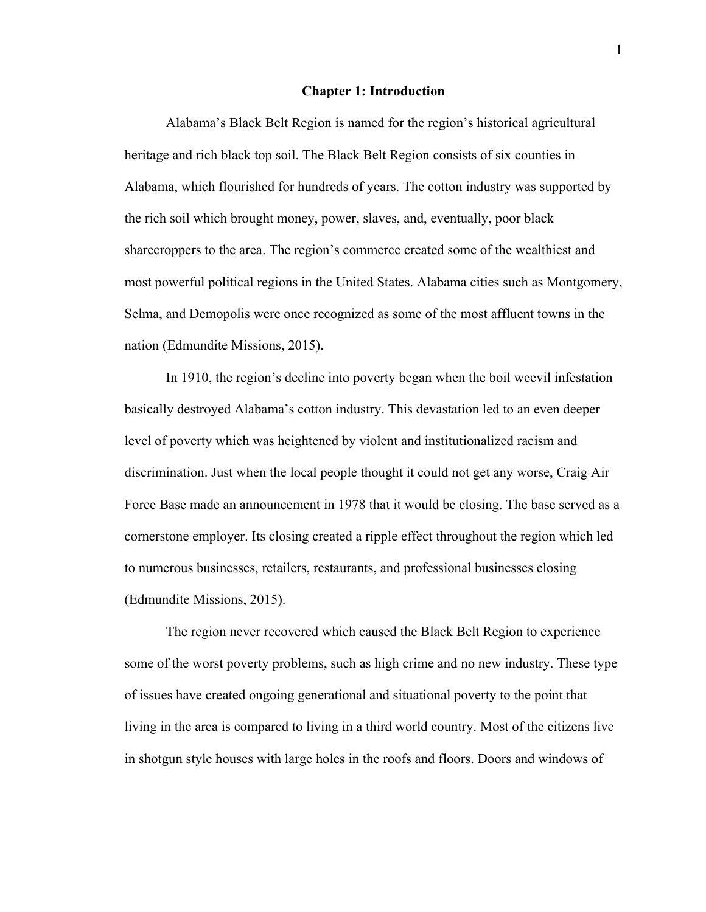#### **Chapter 1: Introduction**

Alabama's Black Belt Region is named for the region's historical agricultural heritage and rich black top soil. The Black Belt Region consists of six counties in Alabama, which flourished for hundreds of years. The cotton industry was supported by the rich soil which brought money, power, slaves, and, eventually, poor black sharecroppers to the area. The region's commerce created some of the wealthiest and most powerful political regions in the United States. Alabama cities such as Montgomery, Selma, and Demopolis were once recognized as some of the most affluent towns in the nation (Edmundite Missions, 2015).

In 1910, the region's decline into poverty began when the boil weevil infestation basically destroyed Alabama's cotton industry. This devastation led to an even deeper level of poverty which was heightened by violent and institutionalized racism and discrimination. Just when the local people thought it could not get any worse, Craig Air Force Base made an announcement in 1978 that it would be closing. The base served as a cornerstone employer. Its closing created a ripple effect throughout the region which led to numerous businesses, retailers, restaurants, and professional businesses closing (Edmundite Missions, 2015).

The region never recovered which caused the Black Belt Region to experience some of the worst poverty problems, such as high crime and no new industry. These type of issues have created ongoing generational and situational poverty to the point that living in the area is compared to living in a third world country. Most of the citizens live in shotgun style houses with large holes in the roofs and floors. Doors and windows of

1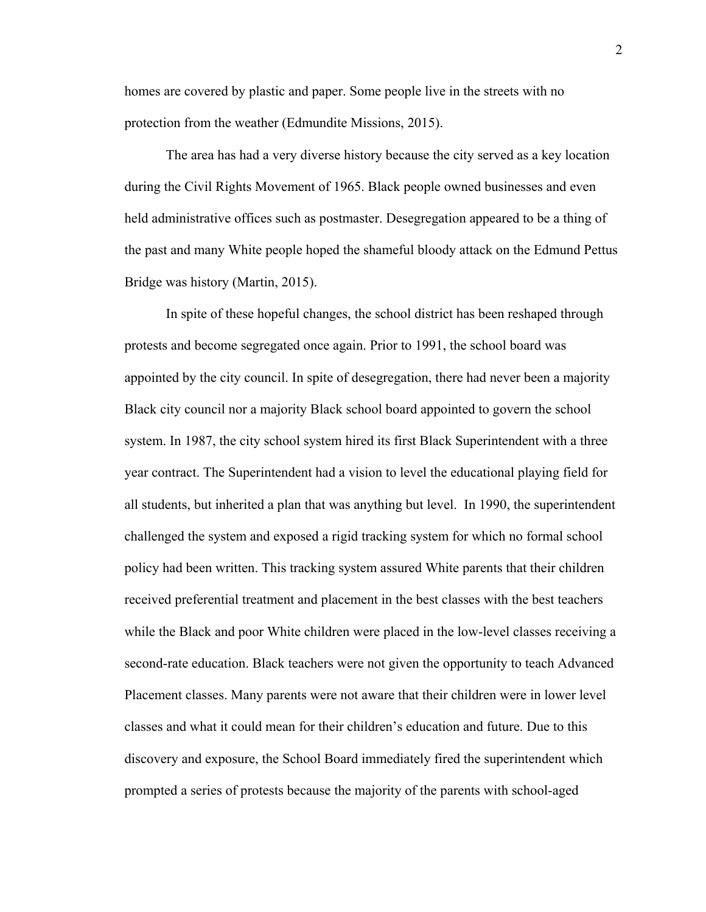homes are covered by plastic and paper. Some people live in the streets with no protection from the weather (Edmundite Missions, 2015).

The area has had a very diverse history because the city served as a key location during the Civil Rights Movement of 1965. Black people owned businesses and even held administrative offices such as postmaster. Desegregation appeared to be a thing of the past and many White people hoped the shameful bloody attack on the Edmund Pettus Bridge was history (Martin, 2015).

In spite of these hopeful changes, the school district has been reshaped through protests and become segregated once again. Prior to 1991, the school board was appointed by the city council. In spite of desegregation, there had never been a majority Black city council nor a majority Black school board appointed to govern the school system. In 1987, the city school system hired its first Black Superintendent with a three year contract. The Superintendent had a vision to level the educational playing field for all students, but inherited a plan that was anything but level. In 1990, the superintendent challenged the system and exposed a rigid tracking system for which no formal school policy had been written. This tracking system assured White parents that their children received preferential treatment and placement in the best classes with the best teachers while the Black and poor White children were placed in the low-level classes receiving a second-rate education. Black teachers were not given the opportunity to teach Advanced Placement classes. Many parents were not aware that their children were in lower level classes and what it could mean for their children's education and future. Due to this discovery and exposure, the School Board immediately fired the superintendent which prompted a series of protests because the majority of the parents with school-aged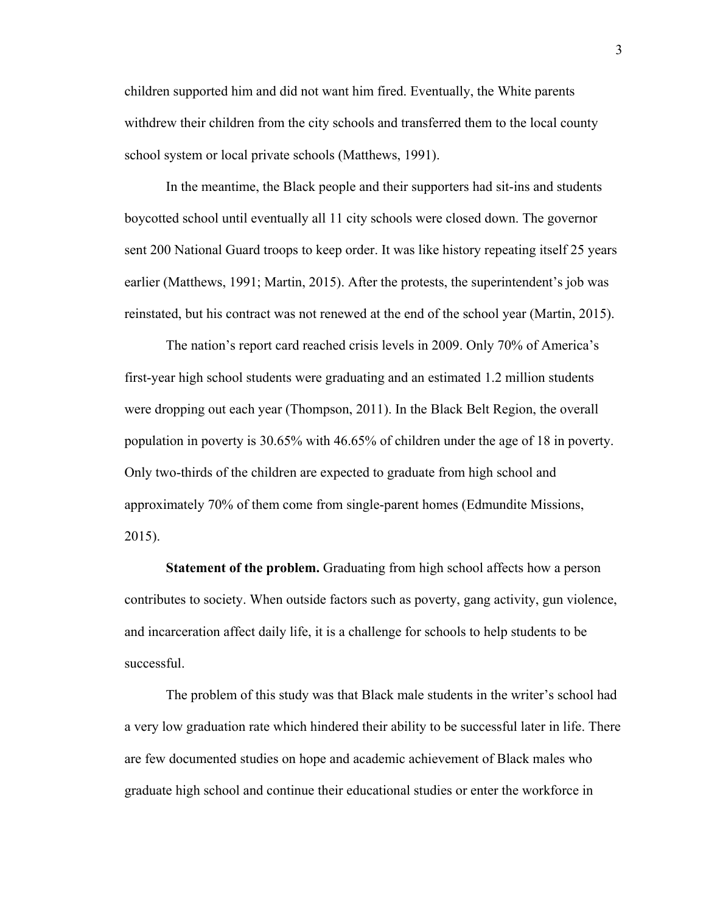children supported him and did not want him fired. Eventually, the White parents withdrew their children from the city schools and transferred them to the local county school system or local private schools (Matthews, 1991).

In the meantime, the Black people and their supporters had sit-ins and students boycotted school until eventually all 11 city schools were closed down. The governor sent 200 National Guard troops to keep order. It was like history repeating itself 25 years earlier (Matthews, 1991; Martin, 2015). After the protests, the superintendent's job was reinstated, but his contract was not renewed at the end of the school year (Martin, 2015).

The nation's report card reached crisis levels in 2009. Only 70% of America's first-year high school students were graduating and an estimated 1.2 million students were dropping out each year (Thompson, 2011). In the Black Belt Region, the overall population in poverty is 30.65% with 46.65% of children under the age of 18 in poverty. Only two-thirds of the children are expected to graduate from high school and approximately 70% of them come from single-parent homes (Edmundite Missions, 2015).

**Statement of the problem.** Graduating from high school affects how a person contributes to society. When outside factors such as poverty, gang activity, gun violence, and incarceration affect daily life, it is a challenge for schools to help students to be successful.

The problem of this study was that Black male students in the writer's school had a very low graduation rate which hindered their ability to be successful later in life. There are few documented studies on hope and academic achievement of Black males who graduate high school and continue their educational studies or enter the workforce in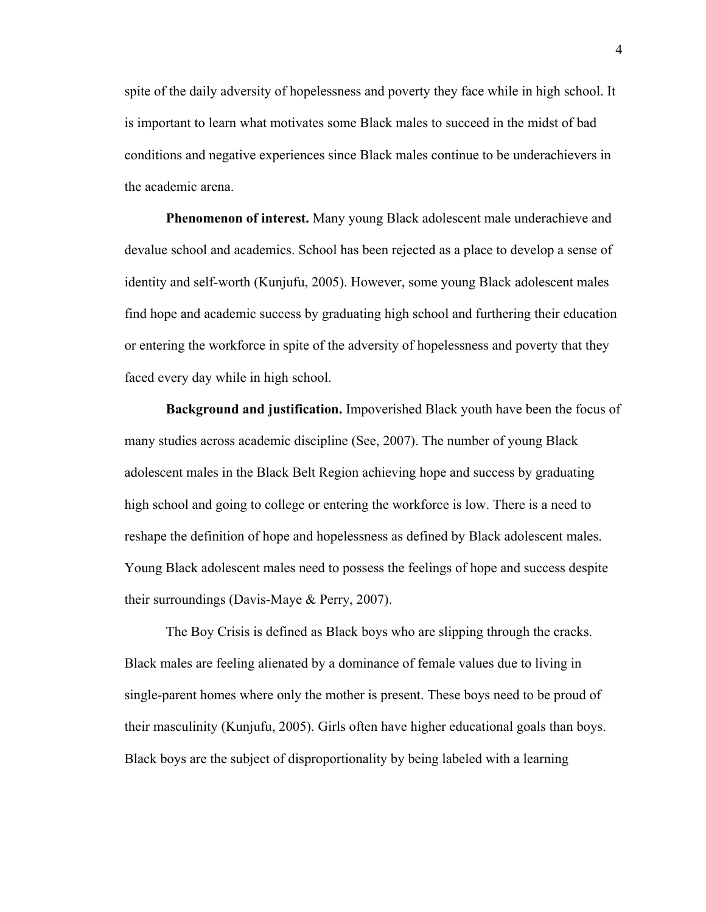spite of the daily adversity of hopelessness and poverty they face while in high school. It is important to learn what motivates some Black males to succeed in the midst of bad conditions and negative experiences since Black males continue to be underachievers in the academic arena.

**Phenomenon of interest.** Many young Black adolescent male underachieve and devalue school and academics. School has been rejected as a place to develop a sense of identity and self-worth (Kunjufu, 2005). However, some young Black adolescent males find hope and academic success by graduating high school and furthering their education or entering the workforce in spite of the adversity of hopelessness and poverty that they faced every day while in high school.

**Background and justification.** Impoverished Black youth have been the focus of many studies across academic discipline (See, 2007). The number of young Black adolescent males in the Black Belt Region achieving hope and success by graduating high school and going to college or entering the workforce is low. There is a need to reshape the definition of hope and hopelessness as defined by Black adolescent males. Young Black adolescent males need to possess the feelings of hope and success despite their surroundings (Davis-Maye & Perry, 2007).

 The Boy Crisis is defined as Black boys who are slipping through the cracks. Black males are feeling alienated by a dominance of female values due to living in single-parent homes where only the mother is present. These boys need to be proud of their masculinity (Kunjufu, 2005). Girls often have higher educational goals than boys. Black boys are the subject of disproportionality by being labeled with a learning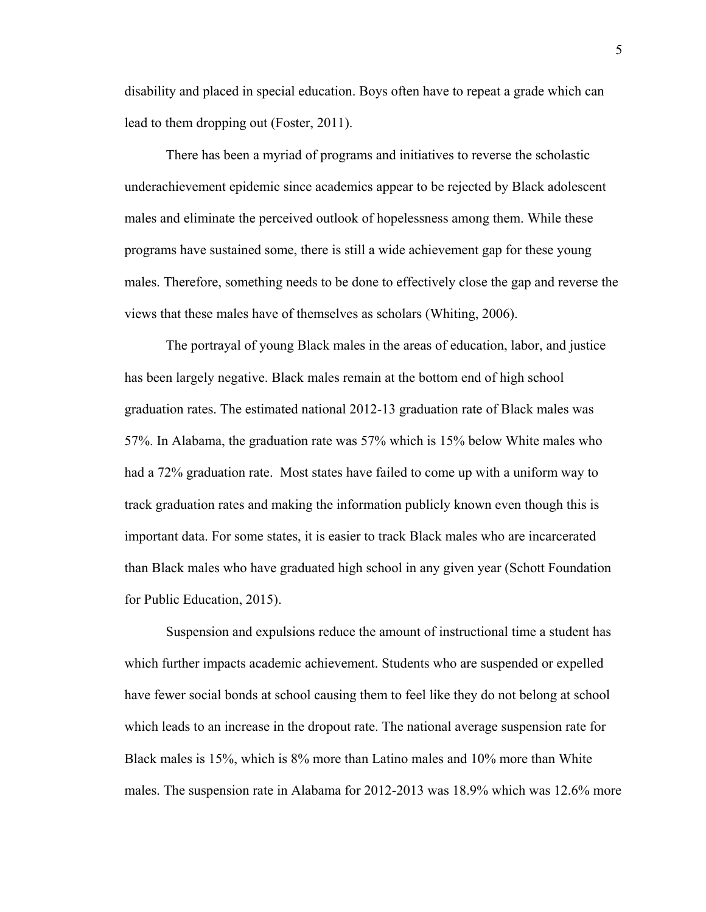disability and placed in special education. Boys often have to repeat a grade which can lead to them dropping out (Foster, 2011).

 There has been a myriad of programs and initiatives to reverse the scholastic underachievement epidemic since academics appear to be rejected by Black adolescent males and eliminate the perceived outlook of hopelessness among them. While these programs have sustained some, there is still a wide achievement gap for these young males. Therefore, something needs to be done to effectively close the gap and reverse the views that these males have of themselves as scholars (Whiting, 2006).

 The portrayal of young Black males in the areas of education, labor, and justice has been largely negative. Black males remain at the bottom end of high school graduation rates. The estimated national 2012-13 graduation rate of Black males was 57%. In Alabama, the graduation rate was 57% which is 15% below White males who had a 72% graduation rate. Most states have failed to come up with a uniform way to track graduation rates and making the information publicly known even though this is important data. For some states, it is easier to track Black males who are incarcerated than Black males who have graduated high school in any given year (Schott Foundation for Public Education, 2015).

 Suspension and expulsions reduce the amount of instructional time a student has which further impacts academic achievement. Students who are suspended or expelled have fewer social bonds at school causing them to feel like they do not belong at school which leads to an increase in the dropout rate. The national average suspension rate for Black males is 15%, which is 8% more than Latino males and 10% more than White males. The suspension rate in Alabama for 2012-2013 was 18.9% which was 12.6% more

5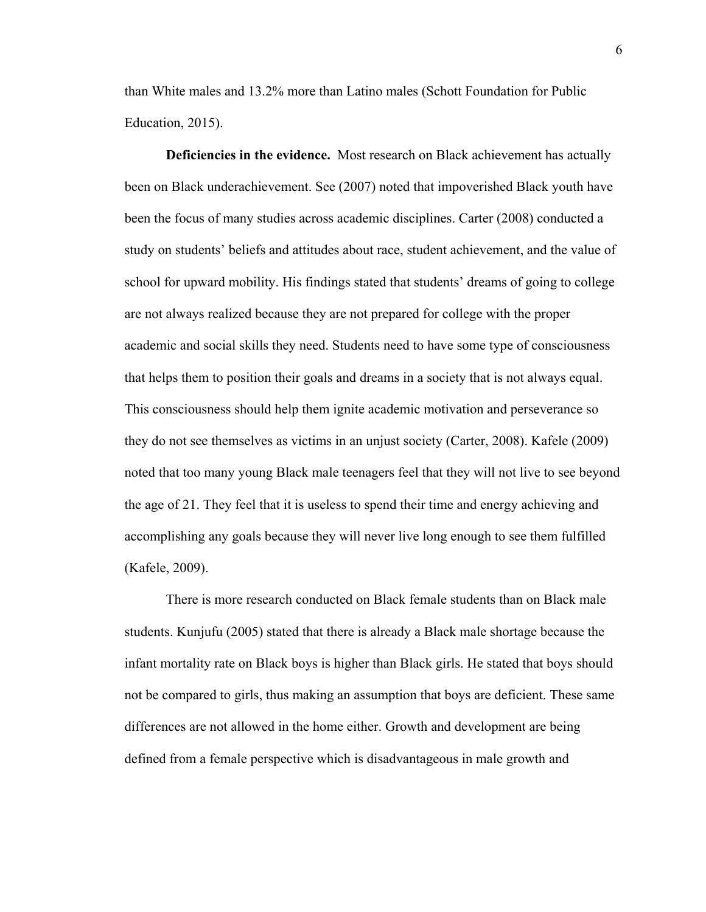than White males and 13.2% more than Latino males (Schott Foundation for Public Education, 2015).

**Deficiencies in the evidence.** Most research on Black achievement has actually been on Black underachievement. See (2007) noted that impoverished Black youth have been the focus of many studies across academic disciplines. Carter (2008) conducted a study on students' beliefs and attitudes about race, student achievement, and the value of school for upward mobility. His findings stated that students' dreams of going to college are not always realized because they are not prepared for college with the proper academic and social skills they need. Students need to have some type of consciousness that helps them to position their goals and dreams in a society that is not always equal. This consciousness should help them ignite academic motivation and perseverance so they do not see themselves as victims in an unjust society (Carter, 2008). Kafele (2009) noted that too many young Black male teenagers feel that they will not live to see beyond the age of 21. They feel that it is useless to spend their time and energy achieving and accomplishing any goals because they will never live long enough to see them fulfilled (Kafele, 2009).

There is more research conducted on Black female students than on Black male students. Kunjufu (2005) stated that there is already a Black male shortage because the infant mortality rate on Black boys is higher than Black girls. He stated that boys should not be compared to girls, thus making an assumption that boys are deficient. These same differences are not allowed in the home either. Growth and development are being defined from a female perspective which is disadvantageous in male growth and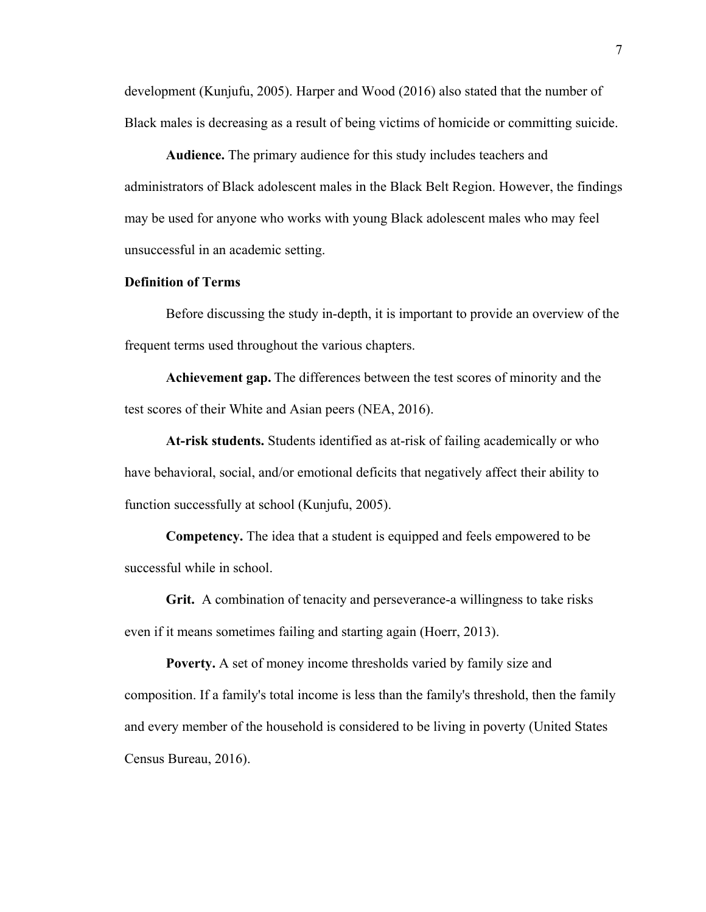development (Kunjufu, 2005). Harper and Wood (2016) also stated that the number of Black males is decreasing as a result of being victims of homicide or committing suicide.

**Audience.** The primary audience for this study includes teachers and administrators of Black adolescent males in the Black Belt Region. However, the findings may be used for anyone who works with young Black adolescent males who may feel unsuccessful in an academic setting.

#### **Definition of Terms**

 Before discussing the study in-depth, it is important to provide an overview of the frequent terms used throughout the various chapters.

**Achievement gap.** The differences between the test scores of minority and the test scores of their White and Asian peers (NEA, 2016).

**At-risk students.** Students identified as at-risk of failing academically or who have behavioral, social, and/or emotional deficits that negatively affect their ability to function successfully at school (Kunjufu, 2005).

**Competency.** The idea that a student is equipped and feels empowered to be successful while in school.

**Grit.** A combination of tenacity and perseverance-a willingness to take risks even if it means sometimes failing and starting again (Hoerr, 2013).

**Poverty.** A set of money income thresholds varied by family size and composition. If a family's total income is less than the family's threshold, then the family and every member of the household is considered to be living in poverty (United States Census Bureau, 2016).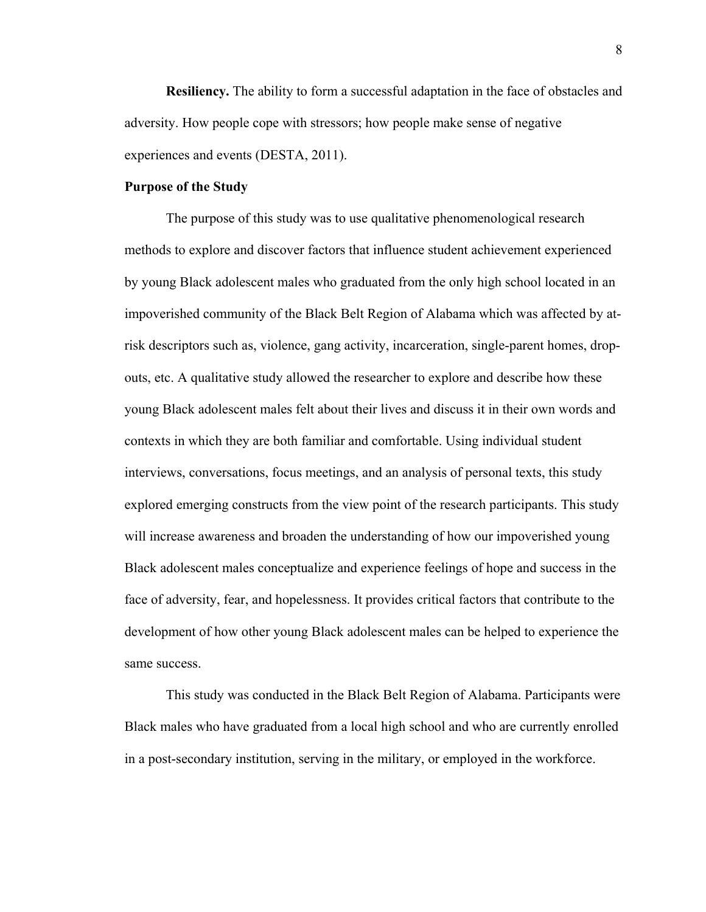**Resiliency.** The ability to form a successful adaptation in the face of obstacles and adversity. How people cope with stressors; how people make sense of negative experiences and events (DESTA, 2011).

#### **Purpose of the Study**

The purpose of this study was to use qualitative phenomenological research methods to explore and discover factors that influence student achievement experienced by young Black adolescent males who graduated from the only high school located in an impoverished community of the Black Belt Region of Alabama which was affected by atrisk descriptors such as, violence, gang activity, incarceration, single-parent homes, dropouts, etc. A qualitative study allowed the researcher to explore and describe how these young Black adolescent males felt about their lives and discuss it in their own words and contexts in which they are both familiar and comfortable. Using individual student interviews, conversations, focus meetings, and an analysis of personal texts, this study explored emerging constructs from the view point of the research participants. This study will increase awareness and broaden the understanding of how our impoverished young Black adolescent males conceptualize and experience feelings of hope and success in the face of adversity, fear, and hopelessness. It provides critical factors that contribute to the development of how other young Black adolescent males can be helped to experience the same success.

This study was conducted in the Black Belt Region of Alabama. Participants were Black males who have graduated from a local high school and who are currently enrolled in a post-secondary institution, serving in the military, or employed in the workforce.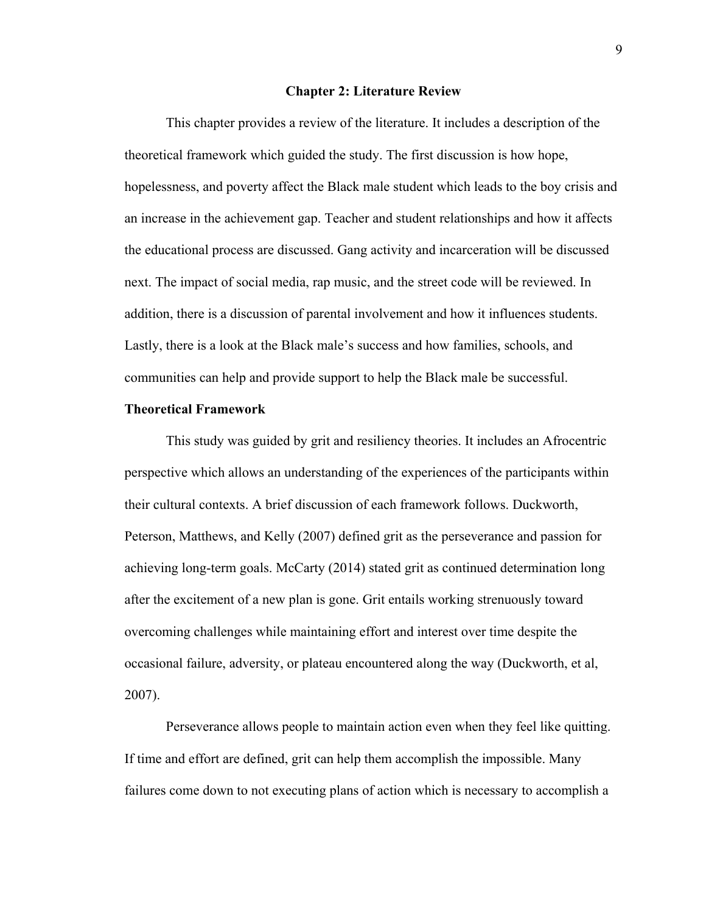#### **Chapter 2: Literature Review**

This chapter provides a review of the literature. It includes a description of the theoretical framework which guided the study. The first discussion is how hope, hopelessness, and poverty affect the Black male student which leads to the boy crisis and an increase in the achievement gap. Teacher and student relationships and how it affects the educational process are discussed. Gang activity and incarceration will be discussed next. The impact of social media, rap music, and the street code will be reviewed. In addition, there is a discussion of parental involvement and how it influences students. Lastly, there is a look at the Black male's success and how families, schools, and communities can help and provide support to help the Black male be successful.

#### **Theoretical Framework**

 This study was guided by grit and resiliency theories. It includes an Afrocentric perspective which allows an understanding of the experiences of the participants within their cultural contexts. A brief discussion of each framework follows. Duckworth, Peterson, Matthews, and Kelly (2007) defined grit as the perseverance and passion for achieving long-term goals. McCarty (2014) stated grit as continued determination long after the excitement of a new plan is gone. Grit entails working strenuously toward overcoming challenges while maintaining effort and interest over time despite the occasional failure, adversity, or plateau encountered along the way (Duckworth, et al, 2007).

Perseverance allows people to maintain action even when they feel like quitting. If time and effort are defined, grit can help them accomplish the impossible. Many failures come down to not executing plans of action which is necessary to accomplish a

9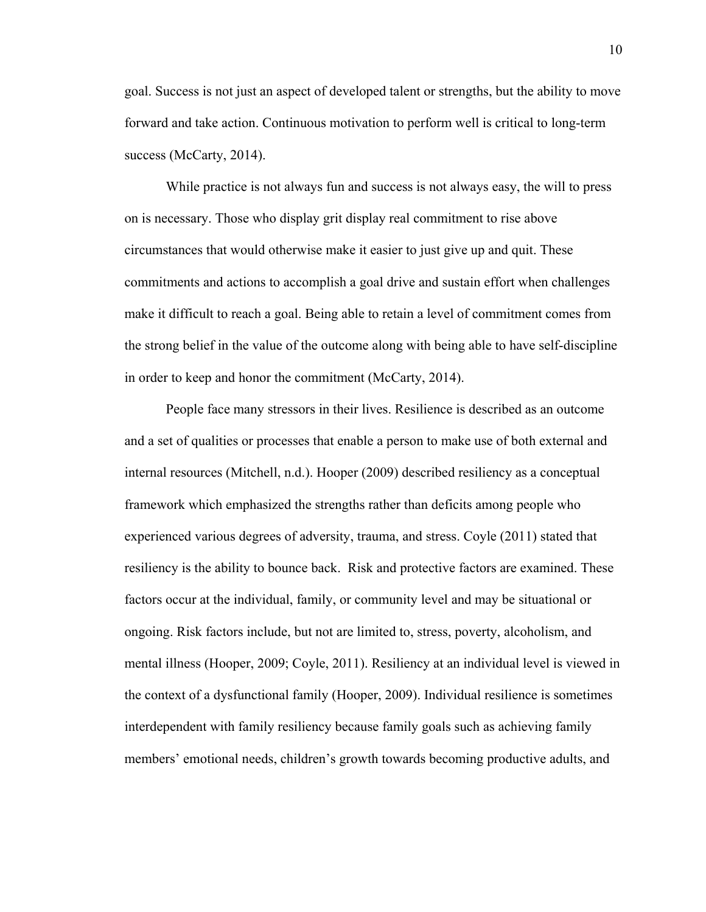goal. Success is not just an aspect of developed talent or strengths, but the ability to move forward and take action. Continuous motivation to perform well is critical to long-term success (McCarty, 2014).

While practice is not always fun and success is not always easy, the will to press on is necessary. Those who display grit display real commitment to rise above circumstances that would otherwise make it easier to just give up and quit. These commitments and actions to accomplish a goal drive and sustain effort when challenges make it difficult to reach a goal. Being able to retain a level of commitment comes from the strong belief in the value of the outcome along with being able to have self-discipline in order to keep and honor the commitment (McCarty, 2014).

 People face many stressors in their lives. Resilience is described as an outcome and a set of qualities or processes that enable a person to make use of both external and internal resources (Mitchell, n.d.). Hooper (2009) described resiliency as a conceptual framework which emphasized the strengths rather than deficits among people who experienced various degrees of adversity, trauma, and stress. Coyle (2011) stated that resiliency is the ability to bounce back. Risk and protective factors are examined. These factors occur at the individual, family, or community level and may be situational or ongoing. Risk factors include, but not are limited to, stress, poverty, alcoholism, and mental illness (Hooper, 2009; Coyle, 2011). Resiliency at an individual level is viewed in the context of a dysfunctional family (Hooper, 2009). Individual resilience is sometimes interdependent with family resiliency because family goals such as achieving family members' emotional needs, children's growth towards becoming productive adults, and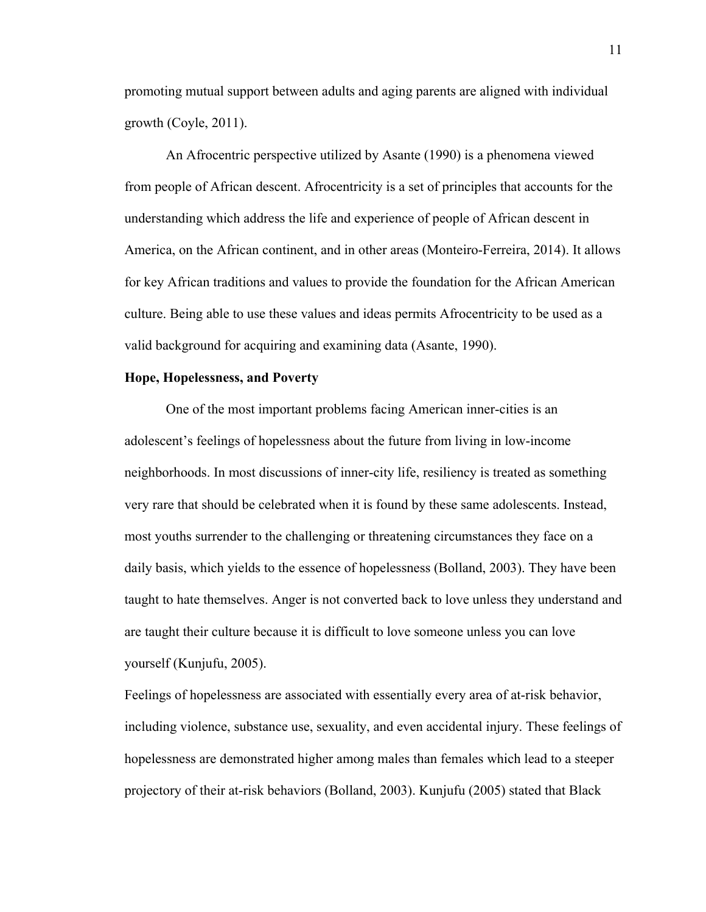promoting mutual support between adults and aging parents are aligned with individual growth (Coyle, 2011).

 An Afrocentric perspective utilized by Asante (1990) is a phenomena viewed from people of African descent. Afrocentricity is a set of principles that accounts for the understanding which address the life and experience of people of African descent in America, on the African continent, and in other areas (Monteiro-Ferreira, 2014). It allows for key African traditions and values to provide the foundation for the African American culture. Being able to use these values and ideas permits Afrocentricity to be used as a valid background for acquiring and examining data (Asante, 1990).

#### **Hope, Hopelessness, and Poverty**

One of the most important problems facing American inner-cities is an adolescent's feelings of hopelessness about the future from living in low-income neighborhoods. In most discussions of inner-city life, resiliency is treated as something very rare that should be celebrated when it is found by these same adolescents. Instead, most youths surrender to the challenging or threatening circumstances they face on a daily basis, which yields to the essence of hopelessness (Bolland, 2003). They have been taught to hate themselves. Anger is not converted back to love unless they understand and are taught their culture because it is difficult to love someone unless you can love yourself (Kunjufu, 2005).

Feelings of hopelessness are associated with essentially every area of at-risk behavior, including violence, substance use, sexuality, and even accidental injury. These feelings of hopelessness are demonstrated higher among males than females which lead to a steeper projectory of their at-risk behaviors (Bolland, 2003). Kunjufu (2005) stated that Black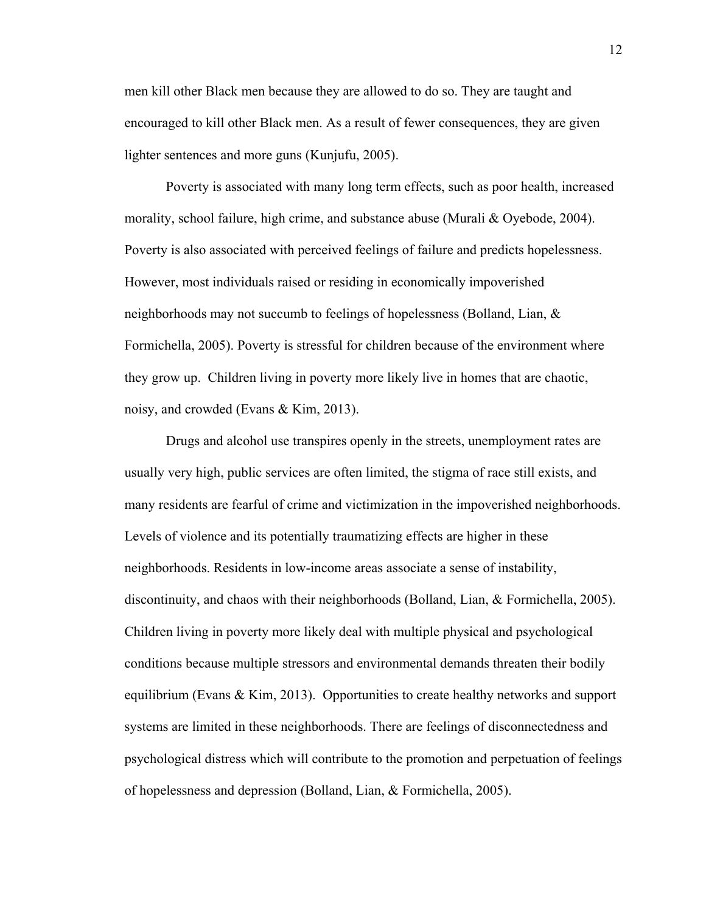men kill other Black men because they are allowed to do so. They are taught and encouraged to kill other Black men. As a result of fewer consequences, they are given lighter sentences and more guns (Kunjufu, 2005).

Poverty is associated with many long term effects, such as poor health, increased morality, school failure, high crime, and substance abuse (Murali & Oyebode, 2004). Poverty is also associated with perceived feelings of failure and predicts hopelessness. However, most individuals raised or residing in economically impoverished neighborhoods may not succumb to feelings of hopelessness (Bolland, Lian, & Formichella, 2005). Poverty is stressful for children because of the environment where they grow up. Children living in poverty more likely live in homes that are chaotic, noisy, and crowded (Evans & Kim, 2013).

Drugs and alcohol use transpires openly in the streets, unemployment rates are usually very high, public services are often limited, the stigma of race still exists, and many residents are fearful of crime and victimization in the impoverished neighborhoods. Levels of violence and its potentially traumatizing effects are higher in these neighborhoods. Residents in low-income areas associate a sense of instability, discontinuity, and chaos with their neighborhoods (Bolland, Lian, & Formichella, 2005). Children living in poverty more likely deal with multiple physical and psychological conditions because multiple stressors and environmental demands threaten their bodily equilibrium (Evans & Kim, 2013). Opportunities to create healthy networks and support systems are limited in these neighborhoods. There are feelings of disconnectedness and psychological distress which will contribute to the promotion and perpetuation of feelings of hopelessness and depression (Bolland, Lian, & Formichella, 2005).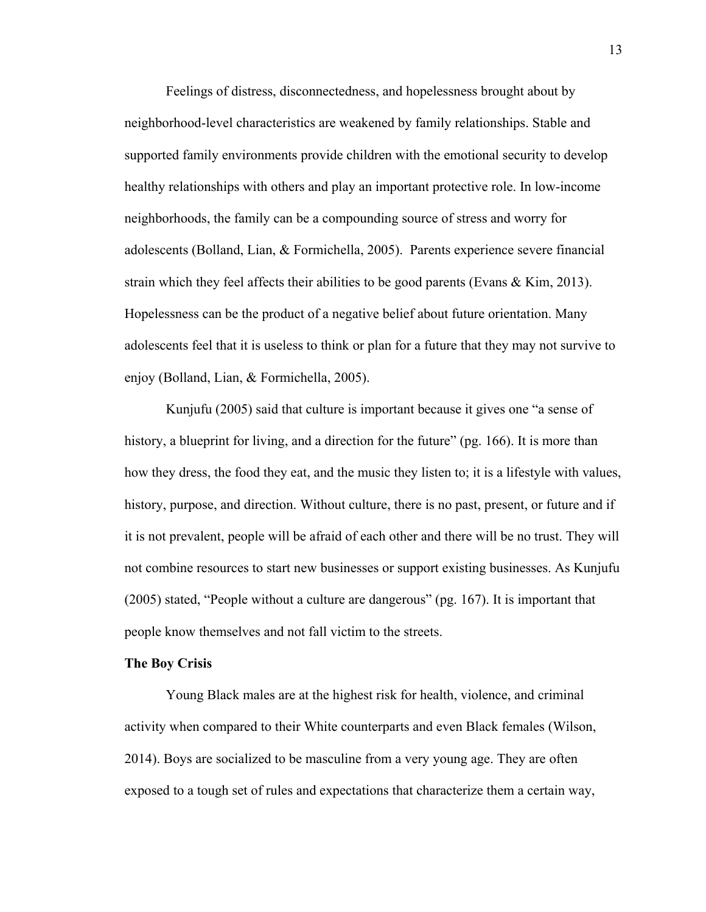Feelings of distress, disconnectedness, and hopelessness brought about by neighborhood-level characteristics are weakened by family relationships. Stable and supported family environments provide children with the emotional security to develop healthy relationships with others and play an important protective role. In low-income neighborhoods, the family can be a compounding source of stress and worry for adolescents (Bolland, Lian, & Formichella, 2005). Parents experience severe financial strain which they feel affects their abilities to be good parents (Evans & Kim, 2013). Hopelessness can be the product of a negative belief about future orientation. Many adolescents feel that it is useless to think or plan for a future that they may not survive to enjoy (Bolland, Lian, & Formichella, 2005).

Kunjufu (2005) said that culture is important because it gives one "a sense of history, a blueprint for living, and a direction for the future" (pg. 166). It is more than how they dress, the food they eat, and the music they listen to; it is a lifestyle with values, history, purpose, and direction. Without culture, there is no past, present, or future and if it is not prevalent, people will be afraid of each other and there will be no trust. They will not combine resources to start new businesses or support existing businesses. As Kunjufu (2005) stated, "People without a culture are dangerous" (pg. 167). It is important that people know themselves and not fall victim to the streets.

#### **The Boy Crisis**

Young Black males are at the highest risk for health, violence, and criminal activity when compared to their White counterparts and even Black females (Wilson, 2014). Boys are socialized to be masculine from a very young age. They are often exposed to a tough set of rules and expectations that characterize them a certain way,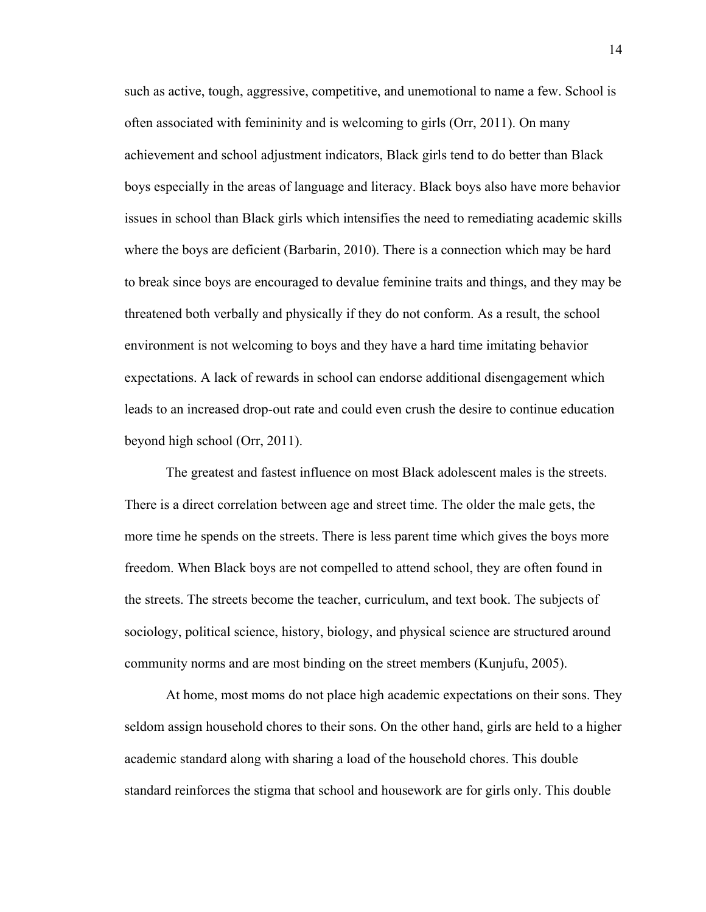such as active, tough, aggressive, competitive, and unemotional to name a few. School is often associated with femininity and is welcoming to girls (Orr, 2011). On many achievement and school adjustment indicators, Black girls tend to do better than Black boys especially in the areas of language and literacy. Black boys also have more behavior issues in school than Black girls which intensifies the need to remediating academic skills where the boys are deficient (Barbarin, 2010). There is a connection which may be hard to break since boys are encouraged to devalue feminine traits and things, and they may be threatened both verbally and physically if they do not conform. As a result, the school environment is not welcoming to boys and they have a hard time imitating behavior expectations. A lack of rewards in school can endorse additional disengagement which leads to an increased drop-out rate and could even crush the desire to continue education beyond high school (Orr, 2011).

The greatest and fastest influence on most Black adolescent males is the streets. There is a direct correlation between age and street time. The older the male gets, the more time he spends on the streets. There is less parent time which gives the boys more freedom. When Black boys are not compelled to attend school, they are often found in the streets. The streets become the teacher, curriculum, and text book. The subjects of sociology, political science, history, biology, and physical science are structured around community norms and are most binding on the street members (Kunjufu, 2005).

At home, most moms do not place high academic expectations on their sons. They seldom assign household chores to their sons. On the other hand, girls are held to a higher academic standard along with sharing a load of the household chores. This double standard reinforces the stigma that school and housework are for girls only. This double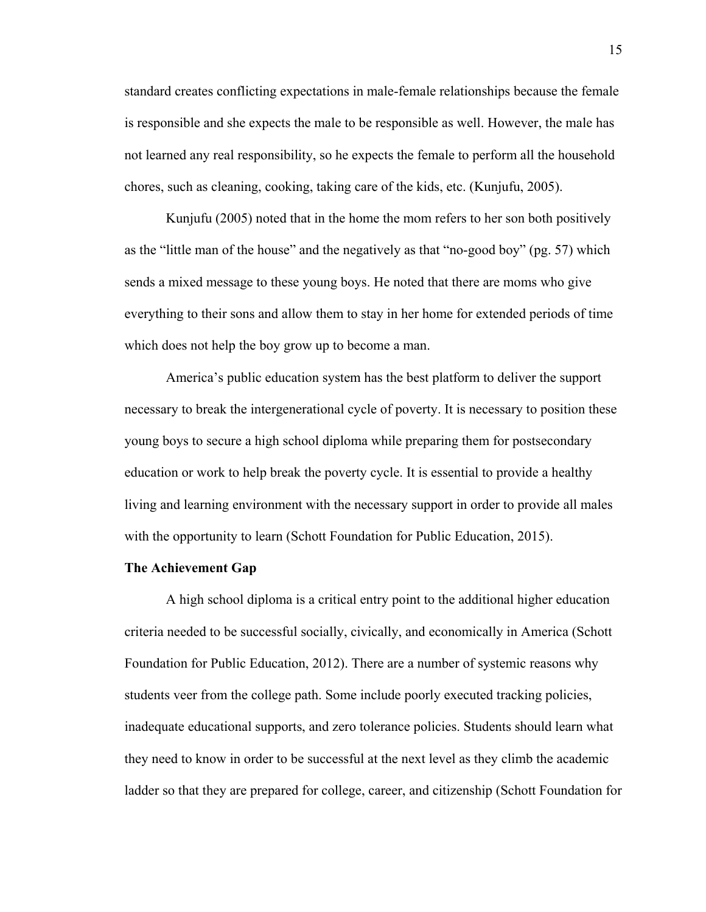standard creates conflicting expectations in male-female relationships because the female is responsible and she expects the male to be responsible as well. However, the male has not learned any real responsibility, so he expects the female to perform all the household chores, such as cleaning, cooking, taking care of the kids, etc. (Kunjufu, 2005).

Kunjufu (2005) noted that in the home the mom refers to her son both positively as the "little man of the house" and the negatively as that "no-good boy" (pg. 57) which sends a mixed message to these young boys. He noted that there are moms who give everything to their sons and allow them to stay in her home for extended periods of time which does not help the boy grow up to become a man.

America's public education system has the best platform to deliver the support necessary to break the intergenerational cycle of poverty. It is necessary to position these young boys to secure a high school diploma while preparing them for postsecondary education or work to help break the poverty cycle. It is essential to provide a healthy living and learning environment with the necessary support in order to provide all males with the opportunity to learn (Schott Foundation for Public Education, 2015).

#### **The Achievement Gap**

A high school diploma is a critical entry point to the additional higher education criteria needed to be successful socially, civically, and economically in America (Schott Foundation for Public Education, 2012). There are a number of systemic reasons why students veer from the college path. Some include poorly executed tracking policies, inadequate educational supports, and zero tolerance policies. Students should learn what they need to know in order to be successful at the next level as they climb the academic ladder so that they are prepared for college, career, and citizenship (Schott Foundation for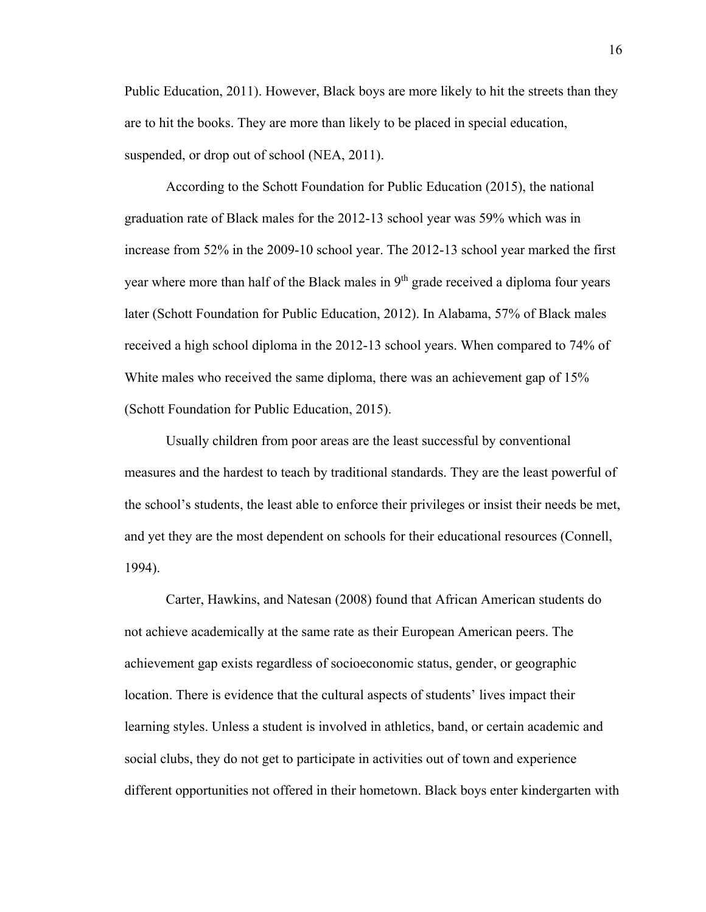Public Education, 2011). However, Black boys are more likely to hit the streets than they are to hit the books. They are more than likely to be placed in special education, suspended, or drop out of school (NEA, 2011).

According to the Schott Foundation for Public Education (2015), the national graduation rate of Black males for the 2012-13 school year was 59% which was in increase from 52% in the 2009-10 school year. The 2012-13 school year marked the first year where more than half of the Black males in 9<sup>th</sup> grade received a diploma four years later (Schott Foundation for Public Education, 2012). In Alabama, 57% of Black males received a high school diploma in the 2012-13 school years. When compared to 74% of White males who received the same diploma, there was an achievement gap of 15% (Schott Foundation for Public Education, 2015).

Usually children from poor areas are the least successful by conventional measures and the hardest to teach by traditional standards. They are the least powerful of the school's students, the least able to enforce their privileges or insist their needs be met, and yet they are the most dependent on schools for their educational resources (Connell, 1994).

Carter, Hawkins, and Natesan (2008) found that African American students do not achieve academically at the same rate as their European American peers. The achievement gap exists regardless of socioeconomic status, gender, or geographic location. There is evidence that the cultural aspects of students' lives impact their learning styles. Unless a student is involved in athletics, band, or certain academic and social clubs, they do not get to participate in activities out of town and experience different opportunities not offered in their hometown. Black boys enter kindergarten with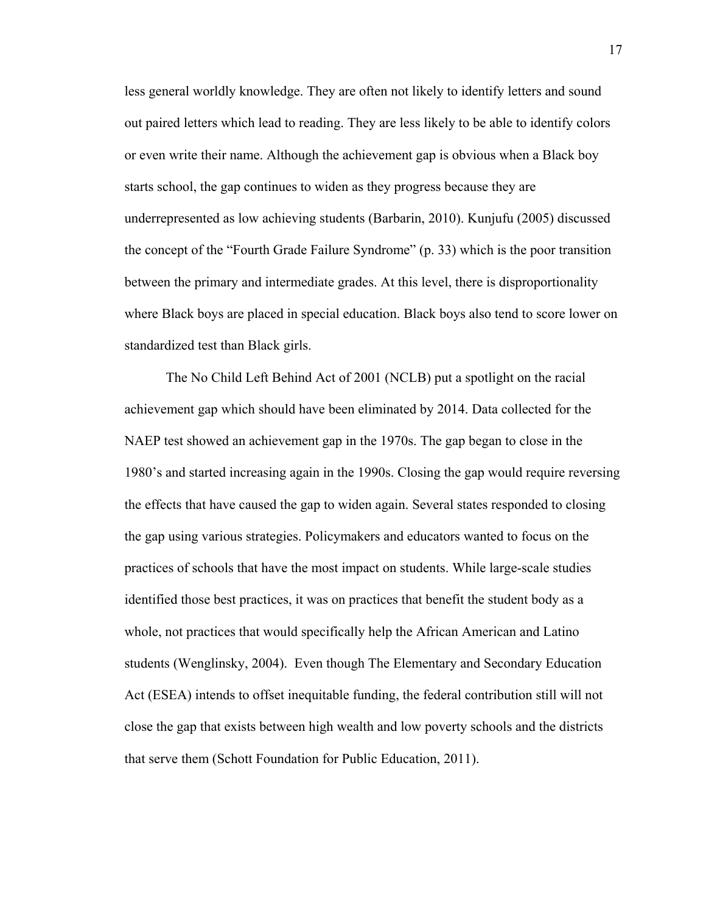less general worldly knowledge. They are often not likely to identify letters and sound out paired letters which lead to reading. They are less likely to be able to identify colors or even write their name. Although the achievement gap is obvious when a Black boy starts school, the gap continues to widen as they progress because they are underrepresented as low achieving students (Barbarin, 2010). Kunjufu (2005) discussed the concept of the "Fourth Grade Failure Syndrome" (p. 33) which is the poor transition between the primary and intermediate grades. At this level, there is disproportionality where Black boys are placed in special education. Black boys also tend to score lower on standardized test than Black girls.

The No Child Left Behind Act of 2001 (NCLB) put a spotlight on the racial achievement gap which should have been eliminated by 2014. Data collected for the NAEP test showed an achievement gap in the 1970s. The gap began to close in the 1980's and started increasing again in the 1990s. Closing the gap would require reversing the effects that have caused the gap to widen again. Several states responded to closing the gap using various strategies. Policymakers and educators wanted to focus on the practices of schools that have the most impact on students. While large-scale studies identified those best practices, it was on practices that benefit the student body as a whole, not practices that would specifically help the African American and Latino students (Wenglinsky, 2004). Even though The Elementary and Secondary Education Act (ESEA) intends to offset inequitable funding, the federal contribution still will not close the gap that exists between high wealth and low poverty schools and the districts that serve them (Schott Foundation for Public Education, 2011).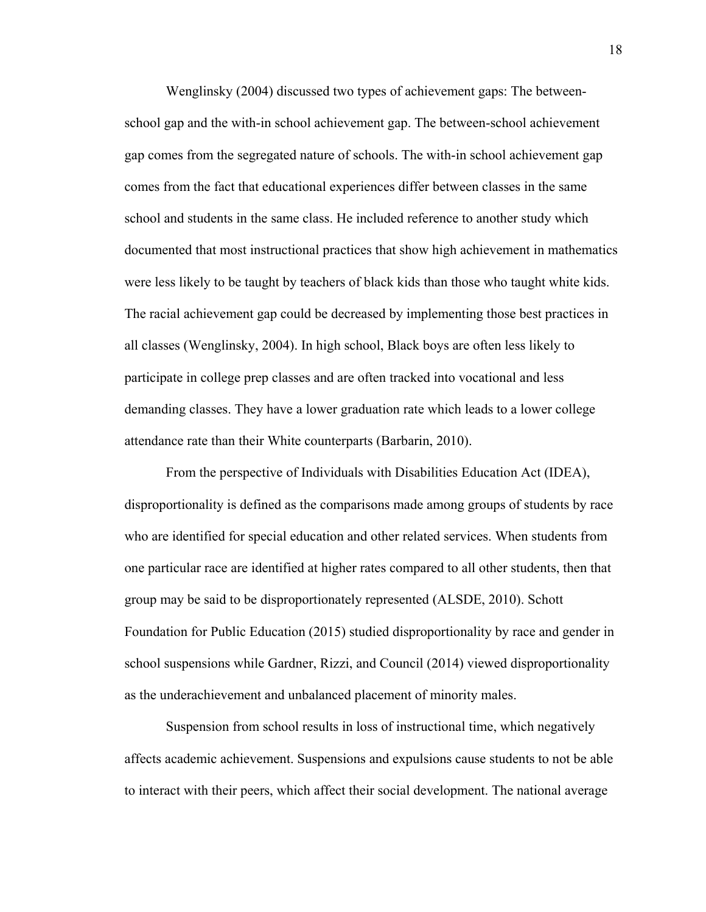Wenglinsky (2004) discussed two types of achievement gaps: The betweenschool gap and the with-in school achievement gap. The between-school achievement gap comes from the segregated nature of schools. The with-in school achievement gap comes from the fact that educational experiences differ between classes in the same school and students in the same class. He included reference to another study which documented that most instructional practices that show high achievement in mathematics were less likely to be taught by teachers of black kids than those who taught white kids. The racial achievement gap could be decreased by implementing those best practices in all classes (Wenglinsky, 2004). In high school, Black boys are often less likely to participate in college prep classes and are often tracked into vocational and less demanding classes. They have a lower graduation rate which leads to a lower college attendance rate than their White counterparts (Barbarin, 2010).

From the perspective of Individuals with Disabilities Education Act (IDEA), disproportionality is defined as the comparisons made among groups of students by race who are identified for special education and other related services. When students from one particular race are identified at higher rates compared to all other students, then that group may be said to be disproportionately represented (ALSDE, 2010). Schott Foundation for Public Education (2015) studied disproportionality by race and gender in school suspensions while Gardner, Rizzi, and Council (2014) viewed disproportionality as the underachievement and unbalanced placement of minority males.

Suspension from school results in loss of instructional time, which negatively affects academic achievement. Suspensions and expulsions cause students to not be able to interact with their peers, which affect their social development. The national average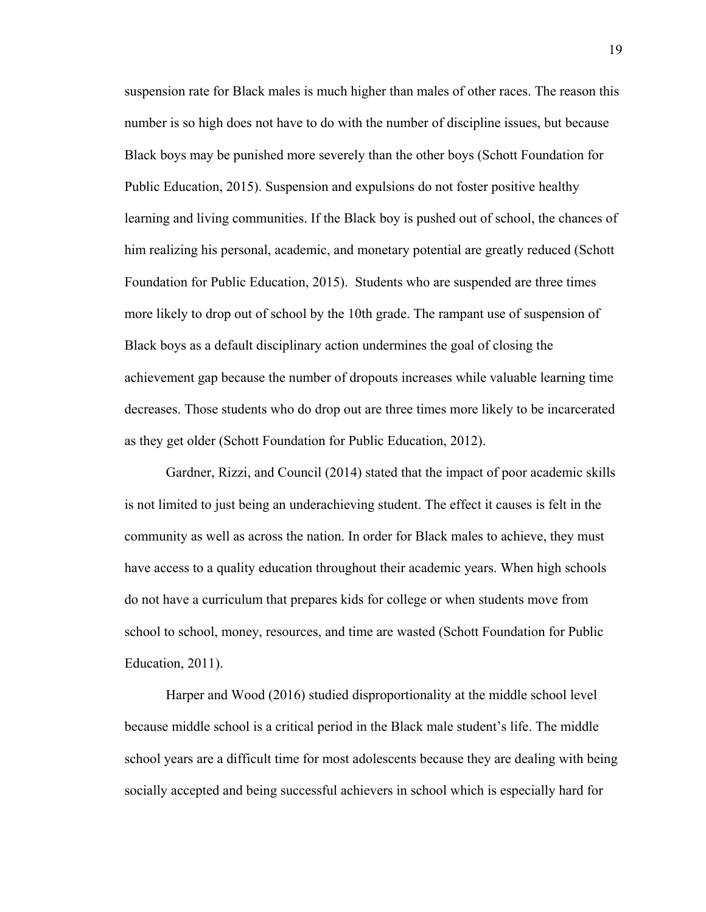suspension rate for Black males is much higher than males of other races. The reason this number is so high does not have to do with the number of discipline issues, but because Black boys may be punished more severely than the other boys (Schott Foundation for Public Education, 2015). Suspension and expulsions do not foster positive healthy learning and living communities. If the Black boy is pushed out of school, the chances of him realizing his personal, academic, and monetary potential are greatly reduced (Schott Foundation for Public Education, 2015). Students who are suspended are three times more likely to drop out of school by the 10th grade. The rampant use of suspension of Black boys as a default disciplinary action undermines the goal of closing the achievement gap because the number of dropouts increases while valuable learning time decreases. Those students who do drop out are three times more likely to be incarcerated as they get older (Schott Foundation for Public Education, 2012).

Gardner, Rizzi, and Council (2014) stated that the impact of poor academic skills is not limited to just being an underachieving student. The effect it causes is felt in the community as well as across the nation. In order for Black males to achieve, they must have access to a quality education throughout their academic years. When high schools do not have a curriculum that prepares kids for college or when students move from school to school, money, resources, and time are wasted (Schott Foundation for Public Education, 2011).

Harper and Wood (2016) studied disproportionality at the middle school level because middle school is a critical period in the Black male student's life. The middle school years are a difficult time for most adolescents because they are dealing with being socially accepted and being successful achievers in school which is especially hard for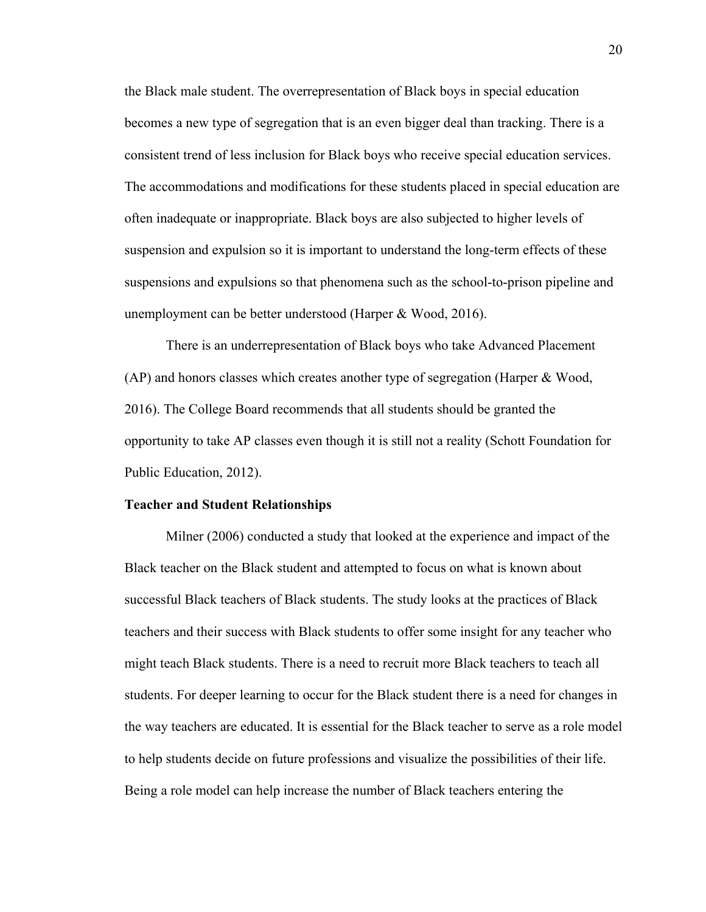the Black male student. The overrepresentation of Black boys in special education becomes a new type of segregation that is an even bigger deal than tracking. There is a consistent trend of less inclusion for Black boys who receive special education services. The accommodations and modifications for these students placed in special education are often inadequate or inappropriate. Black boys are also subjected to higher levels of suspension and expulsion so it is important to understand the long-term effects of these suspensions and expulsions so that phenomena such as the school-to-prison pipeline and unemployment can be better understood (Harper & Wood, 2016).

There is an underrepresentation of Black boys who take Advanced Placement (AP) and honors classes which creates another type of segregation (Harper & Wood, 2016). The College Board recommends that all students should be granted the opportunity to take AP classes even though it is still not a reality (Schott Foundation for Public Education, 2012).

#### **Teacher and Student Relationships**

Milner (2006) conducted a study that looked at the experience and impact of the Black teacher on the Black student and attempted to focus on what is known about successful Black teachers of Black students. The study looks at the practices of Black teachers and their success with Black students to offer some insight for any teacher who might teach Black students. There is a need to recruit more Black teachers to teach all students. For deeper learning to occur for the Black student there is a need for changes in the way teachers are educated. It is essential for the Black teacher to serve as a role model to help students decide on future professions and visualize the possibilities of their life. Being a role model can help increase the number of Black teachers entering the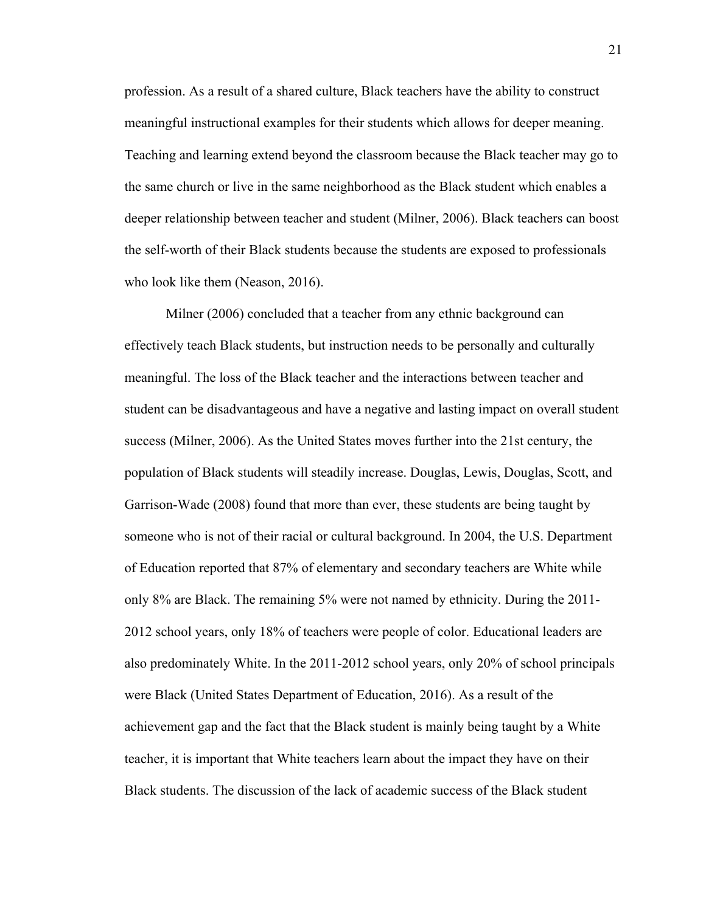profession. As a result of a shared culture, Black teachers have the ability to construct meaningful instructional examples for their students which allows for deeper meaning. Teaching and learning extend beyond the classroom because the Black teacher may go to the same church or live in the same neighborhood as the Black student which enables a deeper relationship between teacher and student (Milner, 2006). Black teachers can boost the self-worth of their Black students because the students are exposed to professionals who look like them (Neason, 2016).

 Milner (2006) concluded that a teacher from any ethnic background can effectively teach Black students, but instruction needs to be personally and culturally meaningful. The loss of the Black teacher and the interactions between teacher and student can be disadvantageous and have a negative and lasting impact on overall student success (Milner, 2006). As the United States moves further into the 21st century, the population of Black students will steadily increase. Douglas, Lewis, Douglas, Scott, and Garrison-Wade (2008) found that more than ever, these students are being taught by someone who is not of their racial or cultural background. In 2004, the U.S. Department of Education reported that 87% of elementary and secondary teachers are White while only 8% are Black. The remaining 5% were not named by ethnicity. During the 2011- 2012 school years, only 18% of teachers were people of color. Educational leaders are also predominately White. In the 2011-2012 school years, only 20% of school principals were Black (United States Department of Education, 2016). As a result of the achievement gap and the fact that the Black student is mainly being taught by a White teacher, it is important that White teachers learn about the impact they have on their Black students. The discussion of the lack of academic success of the Black student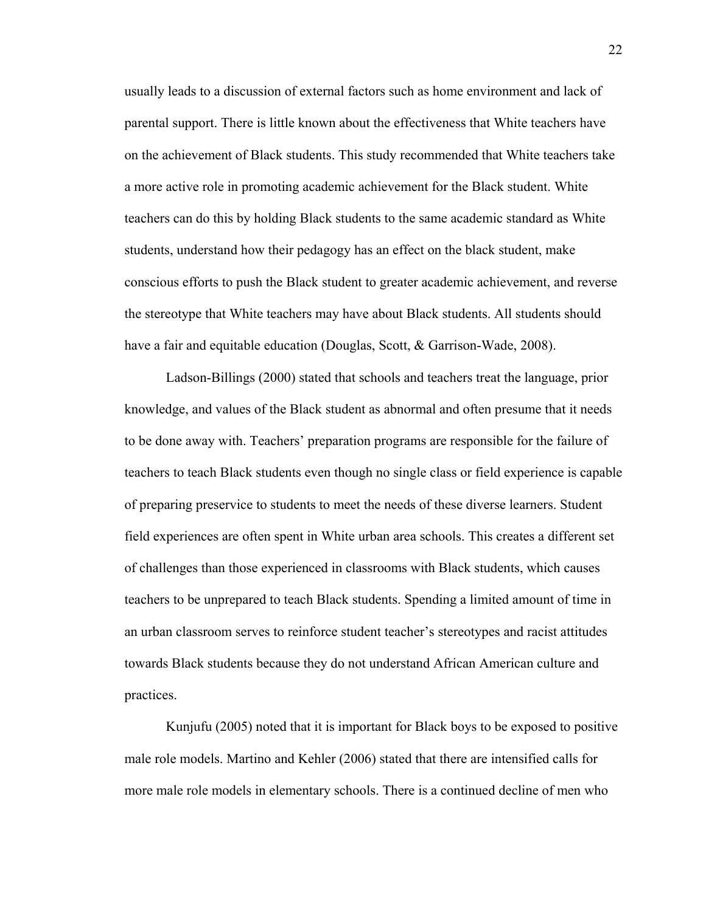usually leads to a discussion of external factors such as home environment and lack of parental support. There is little known about the effectiveness that White teachers have on the achievement of Black students. This study recommended that White teachers take a more active role in promoting academic achievement for the Black student. White teachers can do this by holding Black students to the same academic standard as White students, understand how their pedagogy has an effect on the black student, make conscious efforts to push the Black student to greater academic achievement, and reverse the stereotype that White teachers may have about Black students. All students should have a fair and equitable education (Douglas, Scott, & Garrison-Wade, 2008).

Ladson-Billings (2000) stated that schools and teachers treat the language, prior knowledge, and values of the Black student as abnormal and often presume that it needs to be done away with. Teachers' preparation programs are responsible for the failure of teachers to teach Black students even though no single class or field experience is capable of preparing preservice to students to meet the needs of these diverse learners. Student field experiences are often spent in White urban area schools. This creates a different set of challenges than those experienced in classrooms with Black students, which causes teachers to be unprepared to teach Black students. Spending a limited amount of time in an urban classroom serves to reinforce student teacher's stereotypes and racist attitudes towards Black students because they do not understand African American culture and practices.

Kunjufu (2005) noted that it is important for Black boys to be exposed to positive male role models. Martino and Kehler (2006) stated that there are intensified calls for more male role models in elementary schools. There is a continued decline of men who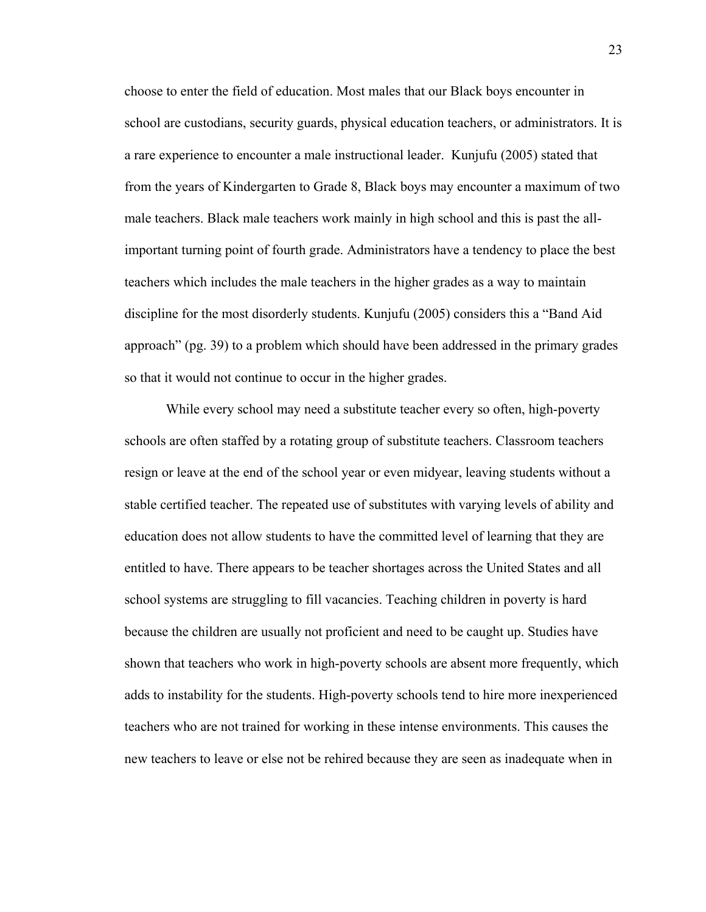choose to enter the field of education. Most males that our Black boys encounter in school are custodians, security guards, physical education teachers, or administrators. It is a rare experience to encounter a male instructional leader. Kunjufu (2005) stated that from the years of Kindergarten to Grade 8, Black boys may encounter a maximum of two male teachers. Black male teachers work mainly in high school and this is past the allimportant turning point of fourth grade. Administrators have a tendency to place the best teachers which includes the male teachers in the higher grades as a way to maintain discipline for the most disorderly students. Kunjufu (2005) considers this a "Band Aid approach" (pg. 39) to a problem which should have been addressed in the primary grades so that it would not continue to occur in the higher grades.

 While every school may need a substitute teacher every so often, high-poverty schools are often staffed by a rotating group of substitute teachers. Classroom teachers resign or leave at the end of the school year or even midyear, leaving students without a stable certified teacher. The repeated use of substitutes with varying levels of ability and education does not allow students to have the committed level of learning that they are entitled to have. There appears to be teacher shortages across the United States and all school systems are struggling to fill vacancies. Teaching children in poverty is hard because the children are usually not proficient and need to be caught up. Studies have shown that teachers who work in high-poverty schools are absent more frequently, which adds to instability for the students. High-poverty schools tend to hire more inexperienced teachers who are not trained for working in these intense environments. This causes the new teachers to leave or else not be rehired because they are seen as inadequate when in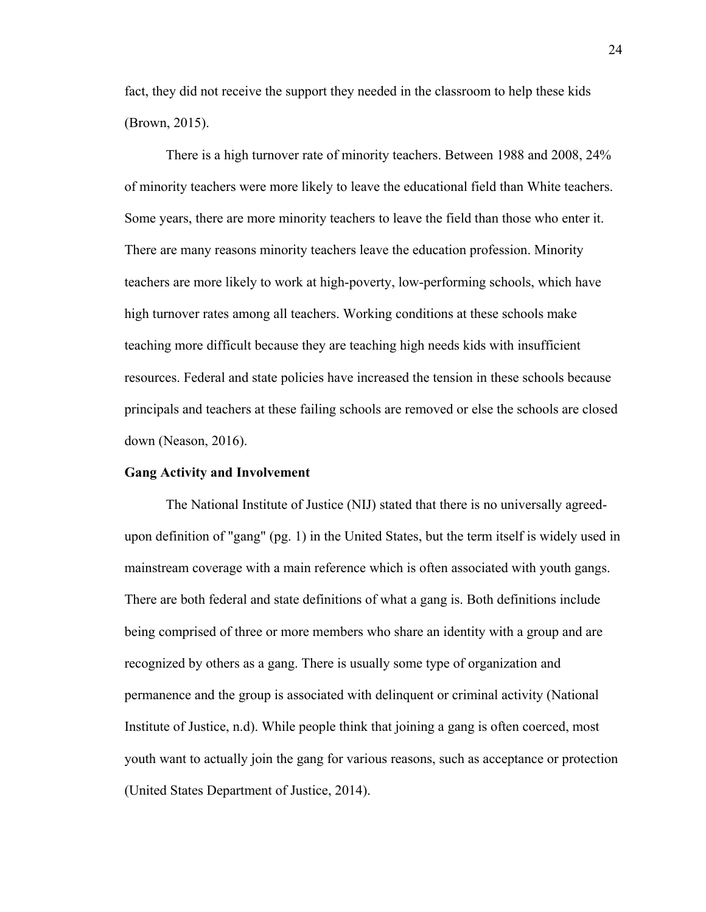fact, they did not receive the support they needed in the classroom to help these kids (Brown, 2015).

 There is a high turnover rate of minority teachers. Between 1988 and 2008, 24% of minority teachers were more likely to leave the educational field than White teachers. Some years, there are more minority teachers to leave the field than those who enter it. There are many reasons minority teachers leave the education profession. Minority teachers are more likely to work at high-poverty, low-performing schools, which have high turnover rates among all teachers. Working conditions at these schools make teaching more difficult because they are teaching high needs kids with insufficient resources. Federal and state policies have increased the tension in these schools because principals and teachers at these failing schools are removed or else the schools are closed down (Neason, 2016).

#### **Gang Activity and Involvement**

 The National Institute of Justice (NIJ) stated that there is no universally agreedupon definition of "gang" (pg. 1) in the United States, but the term itself is widely used in mainstream coverage with a main reference which is often associated with youth gangs. There are both federal and state definitions of what a gang is. Both definitions include being comprised of three or more members who share an identity with a group and are recognized by others as a gang. There is usually some type of organization and permanence and the group is associated with delinquent or criminal activity (National Institute of Justice, n.d). While people think that joining a gang is often coerced, most youth want to actually join the gang for various reasons, such as acceptance or protection (United States Department of Justice, 2014).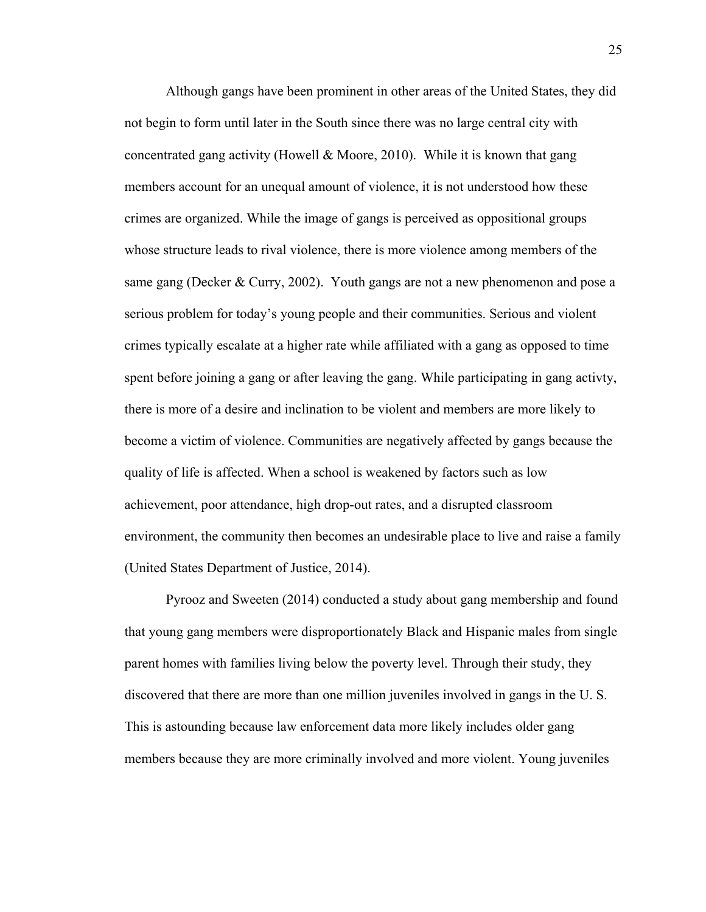Although gangs have been prominent in other areas of the United States, they did not begin to form until later in the South since there was no large central city with concentrated gang activity (Howell & Moore, 2010). While it is known that gang members account for an unequal amount of violence, it is not understood how these crimes are organized. While the image of gangs is perceived as oppositional groups whose structure leads to rival violence, there is more violence among members of the same gang (Decker & Curry, 2002). Youth gangs are not a new phenomenon and pose a serious problem for today's young people and their communities. Serious and violent crimes typically escalate at a higher rate while affiliated with a gang as opposed to time spent before joining a gang or after leaving the gang. While participating in gang activty, there is more of a desire and inclination to be violent and members are more likely to become a victim of violence. Communities are negatively affected by gangs because the quality of life is affected. When a school is weakened by factors such as low achievement, poor attendance, high drop-out rates, and a disrupted classroom environment, the community then becomes an undesirable place to live and raise a family (United States Department of Justice, 2014).

Pyrooz and Sweeten (2014) conducted a study about gang membership and found that young gang members were disproportionately Black and Hispanic males from single parent homes with families living below the poverty level. Through their study, they discovered that there are more than one million juveniles involved in gangs in the U. S. This is astounding because law enforcement data more likely includes older gang members because they are more criminally involved and more violent. Young juveniles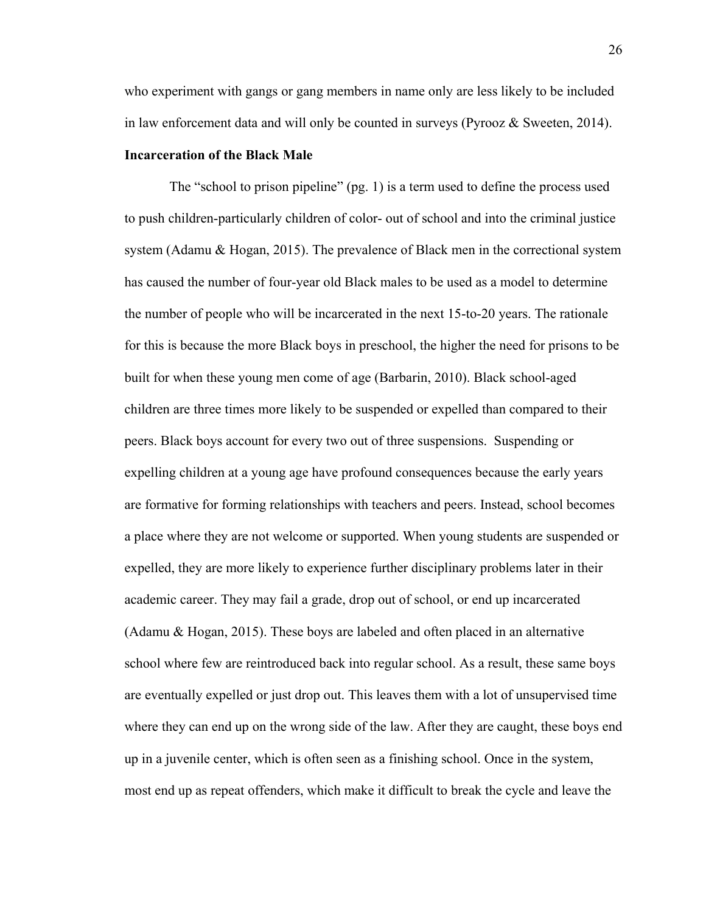who experiment with gangs or gang members in name only are less likely to be included in law enforcement data and will only be counted in surveys (Pyrooz & Sweeten, 2014).

#### **Incarceration of the Black Male**

 The "school to prison pipeline" (pg. 1) is a term used to define the process used to push children-particularly children of color- out of school and into the criminal justice system (Adamu & Hogan, 2015). The prevalence of Black men in the correctional system has caused the number of four-year old Black males to be used as a model to determine the number of people who will be incarcerated in the next 15-to-20 years. The rationale for this is because the more Black boys in preschool, the higher the need for prisons to be built for when these young men come of age (Barbarin, 2010). Black school-aged children are three times more likely to be suspended or expelled than compared to their peers. Black boys account for every two out of three suspensions. Suspending or expelling children at a young age have profound consequences because the early years are formative for forming relationships with teachers and peers. Instead, school becomes a place where they are not welcome or supported. When young students are suspended or expelled, they are more likely to experience further disciplinary problems later in their academic career. They may fail a grade, drop out of school, or end up incarcerated (Adamu & Hogan, 2015). These boys are labeled and often placed in an alternative school where few are reintroduced back into regular school. As a result, these same boys are eventually expelled or just drop out. This leaves them with a lot of unsupervised time where they can end up on the wrong side of the law. After they are caught, these boys end up in a juvenile center, which is often seen as a finishing school. Once in the system, most end up as repeat offenders, which make it difficult to break the cycle and leave the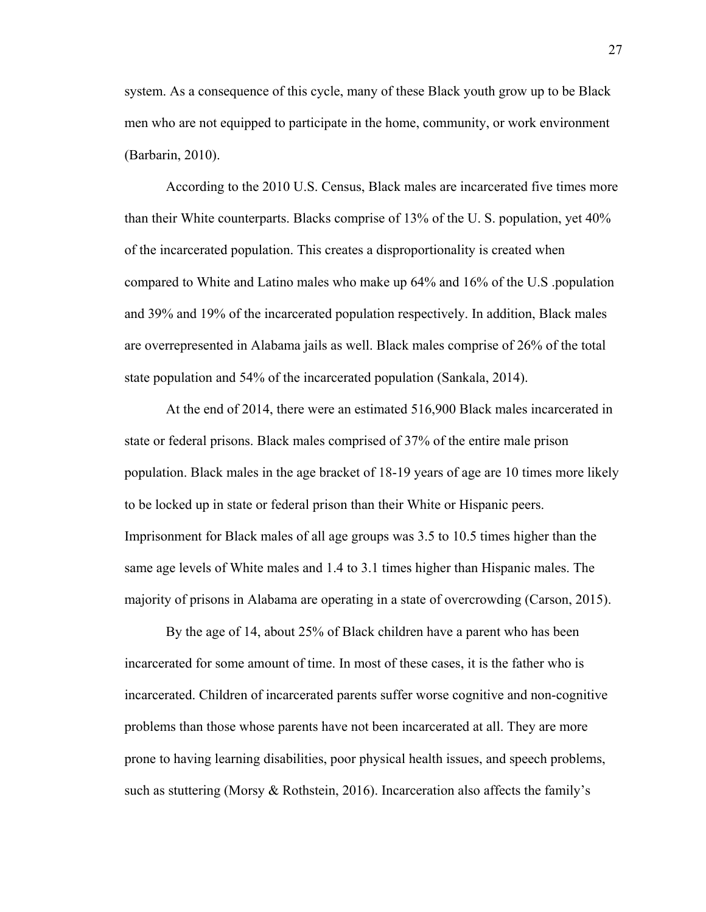system. As a consequence of this cycle, many of these Black youth grow up to be Black men who are not equipped to participate in the home, community, or work environment (Barbarin, 2010).

 According to the 2010 U.S. Census, Black males are incarcerated five times more than their White counterparts. Blacks comprise of 13% of the U. S. population, yet 40% of the incarcerated population. This creates a disproportionality is created when compared to White and Latino males who make up 64% and 16% of the U.S .population and 39% and 19% of the incarcerated population respectively. In addition, Black males are overrepresented in Alabama jails as well. Black males comprise of 26% of the total state population and 54% of the incarcerated population (Sankala, 2014).

 At the end of 2014, there were an estimated 516,900 Black males incarcerated in state or federal prisons. Black males comprised of 37% of the entire male prison population. Black males in the age bracket of 18-19 years of age are 10 times more likely to be locked up in state or federal prison than their White or Hispanic peers. Imprisonment for Black males of all age groups was 3.5 to 10.5 times higher than the same age levels of White males and 1.4 to 3.1 times higher than Hispanic males. The majority of prisons in Alabama are operating in a state of overcrowding (Carson, 2015).

 By the age of 14, about 25% of Black children have a parent who has been incarcerated for some amount of time. In most of these cases, it is the father who is incarcerated. Children of incarcerated parents suffer worse cognitive and non-cognitive problems than those whose parents have not been incarcerated at all. They are more prone to having learning disabilities, poor physical health issues, and speech problems, such as stuttering (Morsy & Rothstein, 2016). Incarceration also affects the family's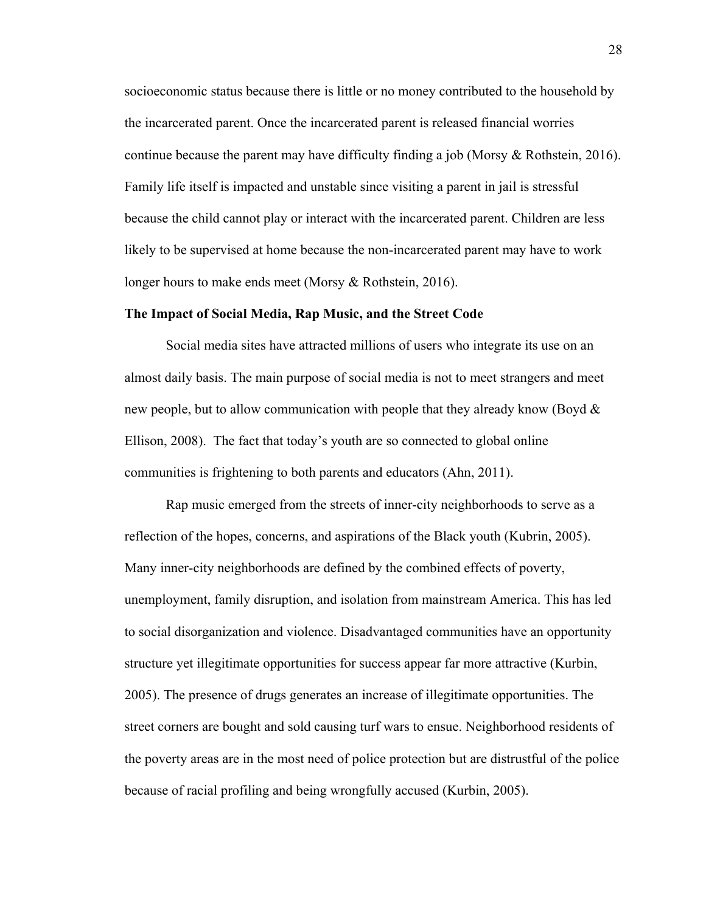socioeconomic status because there is little or no money contributed to the household by the incarcerated parent. Once the incarcerated parent is released financial worries continue because the parent may have difficulty finding a job (Morsy & Rothstein, 2016). Family life itself is impacted and unstable since visiting a parent in jail is stressful because the child cannot play or interact with the incarcerated parent. Children are less likely to be supervised at home because the non-incarcerated parent may have to work longer hours to make ends meet (Morsy & Rothstein, 2016).

#### **The Impact of Social Media, Rap Music, and the Street Code**

 Social media sites have attracted millions of users who integrate its use on an almost daily basis. The main purpose of social media is not to meet strangers and meet new people, but to allow communication with people that they already know (Boyd  $\&$ Ellison, 2008). The fact that today's youth are so connected to global online communities is frightening to both parents and educators (Ahn, 2011).

 Rap music emerged from the streets of inner-city neighborhoods to serve as a reflection of the hopes, concerns, and aspirations of the Black youth (Kubrin, 2005). Many inner-city neighborhoods are defined by the combined effects of poverty, unemployment, family disruption, and isolation from mainstream America. This has led to social disorganization and violence. Disadvantaged communities have an opportunity structure yet illegitimate opportunities for success appear far more attractive (Kurbin, 2005). The presence of drugs generates an increase of illegitimate opportunities. The street corners are bought and sold causing turf wars to ensue. Neighborhood residents of the poverty areas are in the most need of police protection but are distrustful of the police because of racial profiling and being wrongfully accused (Kurbin, 2005).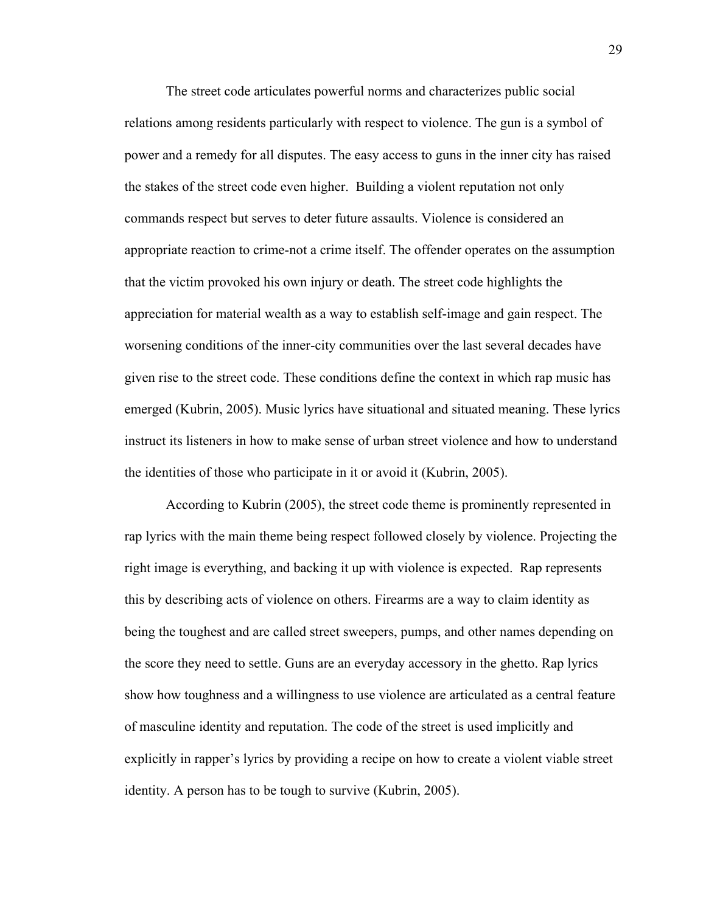The street code articulates powerful norms and characterizes public social relations among residents particularly with respect to violence. The gun is a symbol of power and a remedy for all disputes. The easy access to guns in the inner city has raised the stakes of the street code even higher. Building a violent reputation not only commands respect but serves to deter future assaults. Violence is considered an appropriate reaction to crime-not a crime itself. The offender operates on the assumption that the victim provoked his own injury or death. The street code highlights the appreciation for material wealth as a way to establish self-image and gain respect. The worsening conditions of the inner-city communities over the last several decades have given rise to the street code. These conditions define the context in which rap music has emerged (Kubrin, 2005). Music lyrics have situational and situated meaning. These lyrics instruct its listeners in how to make sense of urban street violence and how to understand the identities of those who participate in it or avoid it (Kubrin, 2005).

 According to Kubrin (2005), the street code theme is prominently represented in rap lyrics with the main theme being respect followed closely by violence. Projecting the right image is everything, and backing it up with violence is expected. Rap represents this by describing acts of violence on others. Firearms are a way to claim identity as being the toughest and are called street sweepers, pumps, and other names depending on the score they need to settle. Guns are an everyday accessory in the ghetto. Rap lyrics show how toughness and a willingness to use violence are articulated as a central feature of masculine identity and reputation. The code of the street is used implicitly and explicitly in rapper's lyrics by providing a recipe on how to create a violent viable street identity. A person has to be tough to survive (Kubrin, 2005).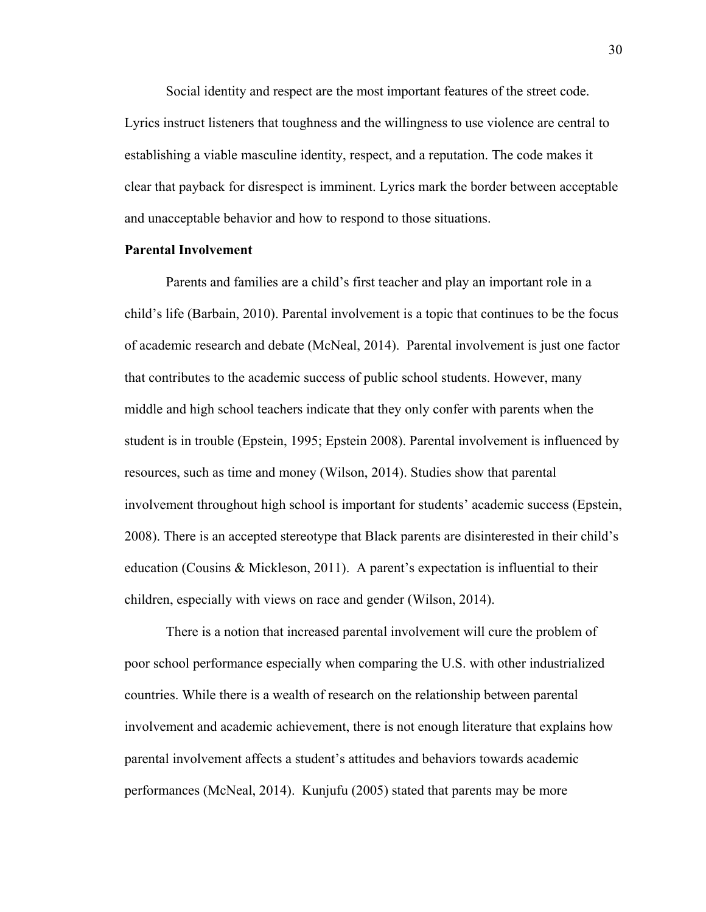Social identity and respect are the most important features of the street code. Lyrics instruct listeners that toughness and the willingness to use violence are central to establishing a viable masculine identity, respect, and a reputation. The code makes it clear that payback for disrespect is imminent. Lyrics mark the border between acceptable and unacceptable behavior and how to respond to those situations.

### **Parental Involvement**

 Parents and families are a child's first teacher and play an important role in a child's life (Barbain, 2010). Parental involvement is a topic that continues to be the focus of academic research and debate (McNeal, 2014). Parental involvement is just one factor that contributes to the academic success of public school students. However, many middle and high school teachers indicate that they only confer with parents when the student is in trouble (Epstein, 1995; Epstein 2008). Parental involvement is influenced by resources, such as time and money (Wilson, 2014). Studies show that parental involvement throughout high school is important for students' academic success (Epstein, 2008). There is an accepted stereotype that Black parents are disinterested in their child's education (Cousins & Mickleson, 2011). A parent's expectation is influential to their children, especially with views on race and gender (Wilson, 2014).

There is a notion that increased parental involvement will cure the problem of poor school performance especially when comparing the U.S. with other industrialized countries. While there is a wealth of research on the relationship between parental involvement and academic achievement, there is not enough literature that explains how parental involvement affects a student's attitudes and behaviors towards academic performances (McNeal, 2014). Kunjufu (2005) stated that parents may be more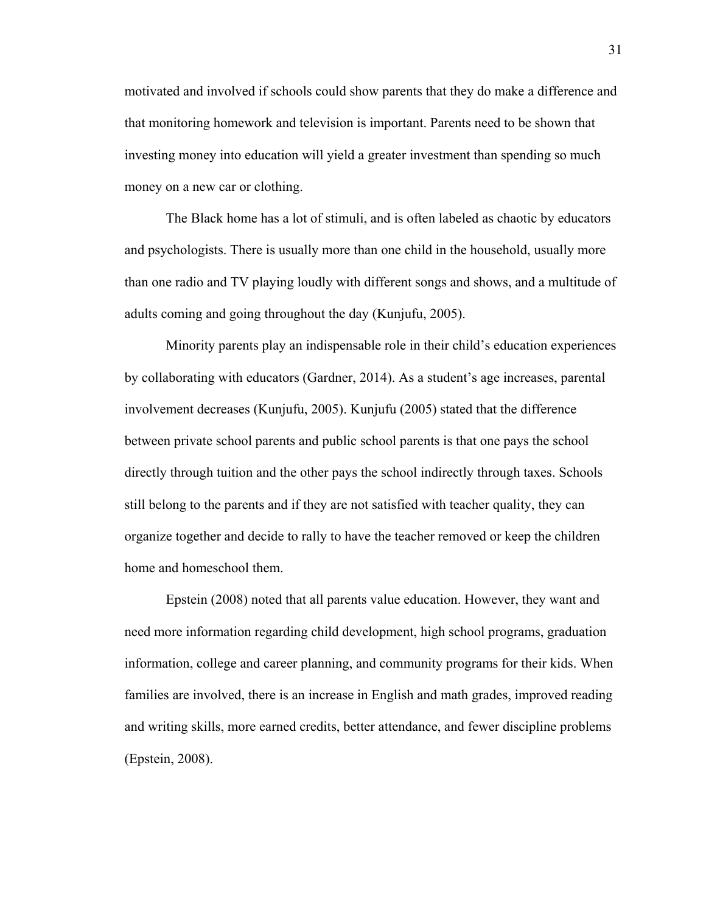motivated and involved if schools could show parents that they do make a difference and that monitoring homework and television is important. Parents need to be shown that investing money into education will yield a greater investment than spending so much money on a new car or clothing.

 The Black home has a lot of stimuli, and is often labeled as chaotic by educators and psychologists. There is usually more than one child in the household, usually more than one radio and TV playing loudly with different songs and shows, and a multitude of adults coming and going throughout the day (Kunjufu, 2005).

Minority parents play an indispensable role in their child's education experiences by collaborating with educators (Gardner, 2014). As a student's age increases, parental involvement decreases (Kunjufu, 2005). Kunjufu (2005) stated that the difference between private school parents and public school parents is that one pays the school directly through tuition and the other pays the school indirectly through taxes. Schools still belong to the parents and if they are not satisfied with teacher quality, they can organize together and decide to rally to have the teacher removed or keep the children home and homeschool them.

Epstein (2008) noted that all parents value education. However, they want and need more information regarding child development, high school programs, graduation information, college and career planning, and community programs for their kids. When families are involved, there is an increase in English and math grades, improved reading and writing skills, more earned credits, better attendance, and fewer discipline problems (Epstein, 2008).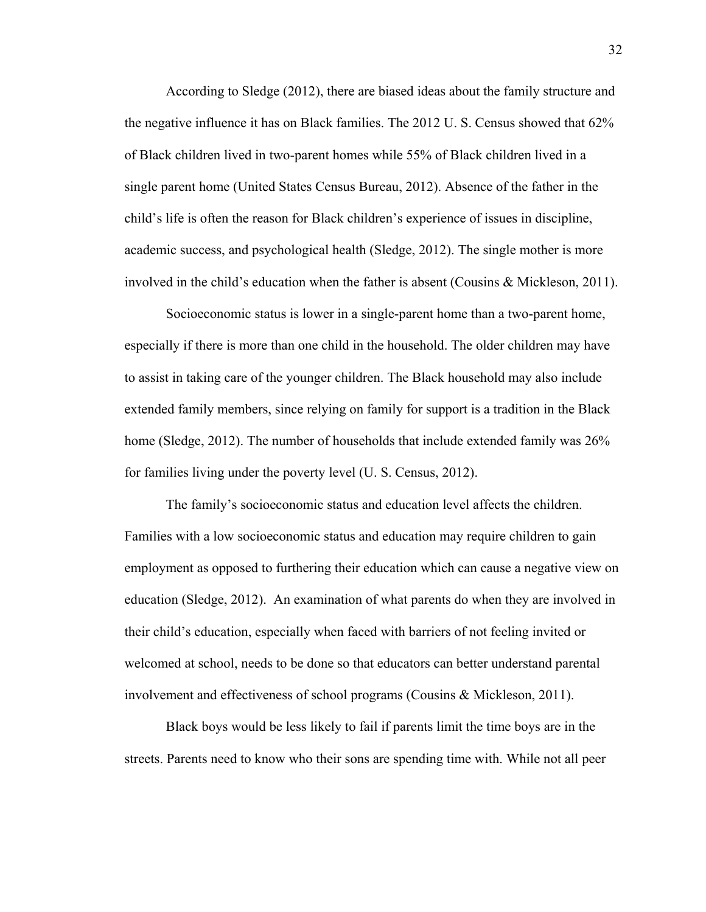According to Sledge (2012), there are biased ideas about the family structure and the negative influence it has on Black families. The 2012 U. S. Census showed that 62% of Black children lived in two-parent homes while 55% of Black children lived in a single parent home (United States Census Bureau, 2012). Absence of the father in the child's life is often the reason for Black children's experience of issues in discipline, academic success, and psychological health (Sledge, 2012). The single mother is more involved in the child's education when the father is absent (Cousins & Mickleson, 2011).

Socioeconomic status is lower in a single-parent home than a two-parent home, especially if there is more than one child in the household. The older children may have to assist in taking care of the younger children. The Black household may also include extended family members, since relying on family for support is a tradition in the Black home (Sledge, 2012). The number of households that include extended family was 26% for families living under the poverty level (U. S. Census, 2012).

The family's socioeconomic status and education level affects the children. Families with a low socioeconomic status and education may require children to gain employment as opposed to furthering their education which can cause a negative view on education (Sledge, 2012). An examination of what parents do when they are involved in their child's education, especially when faced with barriers of not feeling invited or welcomed at school, needs to be done so that educators can better understand parental involvement and effectiveness of school programs (Cousins & Mickleson, 2011).

Black boys would be less likely to fail if parents limit the time boys are in the streets. Parents need to know who their sons are spending time with. While not all peer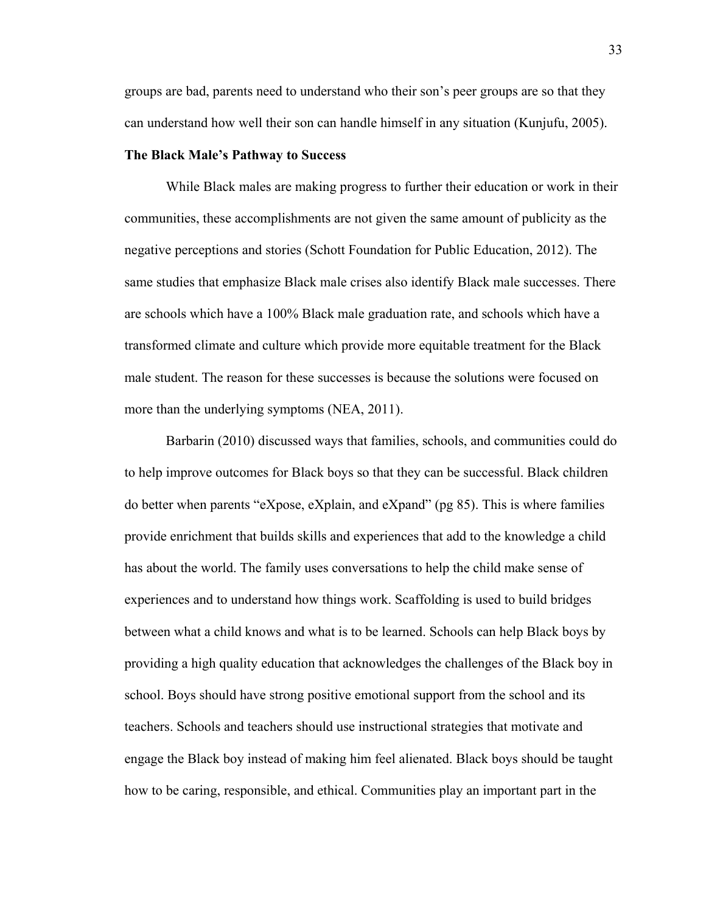groups are bad, parents need to understand who their son's peer groups are so that they can understand how well their son can handle himself in any situation (Kunjufu, 2005).

### **The Black Male's Pathway to Success**

While Black males are making progress to further their education or work in their communities, these accomplishments are not given the same amount of publicity as the negative perceptions and stories (Schott Foundation for Public Education, 2012). The same studies that emphasize Black male crises also identify Black male successes. There are schools which have a 100% Black male graduation rate, and schools which have a transformed climate and culture which provide more equitable treatment for the Black male student. The reason for these successes is because the solutions were focused on more than the underlying symptoms (NEA, 2011).

Barbarin (2010) discussed ways that families, schools, and communities could do to help improve outcomes for Black boys so that they can be successful. Black children do better when parents "eXpose, eXplain, and eXpand" (pg 85). This is where families provide enrichment that builds skills and experiences that add to the knowledge a child has about the world. The family uses conversations to help the child make sense of experiences and to understand how things work. Scaffolding is used to build bridges between what a child knows and what is to be learned. Schools can help Black boys by providing a high quality education that acknowledges the challenges of the Black boy in school. Boys should have strong positive emotional support from the school and its teachers. Schools and teachers should use instructional strategies that motivate and engage the Black boy instead of making him feel alienated. Black boys should be taught how to be caring, responsible, and ethical. Communities play an important part in the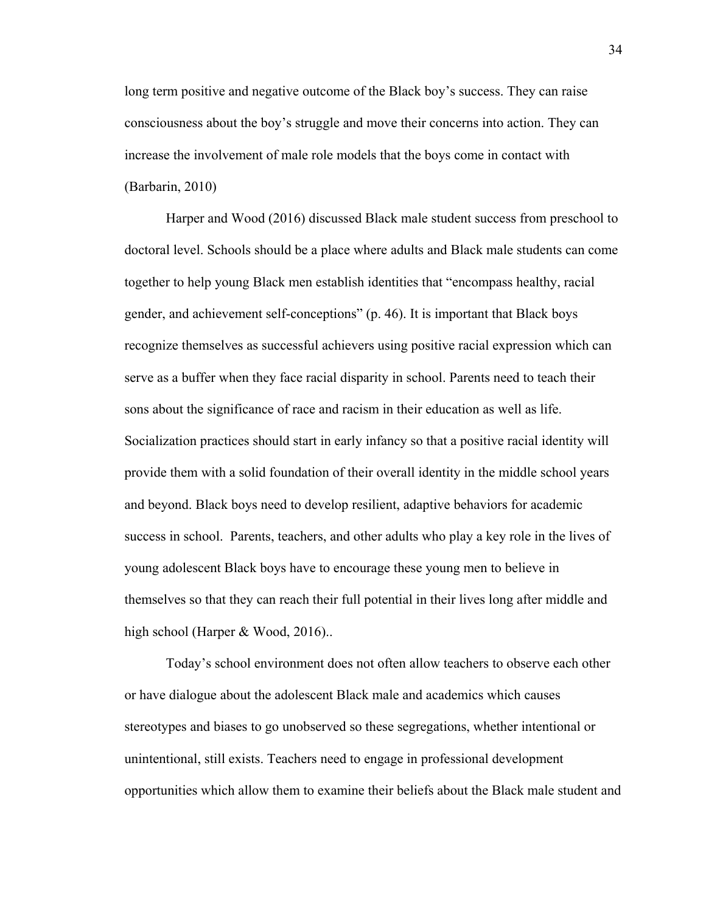long term positive and negative outcome of the Black boy's success. They can raise consciousness about the boy's struggle and move their concerns into action. They can increase the involvement of male role models that the boys come in contact with (Barbarin, 2010)

Harper and Wood (2016) discussed Black male student success from preschool to doctoral level. Schools should be a place where adults and Black male students can come together to help young Black men establish identities that "encompass healthy, racial gender, and achievement self-conceptions" (p. 46). It is important that Black boys recognize themselves as successful achievers using positive racial expression which can serve as a buffer when they face racial disparity in school. Parents need to teach their sons about the significance of race and racism in their education as well as life. Socialization practices should start in early infancy so that a positive racial identity will provide them with a solid foundation of their overall identity in the middle school years and beyond. Black boys need to develop resilient, adaptive behaviors for academic success in school. Parents, teachers, and other adults who play a key role in the lives of young adolescent Black boys have to encourage these young men to believe in themselves so that they can reach their full potential in their lives long after middle and high school (Harper & Wood, 2016)...

Today's school environment does not often allow teachers to observe each other or have dialogue about the adolescent Black male and academics which causes stereotypes and biases to go unobserved so these segregations, whether intentional or unintentional, still exists. Teachers need to engage in professional development opportunities which allow them to examine their beliefs about the Black male student and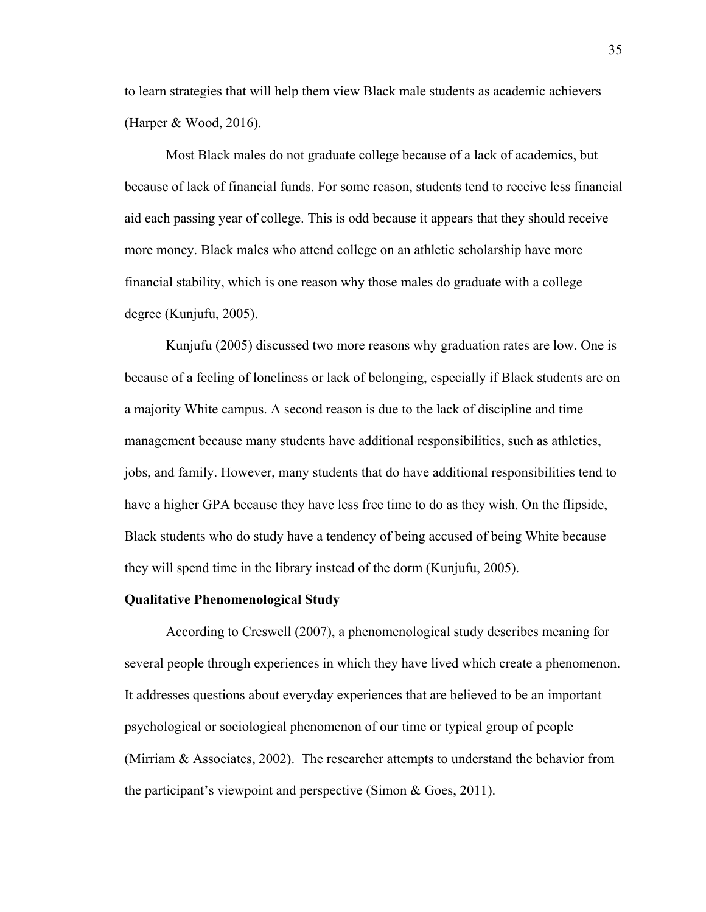to learn strategies that will help them view Black male students as academic achievers (Harper & Wood, 2016).

Most Black males do not graduate college because of a lack of academics, but because of lack of financial funds. For some reason, students tend to receive less financial aid each passing year of college. This is odd because it appears that they should receive more money. Black males who attend college on an athletic scholarship have more financial stability, which is one reason why those males do graduate with a college degree (Kunjufu, 2005).

Kunjufu (2005) discussed two more reasons why graduation rates are low. One is because of a feeling of loneliness or lack of belonging, especially if Black students are on a majority White campus. A second reason is due to the lack of discipline and time management because many students have additional responsibilities, such as athletics, jobs, and family. However, many students that do have additional responsibilities tend to have a higher GPA because they have less free time to do as they wish. On the flipside, Black students who do study have a tendency of being accused of being White because they will spend time in the library instead of the dorm (Kunjufu, 2005).

# **Qualitative Phenomenological Study**

According to Creswell (2007), a phenomenological study describes meaning for several people through experiences in which they have lived which create a phenomenon. It addresses questions about everyday experiences that are believed to be an important psychological or sociological phenomenon of our time or typical group of people (Mirriam & Associates, 2002). The researcher attempts to understand the behavior from the participant's viewpoint and perspective (Simon & Goes, 2011).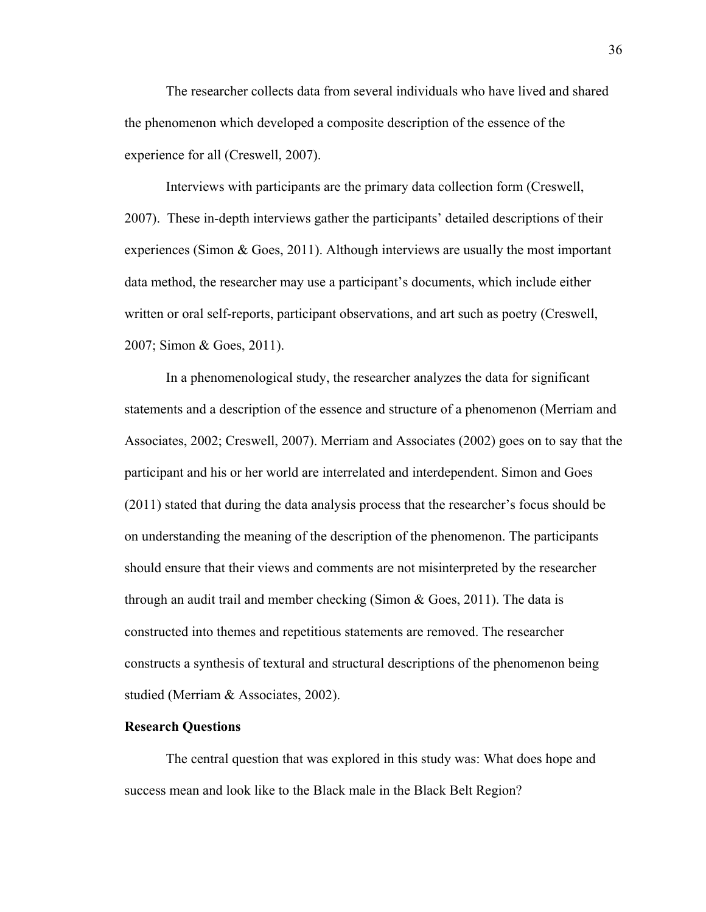The researcher collects data from several individuals who have lived and shared the phenomenon which developed a composite description of the essence of the experience for all (Creswell, 2007).

Interviews with participants are the primary data collection form (Creswell, 2007). These in-depth interviews gather the participants' detailed descriptions of their experiences (Simon & Goes, 2011). Although interviews are usually the most important data method, the researcher may use a participant's documents, which include either written or oral self-reports, participant observations, and art such as poetry (Creswell, 2007; Simon & Goes, 2011).

 In a phenomenological study, the researcher analyzes the data for significant statements and a description of the essence and structure of a phenomenon (Merriam and Associates, 2002; Creswell, 2007). Merriam and Associates (2002) goes on to say that the participant and his or her world are interrelated and interdependent. Simon and Goes (2011) stated that during the data analysis process that the researcher's focus should be on understanding the meaning of the description of the phenomenon. The participants should ensure that their views and comments are not misinterpreted by the researcher through an audit trail and member checking (Simon  $\&$  Goes, 2011). The data is constructed into themes and repetitious statements are removed. The researcher constructs a synthesis of textural and structural descriptions of the phenomenon being studied (Merriam & Associates, 2002).

### **Research Questions**

The central question that was explored in this study was: What does hope and success mean and look like to the Black male in the Black Belt Region?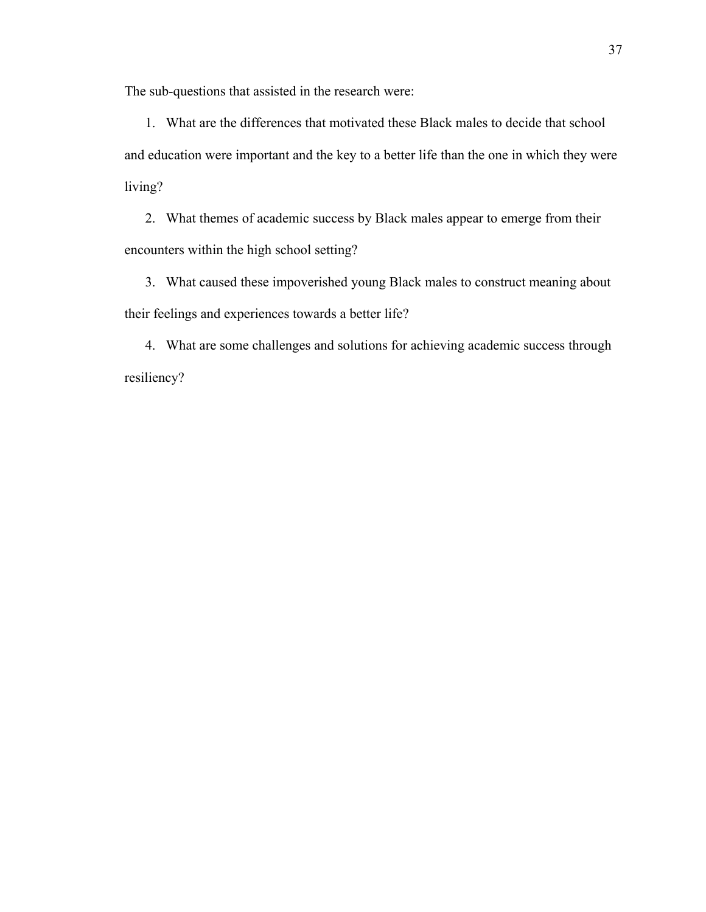The sub-questions that assisted in the research were:

1. What are the differences that motivated these Black males to decide that school and education were important and the key to a better life than the one in which they were living?

2. What themes of academic success by Black males appear to emerge from their encounters within the high school setting?

3. What caused these impoverished young Black males to construct meaning about their feelings and experiences towards a better life?

4. What are some challenges and solutions for achieving academic success through resiliency?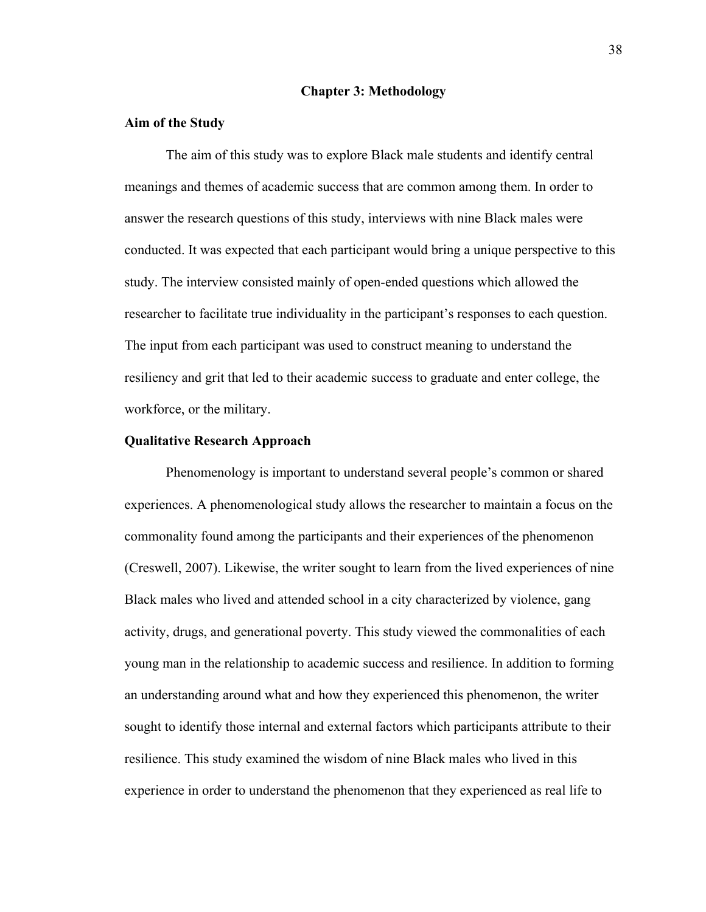#### **Chapter 3: Methodology**

# **Aim of the Study**

The aim of this study was to explore Black male students and identify central meanings and themes of academic success that are common among them. In order to answer the research questions of this study, interviews with nine Black males were conducted. It was expected that each participant would bring a unique perspective to this study. The interview consisted mainly of open-ended questions which allowed the researcher to facilitate true individuality in the participant's responses to each question. The input from each participant was used to construct meaning to understand the resiliency and grit that led to their academic success to graduate and enter college, the workforce, or the military.

#### **Qualitative Research Approach**

Phenomenology is important to understand several people's common or shared experiences. A phenomenological study allows the researcher to maintain a focus on the commonality found among the participants and their experiences of the phenomenon (Creswell, 2007). Likewise, the writer sought to learn from the lived experiences of nine Black males who lived and attended school in a city characterized by violence, gang activity, drugs, and generational poverty. This study viewed the commonalities of each young man in the relationship to academic success and resilience. In addition to forming an understanding around what and how they experienced this phenomenon, the writer sought to identify those internal and external factors which participants attribute to their resilience. This study examined the wisdom of nine Black males who lived in this experience in order to understand the phenomenon that they experienced as real life to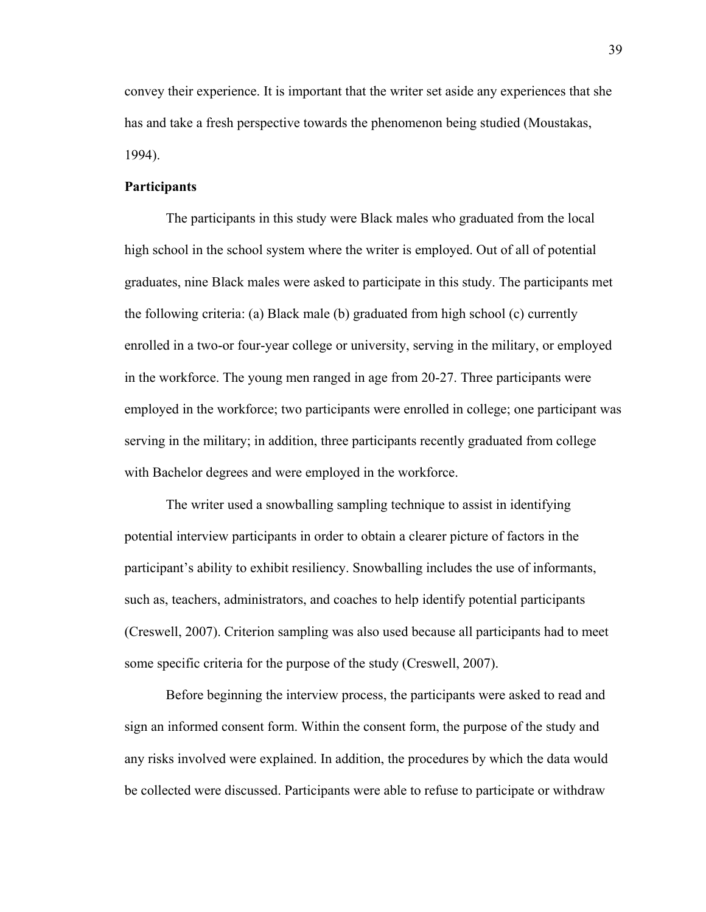convey their experience. It is important that the writer set aside any experiences that she has and take a fresh perspective towards the phenomenon being studied (Moustakas, 1994).

# **Participants**

The participants in this study were Black males who graduated from the local high school in the school system where the writer is employed. Out of all of potential graduates, nine Black males were asked to participate in this study. The participants met the following criteria: (a) Black male (b) graduated from high school (c) currently enrolled in a two-or four-year college or university, serving in the military, or employed in the workforce. The young men ranged in age from 20-27. Three participants were employed in the workforce; two participants were enrolled in college; one participant was serving in the military; in addition, three participants recently graduated from college with Bachelor degrees and were employed in the workforce.

The writer used a snowballing sampling technique to assist in identifying potential interview participants in order to obtain a clearer picture of factors in the participant's ability to exhibit resiliency. Snowballing includes the use of informants, such as, teachers, administrators, and coaches to help identify potential participants (Creswell, 2007). Criterion sampling was also used because all participants had to meet some specific criteria for the purpose of the study (Creswell, 2007).

Before beginning the interview process, the participants were asked to read and sign an informed consent form. Within the consent form, the purpose of the study and any risks involved were explained. In addition, the procedures by which the data would be collected were discussed. Participants were able to refuse to participate or withdraw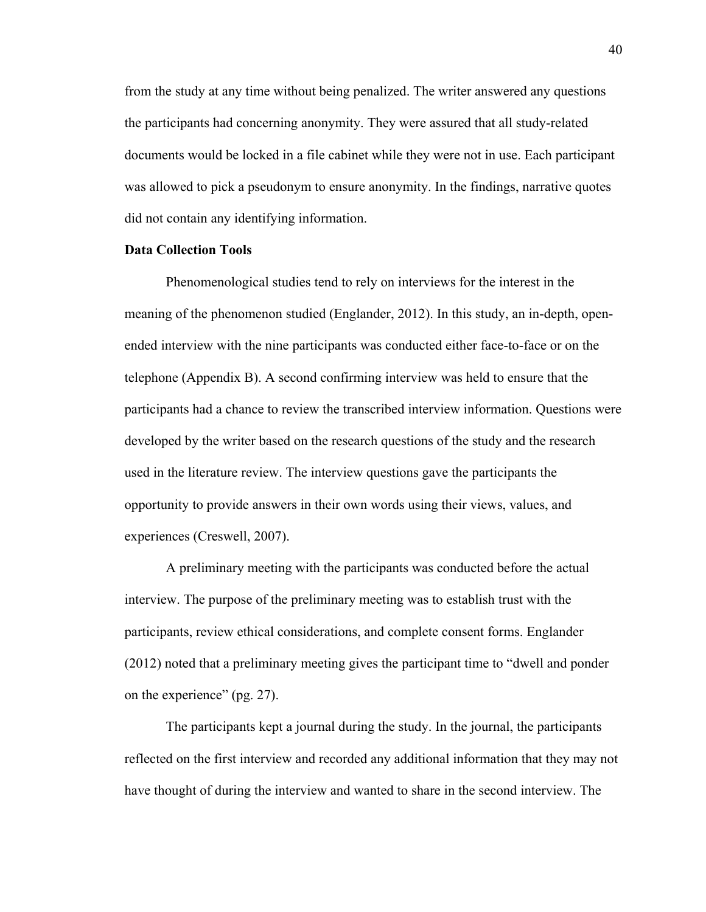from the study at any time without being penalized. The writer answered any questions the participants had concerning anonymity. They were assured that all study-related documents would be locked in a file cabinet while they were not in use. Each participant was allowed to pick a pseudonym to ensure anonymity. In the findings, narrative quotes did not contain any identifying information.

# **Data Collection Tools**

Phenomenological studies tend to rely on interviews for the interest in the meaning of the phenomenon studied (Englander, 2012). In this study, an in-depth, openended interview with the nine participants was conducted either face-to-face or on the telephone (Appendix B). A second confirming interview was held to ensure that the participants had a chance to review the transcribed interview information. Questions were developed by the writer based on the research questions of the study and the research used in the literature review. The interview questions gave the participants the opportunity to provide answers in their own words using their views, values, and experiences (Creswell, 2007).

 A preliminary meeting with the participants was conducted before the actual interview. The purpose of the preliminary meeting was to establish trust with the participants, review ethical considerations, and complete consent forms. Englander (2012) noted that a preliminary meeting gives the participant time to "dwell and ponder on the experience" (pg. 27).

The participants kept a journal during the study. In the journal, the participants reflected on the first interview and recorded any additional information that they may not have thought of during the interview and wanted to share in the second interview. The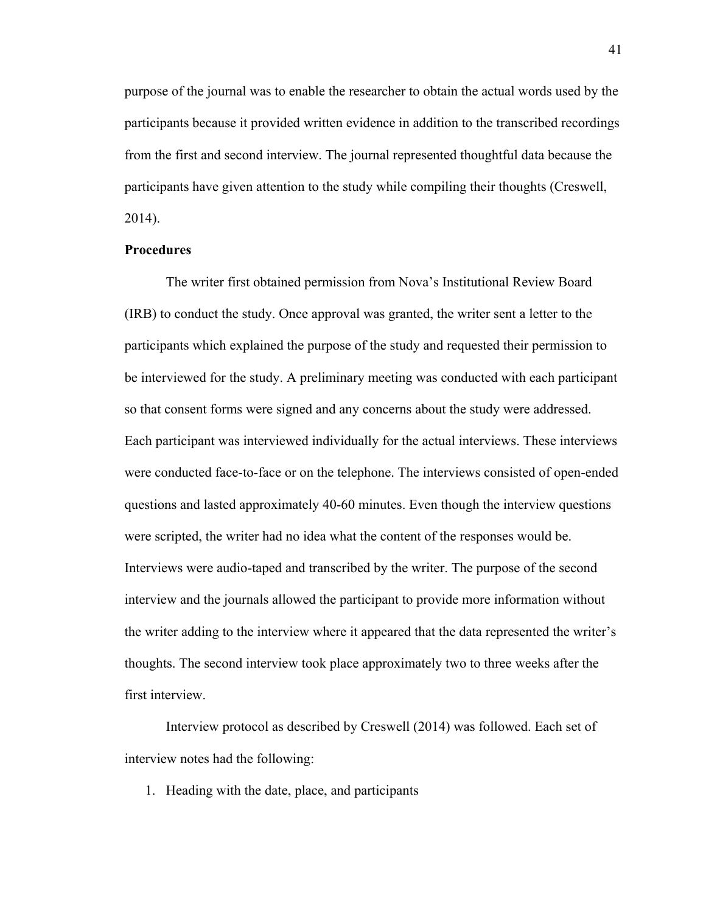purpose of the journal was to enable the researcher to obtain the actual words used by the participants because it provided written evidence in addition to the transcribed recordings from the first and second interview. The journal represented thoughtful data because the participants have given attention to the study while compiling their thoughts (Creswell, 2014).

# **Procedures**

 The writer first obtained permission from Nova's Institutional Review Board (IRB) to conduct the study. Once approval was granted, the writer sent a letter to the participants which explained the purpose of the study and requested their permission to be interviewed for the study. A preliminary meeting was conducted with each participant so that consent forms were signed and any concerns about the study were addressed. Each participant was interviewed individually for the actual interviews. These interviews were conducted face-to-face or on the telephone. The interviews consisted of open-ended questions and lasted approximately 40-60 minutes. Even though the interview questions were scripted, the writer had no idea what the content of the responses would be. Interviews were audio-taped and transcribed by the writer. The purpose of the second interview and the journals allowed the participant to provide more information without the writer adding to the interview where it appeared that the data represented the writer's thoughts. The second interview took place approximately two to three weeks after the first interview.

 Interview protocol as described by Creswell (2014) was followed. Each set of interview notes had the following:

1. Heading with the date, place, and participants

41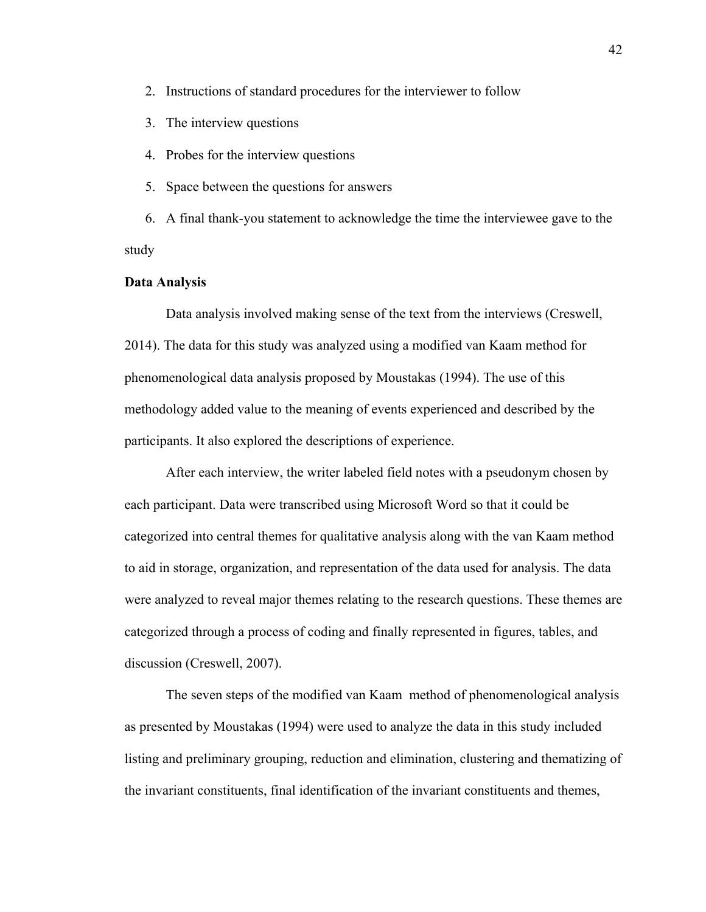- 2. Instructions of standard procedures for the interviewer to follow
- 3. The interview questions
- 4. Probes for the interview questions
- 5. Space between the questions for answers

6. A final thank-you statement to acknowledge the time the interviewee gave to the study

#### **Data Analysis**

Data analysis involved making sense of the text from the interviews (Creswell, 2014). The data for this study was analyzed using a modified van Kaam method for phenomenological data analysis proposed by Moustakas (1994). The use of this methodology added value to the meaning of events experienced and described by the participants. It also explored the descriptions of experience.

After each interview, the writer labeled field notes with a pseudonym chosen by each participant. Data were transcribed using Microsoft Word so that it could be categorized into central themes for qualitative analysis along with the van Kaam method to aid in storage, organization, and representation of the data used for analysis. The data were analyzed to reveal major themes relating to the research questions. These themes are categorized through a process of coding and finally represented in figures, tables, and discussion (Creswell, 2007).

The seven steps of the modified van Kaam method of phenomenological analysis as presented by Moustakas (1994) were used to analyze the data in this study included listing and preliminary grouping, reduction and elimination, clustering and thematizing of the invariant constituents, final identification of the invariant constituents and themes,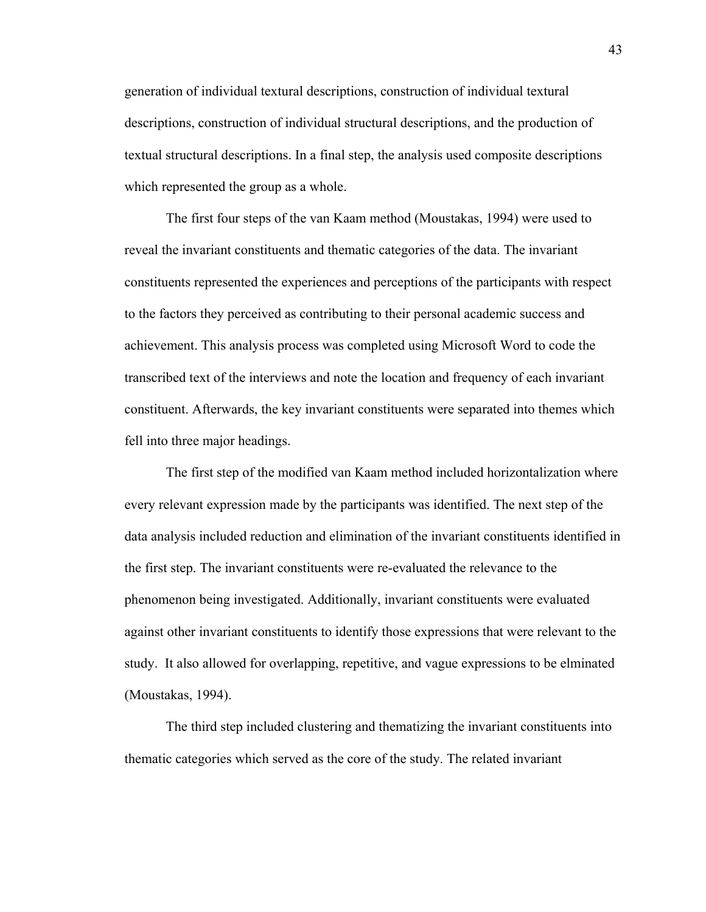generation of individual textural descriptions, construction of individual textural descriptions, construction of individual structural descriptions, and the production of textual structural descriptions. In a final step, the analysis used composite descriptions which represented the group as a whole.

The first four steps of the van Kaam method (Moustakas, 1994) were used to reveal the invariant constituents and thematic categories of the data. The invariant constituents represented the experiences and perceptions of the participants with respect to the factors they perceived as contributing to their personal academic success and achievement. This analysis process was completed using Microsoft Word to code the transcribed text of the interviews and note the location and frequency of each invariant constituent. Afterwards, the key invariant constituents were separated into themes which fell into three major headings.

The first step of the modified van Kaam method included horizontalization where every relevant expression made by the participants was identified. The next step of the data analysis included reduction and elimination of the invariant constituents identified in the first step. The invariant constituents were re-evaluated the relevance to the phenomenon being investigated. Additionally, invariant constituents were evaluated against other invariant constituents to identify those expressions that were relevant to the study. It also allowed for overlapping, repetitive, and vague expressions to be elminated (Moustakas, 1994).

The third step included clustering and thematizing the invariant constituents into thematic categories which served as the core of the study. The related invariant

43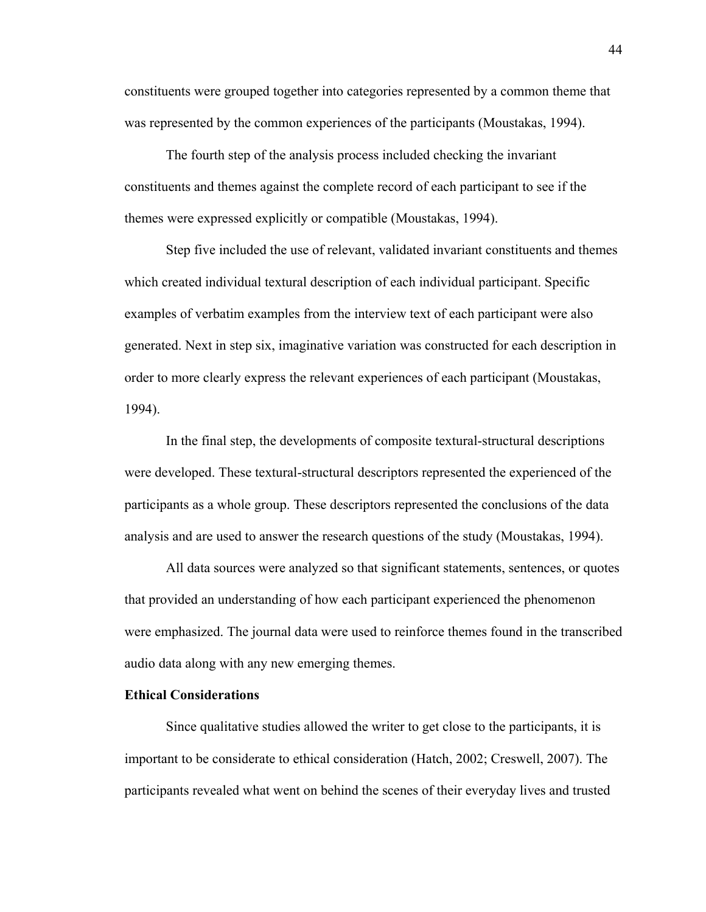constituents were grouped together into categories represented by a common theme that was represented by the common experiences of the participants (Moustakas, 1994).

The fourth step of the analysis process included checking the invariant constituents and themes against the complete record of each participant to see if the themes were expressed explicitly or compatible (Moustakas, 1994).

 Step five included the use of relevant, validated invariant constituents and themes which created individual textural description of each individual participant. Specific examples of verbatim examples from the interview text of each participant were also generated. Next in step six, imaginative variation was constructed for each description in order to more clearly express the relevant experiences of each participant (Moustakas, 1994).

 In the final step, the developments of composite textural-structural descriptions were developed. These textural-structural descriptors represented the experienced of the participants as a whole group. These descriptors represented the conclusions of the data analysis and are used to answer the research questions of the study (Moustakas, 1994).

All data sources were analyzed so that significant statements, sentences, or quotes that provided an understanding of how each participant experienced the phenomenon were emphasized. The journal data were used to reinforce themes found in the transcribed audio data along with any new emerging themes.

# **Ethical Considerations**

Since qualitative studies allowed the writer to get close to the participants, it is important to be considerate to ethical consideration (Hatch, 2002; Creswell, 2007). The participants revealed what went on behind the scenes of their everyday lives and trusted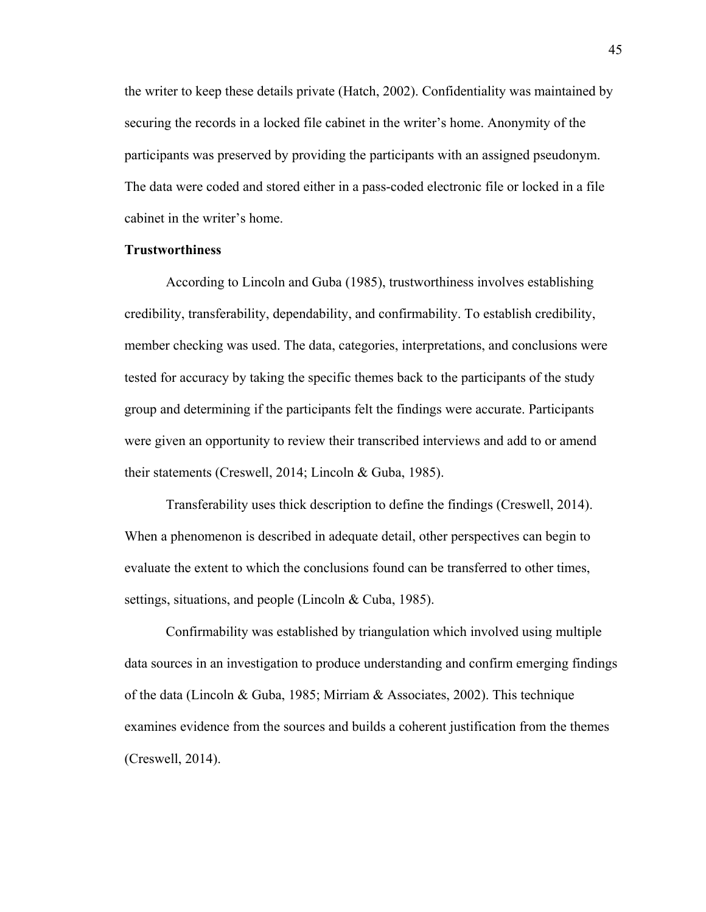the writer to keep these details private (Hatch, 2002). Confidentiality was maintained by securing the records in a locked file cabinet in the writer's home. Anonymity of the participants was preserved by providing the participants with an assigned pseudonym. The data were coded and stored either in a pass-coded electronic file or locked in a file cabinet in the writer's home.

# **Trustworthiness**

 According to Lincoln and Guba (1985), trustworthiness involves establishing credibility, transferability, dependability, and confirmability. To establish credibility, member checking was used. The data, categories, interpretations, and conclusions were tested for accuracy by taking the specific themes back to the participants of the study group and determining if the participants felt the findings were accurate. Participants were given an opportunity to review their transcribed interviews and add to or amend their statements (Creswell, 2014; Lincoln & Guba, 1985).

Transferability uses thick description to define the findings (Creswell, 2014). When a phenomenon is described in adequate detail, other perspectives can begin to evaluate the extent to which the conclusions found can be transferred to other times, settings, situations, and people (Lincoln & Cuba, 1985).

Confirmability was established by triangulation which involved using multiple data sources in an investigation to produce understanding and confirm emerging findings of the data (Lincoln & Guba, 1985; Mirriam & Associates, 2002). This technique examines evidence from the sources and builds a coherent justification from the themes (Creswell, 2014).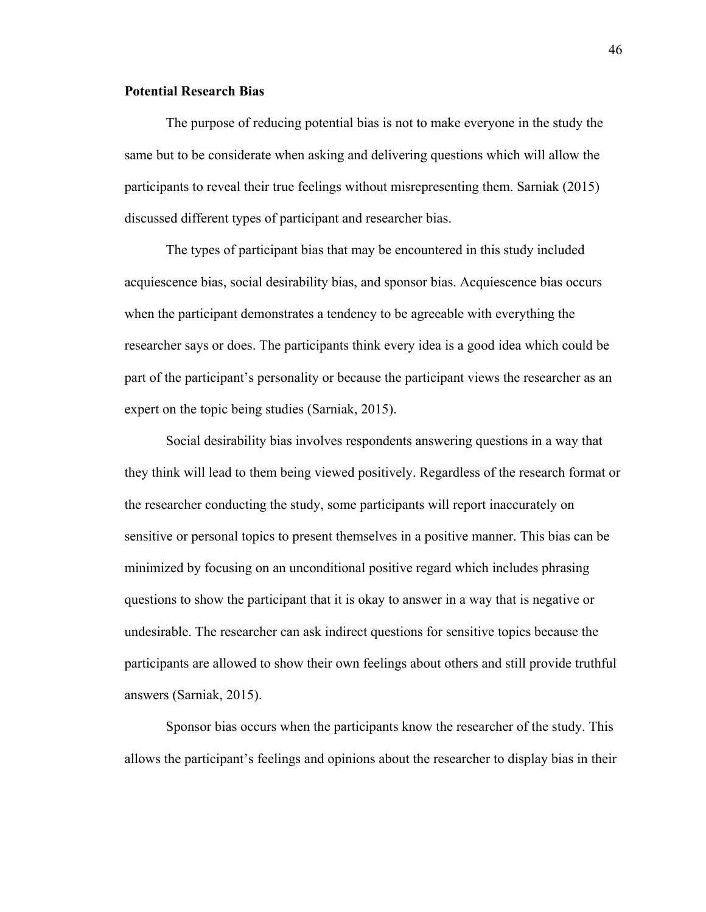# **Potential Research Bias**

The purpose of reducing potential bias is not to make everyone in the study the same but to be considerate when asking and delivering questions which will allow the participants to reveal their true feelings without misrepresenting them. Sarniak (2015) discussed different types of participant and researcher bias.

 The types of participant bias that may be encountered in this study included acquiescence bias, social desirability bias, and sponsor bias. Acquiescence bias occurs when the participant demonstrates a tendency to be agreeable with everything the researcher says or does. The participants think every idea is a good idea which could be part of the participant's personality or because the participant views the researcher as an expert on the topic being studies (Sarniak, 2015).

Social desirability bias involves respondents answering questions in a way that they think will lead to them being viewed positively. Regardless of the research format or the researcher conducting the study, some participants will report inaccurately on sensitive or personal topics to present themselves in a positive manner. This bias can be minimized by focusing on an unconditional positive regard which includes phrasing questions to show the participant that it is okay to answer in a way that is negative or undesirable. The researcher can ask indirect questions for sensitive topics because the participants are allowed to show their own feelings about others and still provide truthful answers (Sarniak, 2015).

Sponsor bias occurs when the participants know the researcher of the study. This allows the participant's feelings and opinions about the researcher to display bias in their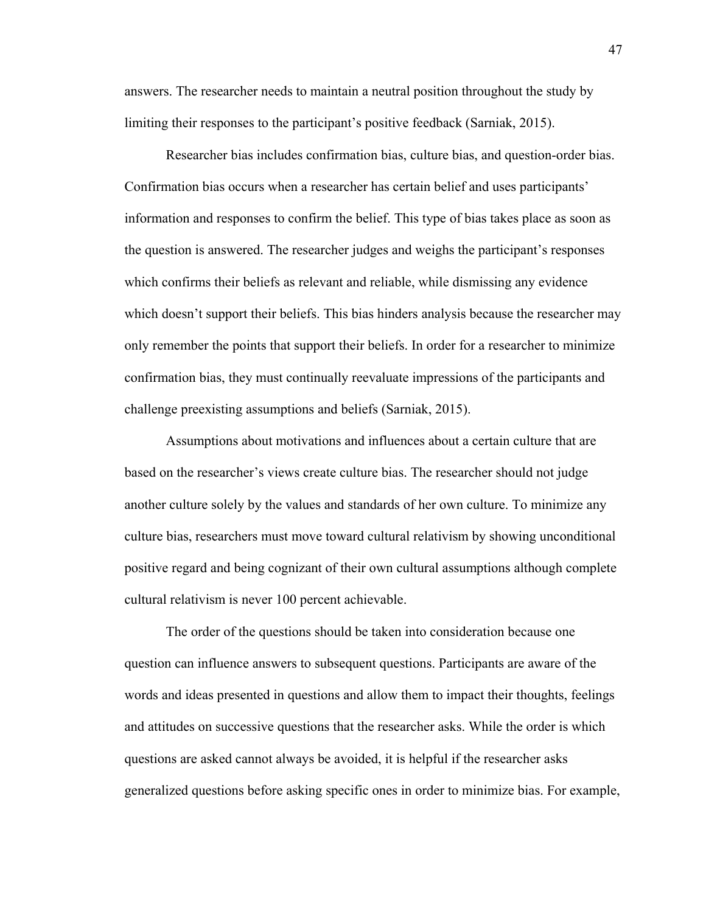answers. The researcher needs to maintain a neutral position throughout the study by limiting their responses to the participant's positive feedback (Sarniak, 2015).

Researcher bias includes confirmation bias, culture bias, and question-order bias. Confirmation bias occurs when a researcher has certain belief and uses participants' information and responses to confirm the belief. This type of bias takes place as soon as the question is answered. The researcher judges and weighs the participant's responses which confirms their beliefs as relevant and reliable, while dismissing any evidence which doesn't support their beliefs. This bias hinders analysis because the researcher may only remember the points that support their beliefs. In order for a researcher to minimize confirmation bias, they must continually reevaluate impressions of the participants and challenge preexisting assumptions and beliefs (Sarniak, 2015).

Assumptions about motivations and influences about a certain culture that are based on the researcher's views create culture bias. The researcher should not judge another culture solely by the values and standards of her own culture. To minimize any culture bias, researchers must move toward cultural relativism by showing unconditional positive regard and being cognizant of their own cultural assumptions although complete cultural relativism is never 100 percent achievable.

The order of the questions should be taken into consideration because one question can influence answers to subsequent questions. Participants are aware of the words and ideas presented in questions and allow them to impact their thoughts, feelings and attitudes on successive questions that the researcher asks. While the order is which questions are asked cannot always be avoided, it is helpful if the researcher asks generalized questions before asking specific ones in order to minimize bias. For example,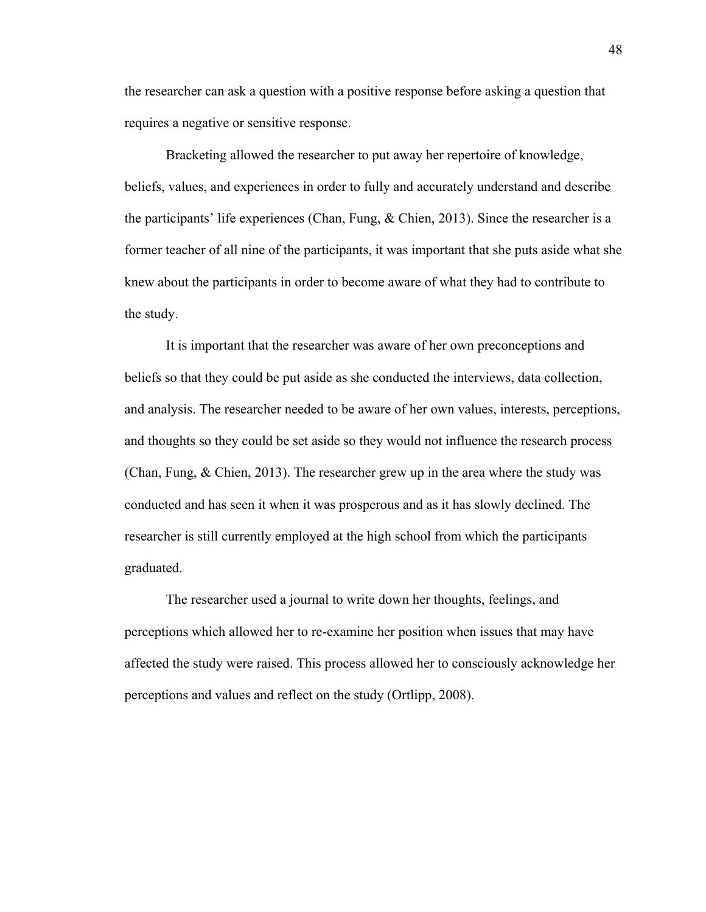the researcher can ask a question with a positive response before asking a question that requires a negative or sensitive response.

Bracketing allowed the researcher to put away her repertoire of knowledge, beliefs, values, and experiences in order to fully and accurately understand and describe the participants' life experiences (Chan, Fung, & Chien, 2013). Since the researcher is a former teacher of all nine of the participants, it was important that she puts aside what she knew about the participants in order to become aware of what they had to contribute to the study.

It is important that the researcher was aware of her own preconceptions and beliefs so that they could be put aside as she conducted the interviews, data collection, and analysis. The researcher needed to be aware of her own values, interests, perceptions, and thoughts so they could be set aside so they would not influence the research process (Chan, Fung, & Chien, 2013). The researcher grew up in the area where the study was conducted and has seen it when it was prosperous and as it has slowly declined. The researcher is still currently employed at the high school from which the participants graduated.

The researcher used a journal to write down her thoughts, feelings, and perceptions which allowed her to re-examine her position when issues that may have affected the study were raised. This process allowed her to consciously acknowledge her perceptions and values and reflect on the study (Ortlipp, 2008).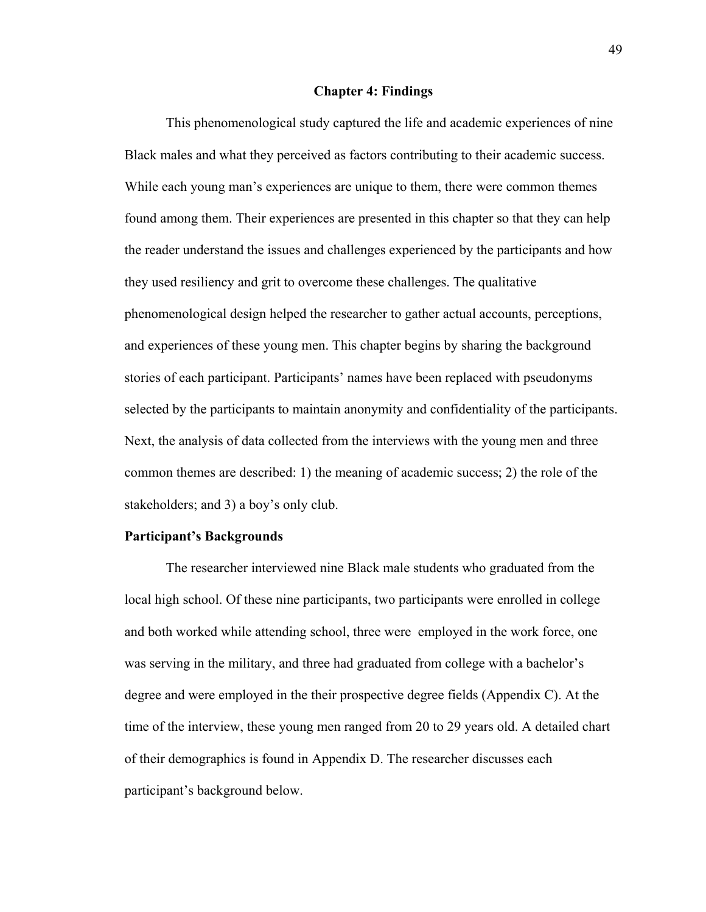#### **Chapter 4: Findings**

This phenomenological study captured the life and academic experiences of nine Black males and what they perceived as factors contributing to their academic success. While each young man's experiences are unique to them, there were common themes found among them. Their experiences are presented in this chapter so that they can help the reader understand the issues and challenges experienced by the participants and how they used resiliency and grit to overcome these challenges. The qualitative phenomenological design helped the researcher to gather actual accounts, perceptions, and experiences of these young men. This chapter begins by sharing the background stories of each participant. Participants' names have been replaced with pseudonyms selected by the participants to maintain anonymity and confidentiality of the participants. Next, the analysis of data collected from the interviews with the young men and three common themes are described: 1) the meaning of academic success; 2) the role of the stakeholders; and 3) a boy's only club.

#### **Participant's Backgrounds**

The researcher interviewed nine Black male students who graduated from the local high school. Of these nine participants, two participants were enrolled in college and both worked while attending school, three were employed in the work force, one was serving in the military, and three had graduated from college with a bachelor's degree and were employed in the their prospective degree fields (Appendix C). At the time of the interview, these young men ranged from 20 to 29 years old. A detailed chart of their demographics is found in Appendix D. The researcher discusses each participant's background below.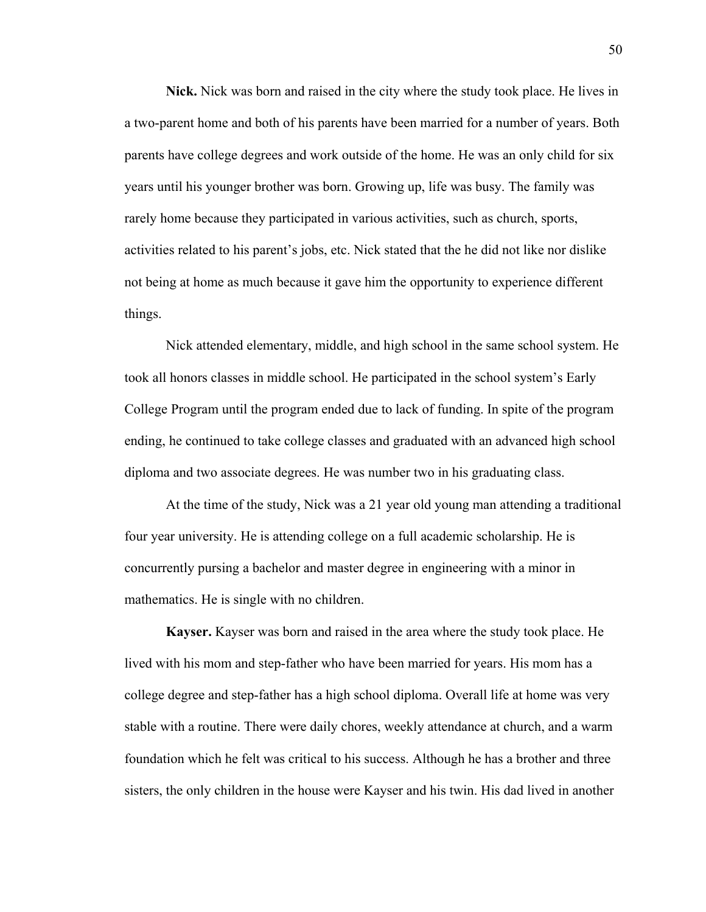**Nick.** Nick was born and raised in the city where the study took place. He lives in a two-parent home and both of his parents have been married for a number of years. Both parents have college degrees and work outside of the home. He was an only child for six years until his younger brother was born. Growing up, life was busy. The family was rarely home because they participated in various activities, such as church, sports, activities related to his parent's jobs, etc. Nick stated that the he did not like nor dislike not being at home as much because it gave him the opportunity to experience different things.

Nick attended elementary, middle, and high school in the same school system. He took all honors classes in middle school. He participated in the school system's Early College Program until the program ended due to lack of funding. In spite of the program ending, he continued to take college classes and graduated with an advanced high school diploma and two associate degrees. He was number two in his graduating class.

At the time of the study, Nick was a 21 year old young man attending a traditional four year university. He is attending college on a full academic scholarship. He is concurrently pursing a bachelor and master degree in engineering with a minor in mathematics. He is single with no children.

**Kayser.** Kayser was born and raised in the area where the study took place. He lived with his mom and step-father who have been married for years. His mom has a college degree and step-father has a high school diploma. Overall life at home was very stable with a routine. There were daily chores, weekly attendance at church, and a warm foundation which he felt was critical to his success. Although he has a brother and three sisters, the only children in the house were Kayser and his twin. His dad lived in another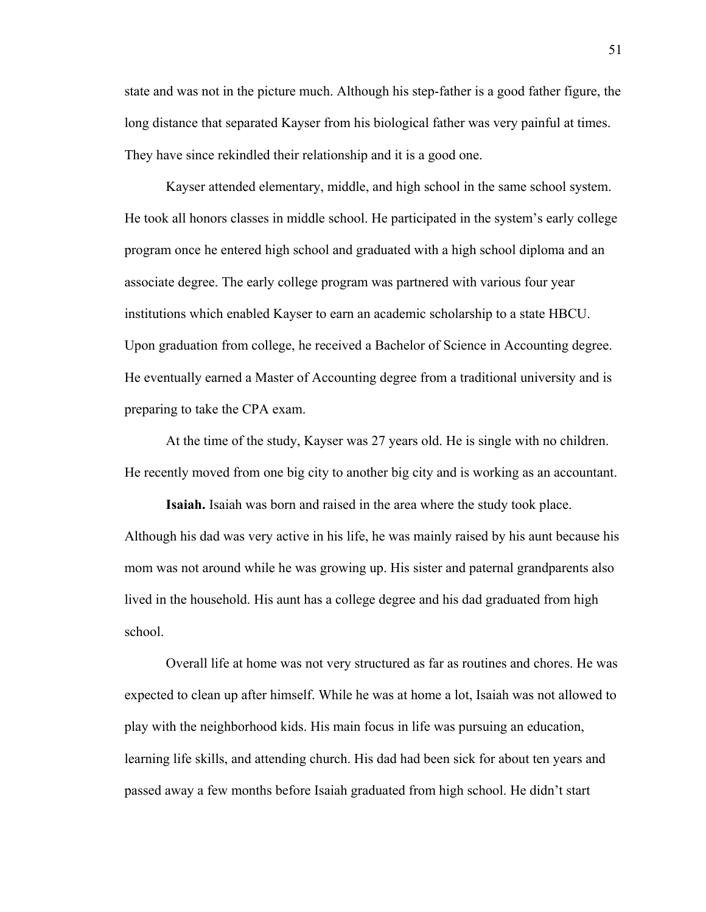state and was not in the picture much. Although his step-father is a good father figure, the long distance that separated Kayser from his biological father was very painful at times. They have since rekindled their relationship and it is a good one.

 Kayser attended elementary, middle, and high school in the same school system. He took all honors classes in middle school. He participated in the system's early college program once he entered high school and graduated with a high school diploma and an associate degree. The early college program was partnered with various four year institutions which enabled Kayser to earn an academic scholarship to a state HBCU. Upon graduation from college, he received a Bachelor of Science in Accounting degree. He eventually earned a Master of Accounting degree from a traditional university and is preparing to take the CPA exam.

At the time of the study, Kayser was 27 years old. He is single with no children. He recently moved from one big city to another big city and is working as an accountant.

**Isaiah.** Isaiah was born and raised in the area where the study took place. Although his dad was very active in his life, he was mainly raised by his aunt because his mom was not around while he was growing up. His sister and paternal grandparents also lived in the household. His aunt has a college degree and his dad graduated from high school.

Overall life at home was not very structured as far as routines and chores. He was expected to clean up after himself. While he was at home a lot, Isaiah was not allowed to play with the neighborhood kids. His main focus in life was pursuing an education, learning life skills, and attending church. His dad had been sick for about ten years and passed away a few months before Isaiah graduated from high school. He didn't start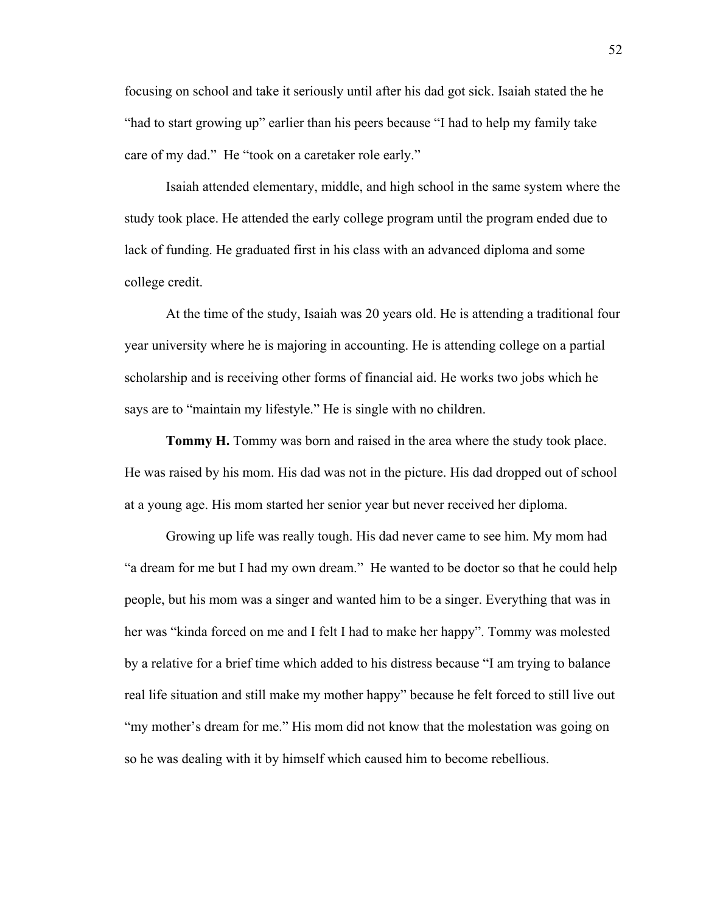focusing on school and take it seriously until after his dad got sick. Isaiah stated the he "had to start growing up" earlier than his peers because "I had to help my family take care of my dad." He "took on a caretaker role early."

Isaiah attended elementary, middle, and high school in the same system where the study took place. He attended the early college program until the program ended due to lack of funding. He graduated first in his class with an advanced diploma and some college credit.

At the time of the study, Isaiah was 20 years old. He is attending a traditional four year university where he is majoring in accounting. He is attending college on a partial scholarship and is receiving other forms of financial aid. He works two jobs which he says are to "maintain my lifestyle." He is single with no children.

**Tommy H.** Tommy was born and raised in the area where the study took place. He was raised by his mom. His dad was not in the picture. His dad dropped out of school at a young age. His mom started her senior year but never received her diploma.

Growing up life was really tough. His dad never came to see him. My mom had "a dream for me but I had my own dream." He wanted to be doctor so that he could help people, but his mom was a singer and wanted him to be a singer. Everything that was in her was "kinda forced on me and I felt I had to make her happy". Tommy was molested by a relative for a brief time which added to his distress because "I am trying to balance real life situation and still make my mother happy" because he felt forced to still live out "my mother's dream for me." His mom did not know that the molestation was going on so he was dealing with it by himself which caused him to become rebellious.

52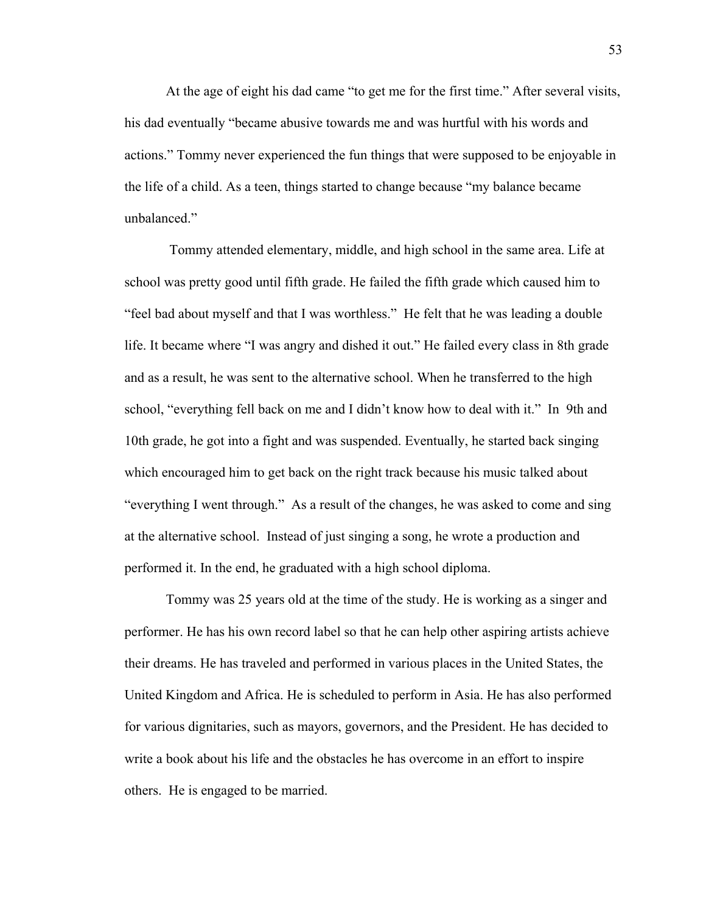At the age of eight his dad came "to get me for the first time." After several visits, his dad eventually "became abusive towards me and was hurtful with his words and actions." Tommy never experienced the fun things that were supposed to be enjoyable in the life of a child. As a teen, things started to change because "my balance became unbalanced."

 Tommy attended elementary, middle, and high school in the same area. Life at school was pretty good until fifth grade. He failed the fifth grade which caused him to "feel bad about myself and that I was worthless." He felt that he was leading a double life. It became where "I was angry and dished it out." He failed every class in 8th grade and as a result, he was sent to the alternative school. When he transferred to the high school, "everything fell back on me and I didn't know how to deal with it." In 9th and 10th grade, he got into a fight and was suspended. Eventually, he started back singing which encouraged him to get back on the right track because his music talked about "everything I went through." As a result of the changes, he was asked to come and sing at the alternative school. Instead of just singing a song, he wrote a production and performed it. In the end, he graduated with a high school diploma.

 Tommy was 25 years old at the time of the study. He is working as a singer and performer. He has his own record label so that he can help other aspiring artists achieve their dreams. He has traveled and performed in various places in the United States, the United Kingdom and Africa. He is scheduled to perform in Asia. He has also performed for various dignitaries, such as mayors, governors, and the President. He has decided to write a book about his life and the obstacles he has overcome in an effort to inspire others. He is engaged to be married.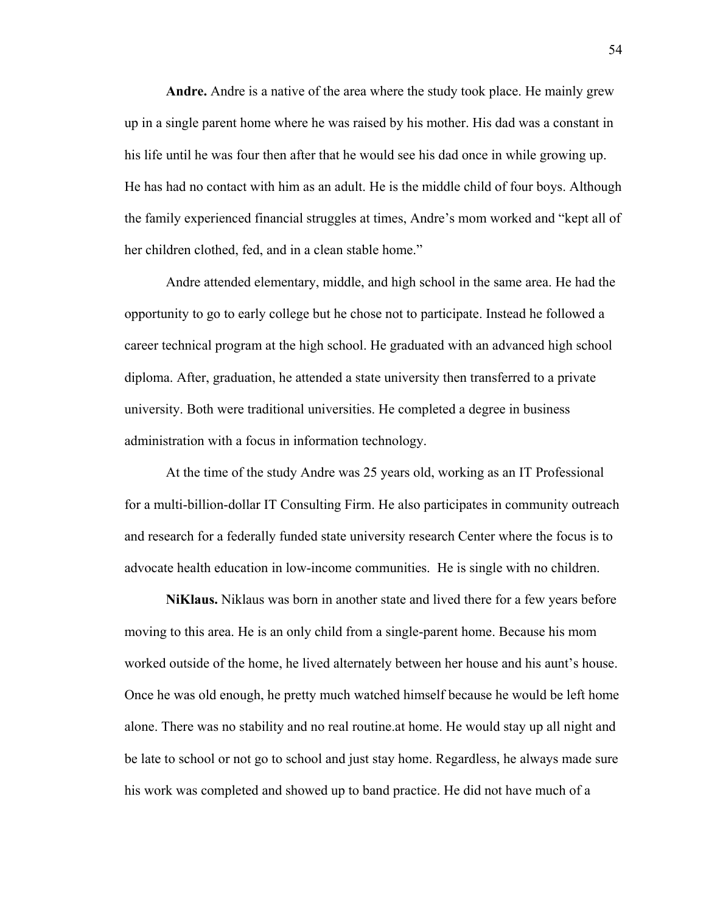**Andre.** Andre is a native of the area where the study took place. He mainly grew up in a single parent home where he was raised by his mother. His dad was a constant in his life until he was four then after that he would see his dad once in while growing up. He has had no contact with him as an adult. He is the middle child of four boys. Although the family experienced financial struggles at times, Andre's mom worked and "kept all of her children clothed, fed, and in a clean stable home."

 Andre attended elementary, middle, and high school in the same area. He had the opportunity to go to early college but he chose not to participate. Instead he followed a career technical program at the high school. He graduated with an advanced high school diploma. After, graduation, he attended a state university then transferred to a private university. Both were traditional universities. He completed a degree in business administration with a focus in information technology.

At the time of the study Andre was 25 years old, working as an IT Professional for a multi-billion-dollar IT Consulting Firm. He also participates in community outreach and research for a federally funded state university research Center where the focus is to advocate health education in low-income communities. He is single with no children.

**NiKlaus.** Niklaus was born in another state and lived there for a few years before moving to this area. He is an only child from a single-parent home. Because his mom worked outside of the home, he lived alternately between her house and his aunt's house. Once he was old enough, he pretty much watched himself because he would be left home alone. There was no stability and no real routine.at home. He would stay up all night and be late to school or not go to school and just stay home. Regardless, he always made sure his work was completed and showed up to band practice. He did not have much of a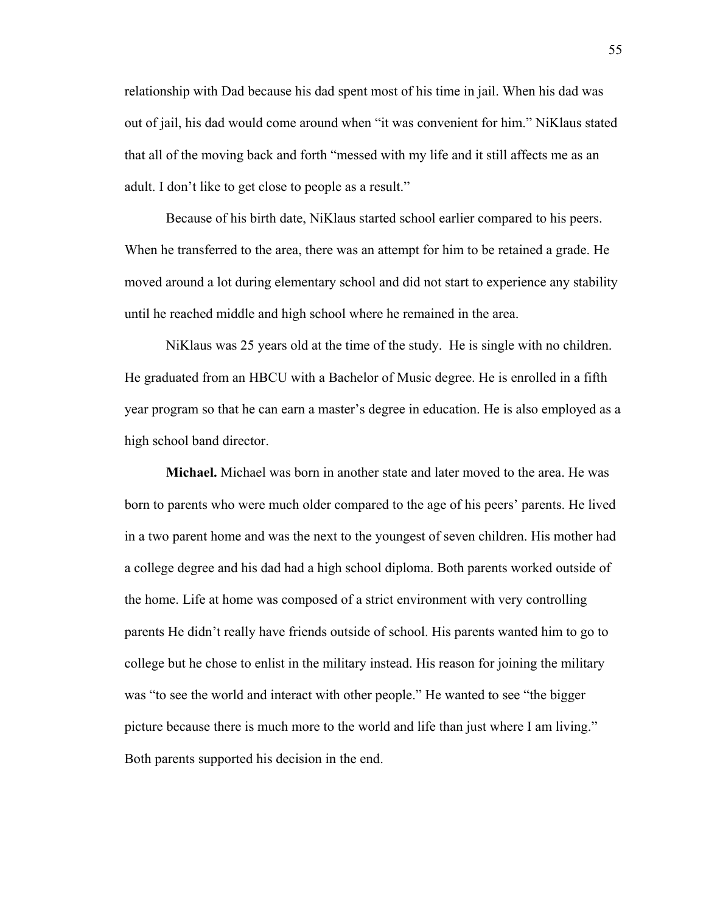relationship with Dad because his dad spent most of his time in jail. When his dad was out of jail, his dad would come around when "it was convenient for him." NiKlaus stated that all of the moving back and forth "messed with my life and it still affects me as an adult. I don't like to get close to people as a result."

Because of his birth date, NiKlaus started school earlier compared to his peers. When he transferred to the area, there was an attempt for him to be retained a grade. He moved around a lot during elementary school and did not start to experience any stability until he reached middle and high school where he remained in the area.

NiKlaus was 25 years old at the time of the study. He is single with no children. He graduated from an HBCU with a Bachelor of Music degree. He is enrolled in a fifth year program so that he can earn a master's degree in education. He is also employed as a high school band director.

**Michael.** Michael was born in another state and later moved to the area. He was born to parents who were much older compared to the age of his peers' parents. He lived in a two parent home and was the next to the youngest of seven children. His mother had a college degree and his dad had a high school diploma. Both parents worked outside of the home. Life at home was composed of a strict environment with very controlling parents He didn't really have friends outside of school. His parents wanted him to go to college but he chose to enlist in the military instead. His reason for joining the military was "to see the world and interact with other people." He wanted to see "the bigger picture because there is much more to the world and life than just where I am living." Both parents supported his decision in the end.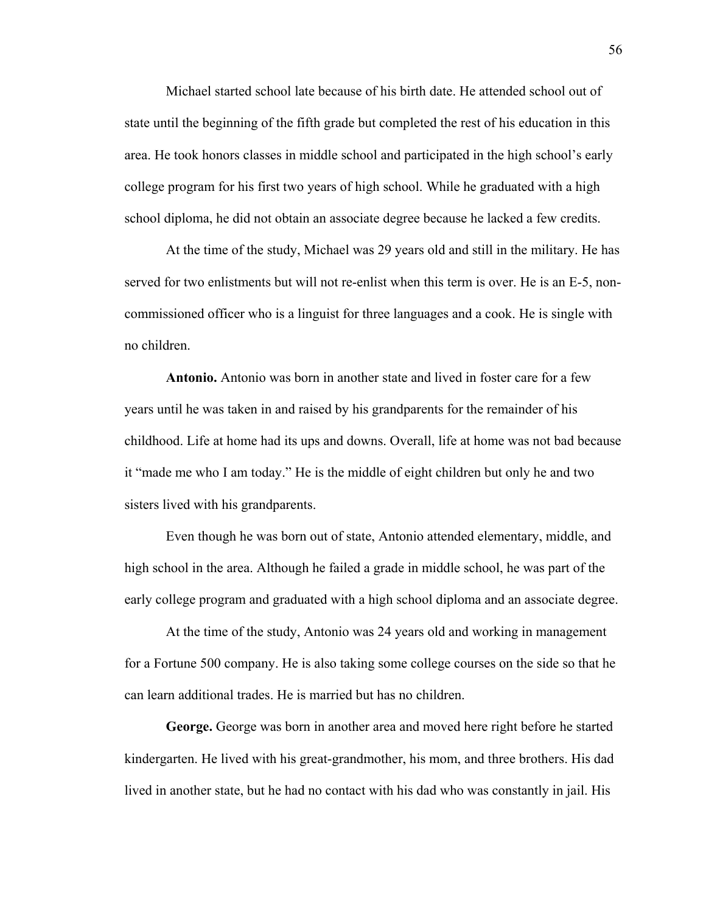Michael started school late because of his birth date. He attended school out of state until the beginning of the fifth grade but completed the rest of his education in this area. He took honors classes in middle school and participated in the high school's early college program for his first two years of high school. While he graduated with a high school diploma, he did not obtain an associate degree because he lacked a few credits.

At the time of the study, Michael was 29 years old and still in the military. He has served for two enlistments but will not re-enlist when this term is over. He is an E-5, noncommissioned officer who is a linguist for three languages and a cook. He is single with no children.

**Antonio.** Antonio was born in another state and lived in foster care for a few years until he was taken in and raised by his grandparents for the remainder of his childhood. Life at home had its ups and downs. Overall, life at home was not bad because it "made me who I am today." He is the middle of eight children but only he and two sisters lived with his grandparents.

 Even though he was born out of state, Antonio attended elementary, middle, and high school in the area. Although he failed a grade in middle school, he was part of the early college program and graduated with a high school diploma and an associate degree.

 At the time of the study, Antonio was 24 years old and working in management for a Fortune 500 company. He is also taking some college courses on the side so that he can learn additional trades. He is married but has no children.

**George.** George was born in another area and moved here right before he started kindergarten. He lived with his great-grandmother, his mom, and three brothers. His dad lived in another state, but he had no contact with his dad who was constantly in jail. His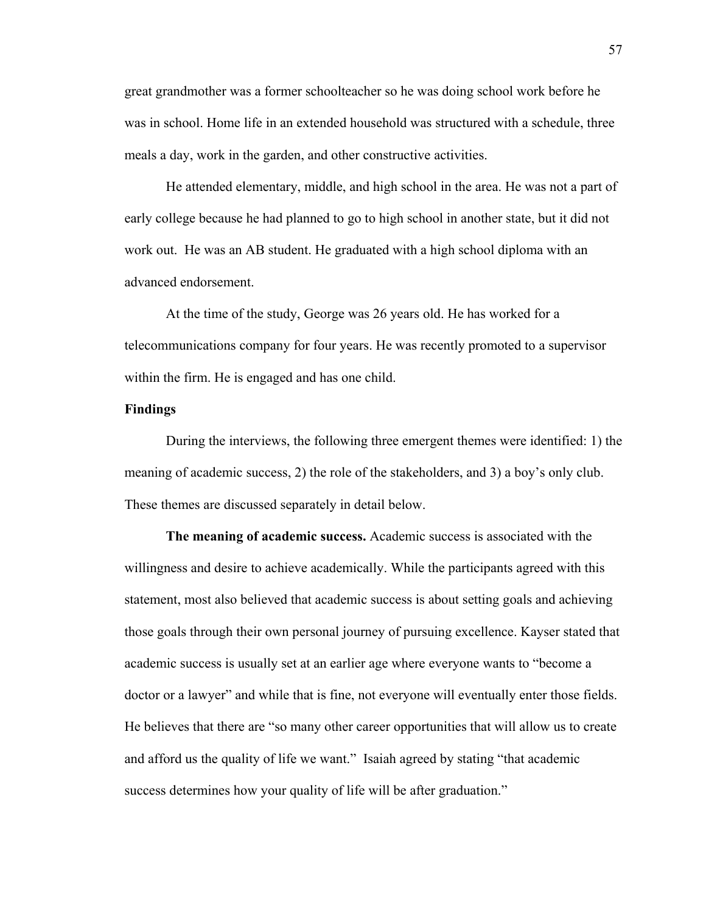great grandmother was a former schoolteacher so he was doing school work before he was in school. Home life in an extended household was structured with a schedule, three meals a day, work in the garden, and other constructive activities.

He attended elementary, middle, and high school in the area. He was not a part of early college because he had planned to go to high school in another state, but it did not work out. He was an AB student. He graduated with a high school diploma with an advanced endorsement.

At the time of the study, George was 26 years old. He has worked for a telecommunications company for four years. He was recently promoted to a supervisor within the firm. He is engaged and has one child.

# **Findings**

During the interviews, the following three emergent themes were identified: 1) the meaning of academic success, 2) the role of the stakeholders, and 3) a boy's only club. These themes are discussed separately in detail below.

**The meaning of academic success.** Academic success is associated with the willingness and desire to achieve academically. While the participants agreed with this statement, most also believed that academic success is about setting goals and achieving those goals through their own personal journey of pursuing excellence. Kayser stated that academic success is usually set at an earlier age where everyone wants to "become a doctor or a lawyer" and while that is fine, not everyone will eventually enter those fields. He believes that there are "so many other career opportunities that will allow us to create and afford us the quality of life we want." Isaiah agreed by stating "that academic success determines how your quality of life will be after graduation."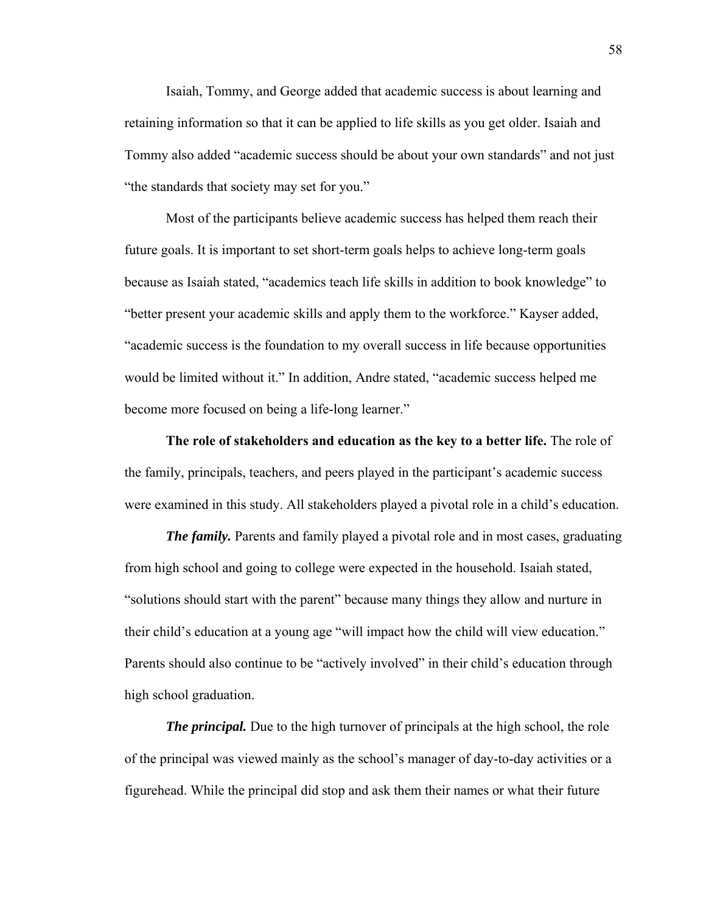Isaiah, Tommy, and George added that academic success is about learning and retaining information so that it can be applied to life skills as you get older. Isaiah and Tommy also added "academic success should be about your own standards" and not just "the standards that society may set for you."

Most of the participants believe academic success has helped them reach their future goals. It is important to set short-term goals helps to achieve long-term goals because as Isaiah stated, "academics teach life skills in addition to book knowledge" to "better present your academic skills and apply them to the workforce." Kayser added, "academic success is the foundation to my overall success in life because opportunities would be limited without it." In addition, Andre stated, "academic success helped me become more focused on being a life-long learner."

**The role of stakeholders and education as the key to a better life.** The role of the family, principals, teachers, and peers played in the participant's academic success were examined in this study. All stakeholders played a pivotal role in a child's education.

*The family.* Parents and family played a pivotal role and in most cases, graduating from high school and going to college were expected in the household. Isaiah stated, "solutions should start with the parent" because many things they allow and nurture in their child's education at a young age "will impact how the child will view education." Parents should also continue to be "actively involved" in their child's education through high school graduation.

*The principal.* Due to the high turnover of principals at the high school, the role of the principal was viewed mainly as the school's manager of day-to-day activities or a figurehead. While the principal did stop and ask them their names or what their future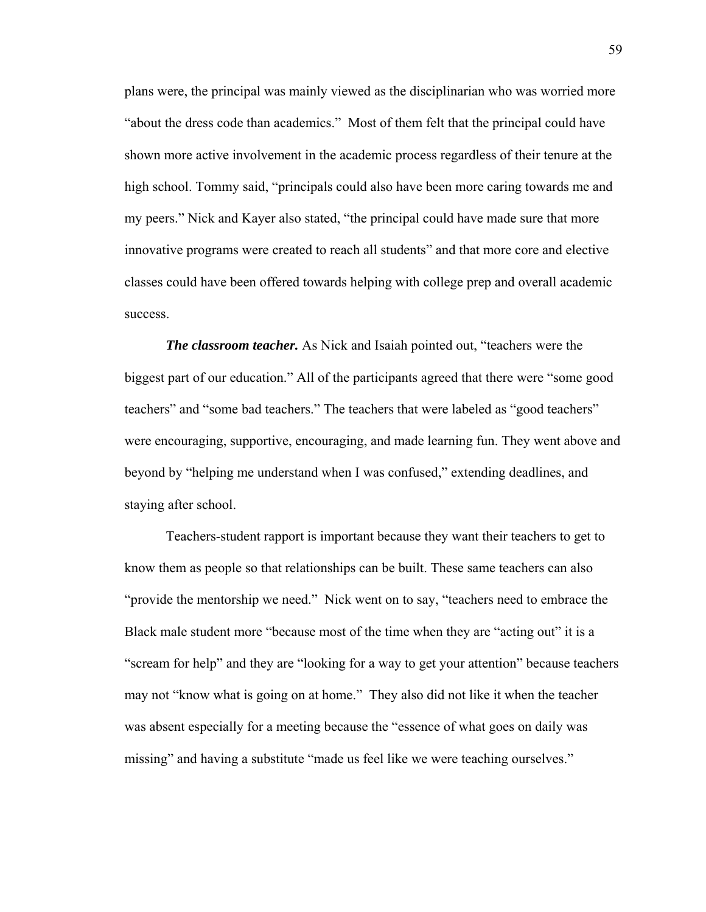plans were, the principal was mainly viewed as the disciplinarian who was worried more "about the dress code than academics." Most of them felt that the principal could have shown more active involvement in the academic process regardless of their tenure at the high school. Tommy said, "principals could also have been more caring towards me and my peers." Nick and Kayer also stated, "the principal could have made sure that more innovative programs were created to reach all students" and that more core and elective classes could have been offered towards helping with college prep and overall academic success.

*The classroom teacher.* As Nick and Isaiah pointed out, "teachers were the biggest part of our education." All of the participants agreed that there were "some good teachers" and "some bad teachers." The teachers that were labeled as "good teachers" were encouraging, supportive, encouraging, and made learning fun. They went above and beyond by "helping me understand when I was confused," extending deadlines, and staying after school.

Teachers-student rapport is important because they want their teachers to get to know them as people so that relationships can be built. These same teachers can also "provide the mentorship we need." Nick went on to say, "teachers need to embrace the Black male student more "because most of the time when they are "acting out" it is a "scream for help" and they are "looking for a way to get your attention" because teachers may not "know what is going on at home." They also did not like it when the teacher was absent especially for a meeting because the "essence of what goes on daily was missing" and having a substitute "made us feel like we were teaching ourselves."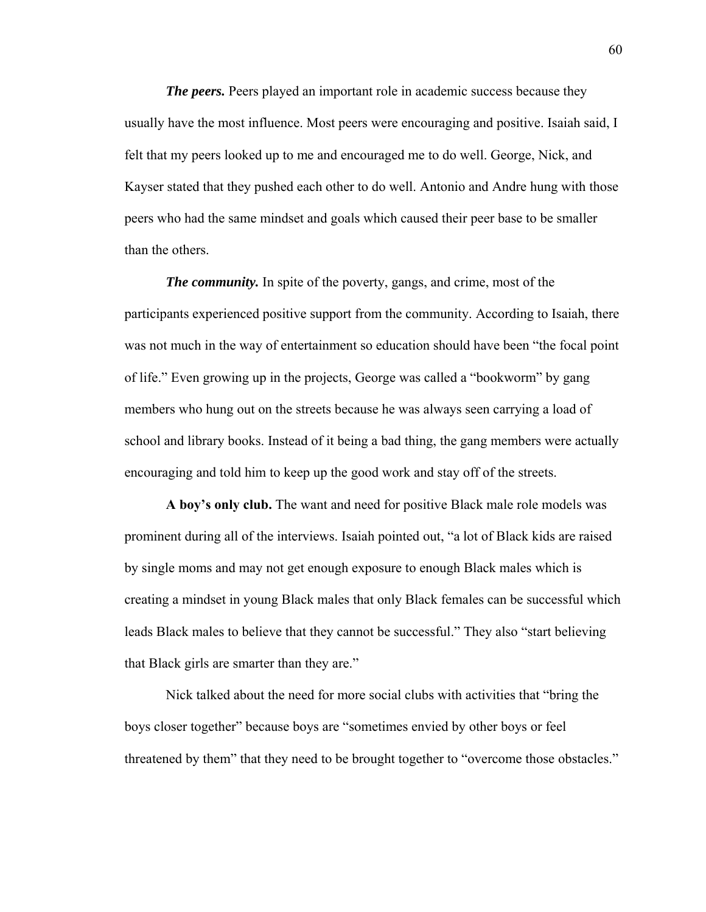*The peers.* Peers played an important role in academic success because they usually have the most influence. Most peers were encouraging and positive. Isaiah said, I felt that my peers looked up to me and encouraged me to do well. George, Nick, and Kayser stated that they pushed each other to do well. Antonio and Andre hung with those peers who had the same mindset and goals which caused their peer base to be smaller than the others.

*The community.* In spite of the poverty, gangs, and crime, most of the participants experienced positive support from the community. According to Isaiah, there was not much in the way of entertainment so education should have been "the focal point of life." Even growing up in the projects, George was called a "bookworm" by gang members who hung out on the streets because he was always seen carrying a load of school and library books. Instead of it being a bad thing, the gang members were actually encouraging and told him to keep up the good work and stay off of the streets.

**A boy's only club.** The want and need for positive Black male role models was prominent during all of the interviews. Isaiah pointed out, "a lot of Black kids are raised by single moms and may not get enough exposure to enough Black males which is creating a mindset in young Black males that only Black females can be successful which leads Black males to believe that they cannot be successful." They also "start believing that Black girls are smarter than they are."

Nick talked about the need for more social clubs with activities that "bring the boys closer together" because boys are "sometimes envied by other boys or feel threatened by them" that they need to be brought together to "overcome those obstacles."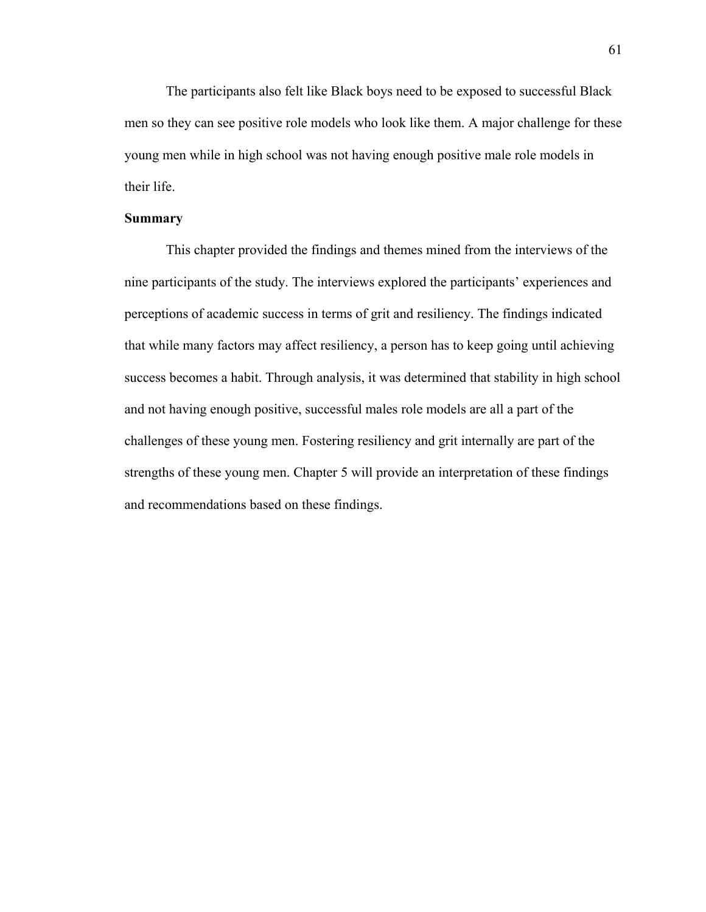The participants also felt like Black boys need to be exposed to successful Black men so they can see positive role models who look like them. A major challenge for these young men while in high school was not having enough positive male role models in their life.

# **Summary**

This chapter provided the findings and themes mined from the interviews of the nine participants of the study. The interviews explored the participants' experiences and perceptions of academic success in terms of grit and resiliency. The findings indicated that while many factors may affect resiliency, a person has to keep going until achieving success becomes a habit. Through analysis, it was determined that stability in high school and not having enough positive, successful males role models are all a part of the challenges of these young men. Fostering resiliency and grit internally are part of the strengths of these young men. Chapter 5 will provide an interpretation of these findings and recommendations based on these findings.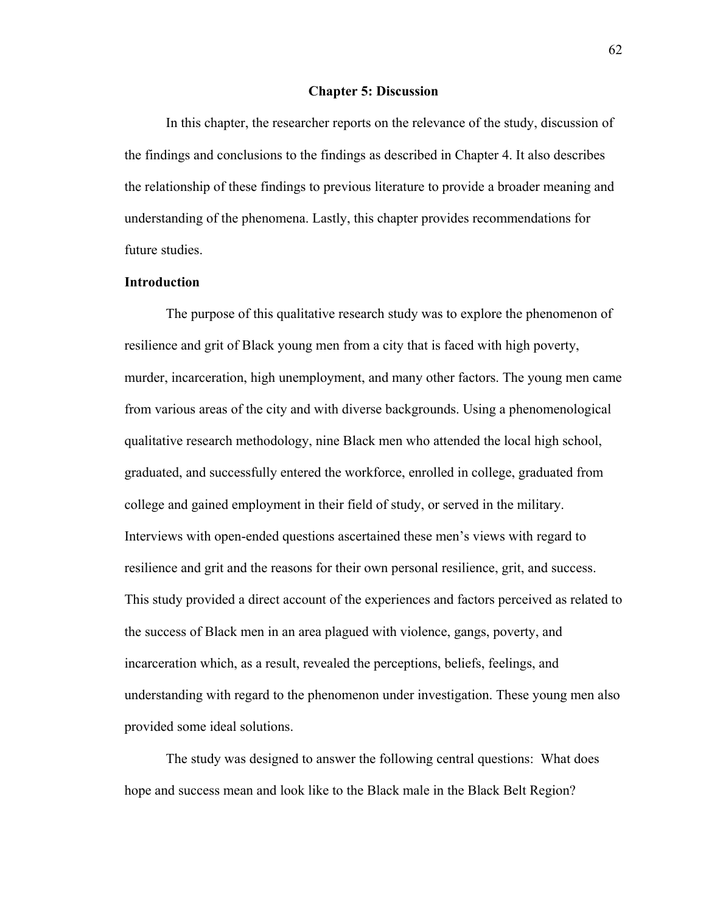#### **Chapter 5: Discussion**

In this chapter, the researcher reports on the relevance of the study, discussion of the findings and conclusions to the findings as described in Chapter 4. It also describes the relationship of these findings to previous literature to provide a broader meaning and understanding of the phenomena. Lastly, this chapter provides recommendations for future studies.

# **Introduction**

The purpose of this qualitative research study was to explore the phenomenon of resilience and grit of Black young men from a city that is faced with high poverty, murder, incarceration, high unemployment, and many other factors. The young men came from various areas of the city and with diverse backgrounds. Using a phenomenological qualitative research methodology, nine Black men who attended the local high school, graduated, and successfully entered the workforce, enrolled in college, graduated from college and gained employment in their field of study, or served in the military. Interviews with open-ended questions ascertained these men's views with regard to resilience and grit and the reasons for their own personal resilience, grit, and success. This study provided a direct account of the experiences and factors perceived as related to the success of Black men in an area plagued with violence, gangs, poverty, and incarceration which, as a result, revealed the perceptions, beliefs, feelings, and understanding with regard to the phenomenon under investigation. These young men also provided some ideal solutions.

The study was designed to answer the following central questions: What does hope and success mean and look like to the Black male in the Black Belt Region?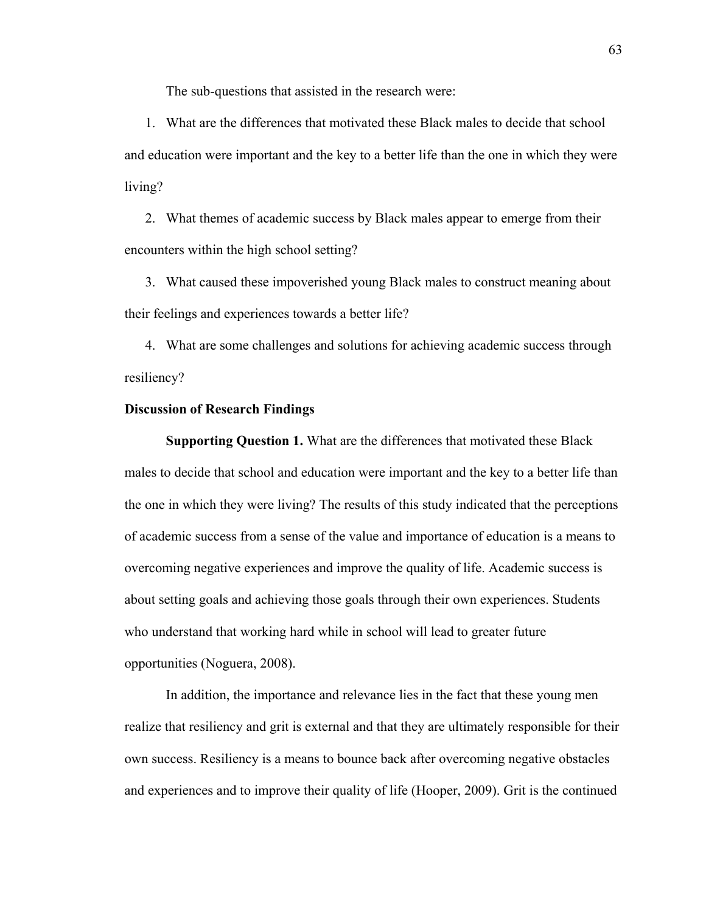The sub-questions that assisted in the research were:

1. What are the differences that motivated these Black males to decide that school and education were important and the key to a better life than the one in which they were living?

2. What themes of academic success by Black males appear to emerge from their encounters within the high school setting?

3. What caused these impoverished young Black males to construct meaning about their feelings and experiences towards a better life?

4. What are some challenges and solutions for achieving academic success through resiliency?

### **Discussion of Research Findings**

**Supporting Question 1.** What are the differences that motivated these Black males to decide that school and education were important and the key to a better life than the one in which they were living? The results of this study indicated that the perceptions of academic success from a sense of the value and importance of education is a means to overcoming negative experiences and improve the quality of life. Academic success is about setting goals and achieving those goals through their own experiences. Students who understand that working hard while in school will lead to greater future opportunities (Noguera, 2008).

In addition, the importance and relevance lies in the fact that these young men realize that resiliency and grit is external and that they are ultimately responsible for their own success. Resiliency is a means to bounce back after overcoming negative obstacles and experiences and to improve their quality of life (Hooper, 2009). Grit is the continued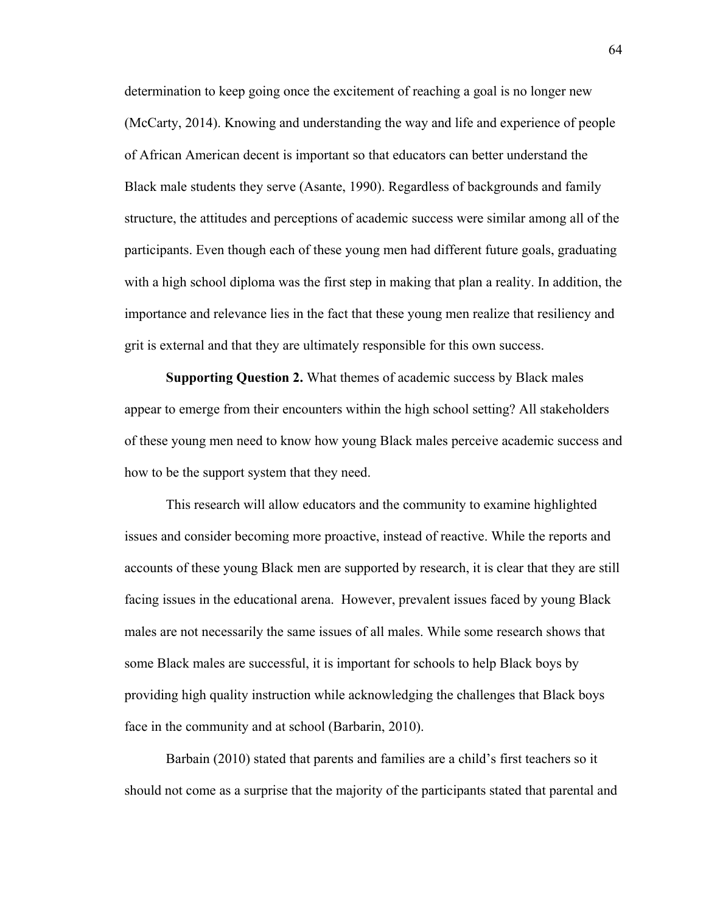determination to keep going once the excitement of reaching a goal is no longer new (McCarty, 2014). Knowing and understanding the way and life and experience of people of African American decent is important so that educators can better understand the Black male students they serve (Asante, 1990). Regardless of backgrounds and family structure, the attitudes and perceptions of academic success were similar among all of the participants. Even though each of these young men had different future goals, graduating with a high school diploma was the first step in making that plan a reality. In addition, the importance and relevance lies in the fact that these young men realize that resiliency and grit is external and that they are ultimately responsible for this own success.

**Supporting Question 2.** What themes of academic success by Black males appear to emerge from their encounters within the high school setting? All stakeholders of these young men need to know how young Black males perceive academic success and how to be the support system that they need.

This research will allow educators and the community to examine highlighted issues and consider becoming more proactive, instead of reactive. While the reports and accounts of these young Black men are supported by research, it is clear that they are still facing issues in the educational arena. However, prevalent issues faced by young Black males are not necessarily the same issues of all males. While some research shows that some Black males are successful, it is important for schools to help Black boys by providing high quality instruction while acknowledging the challenges that Black boys face in the community and at school (Barbarin, 2010).

Barbain (2010) stated that parents and families are a child's first teachers so it should not come as a surprise that the majority of the participants stated that parental and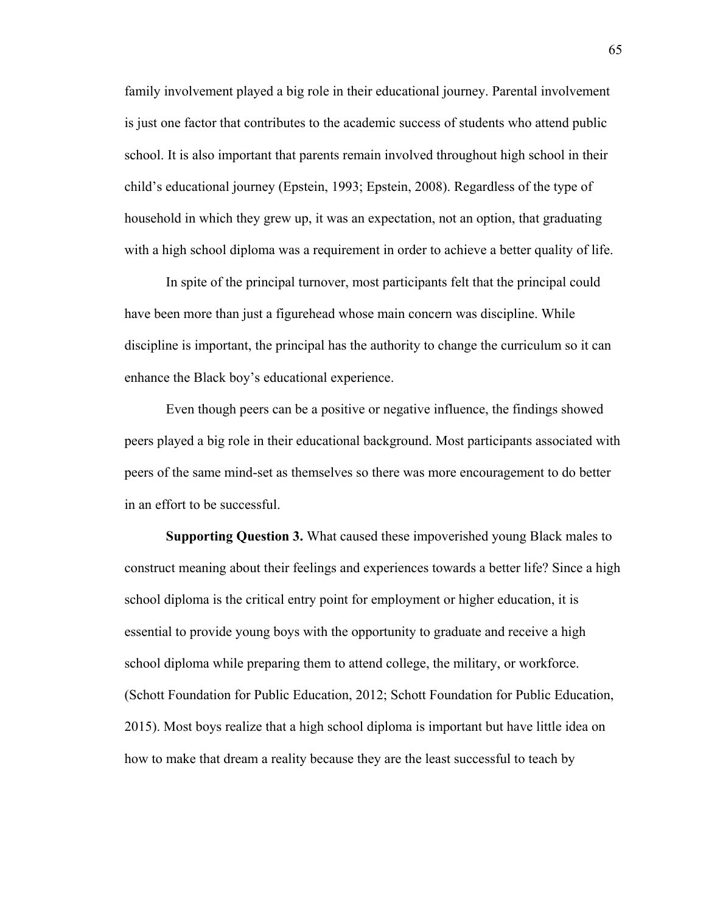family involvement played a big role in their educational journey. Parental involvement is just one factor that contributes to the academic success of students who attend public school. It is also important that parents remain involved throughout high school in their child's educational journey (Epstein, 1993; Epstein, 2008). Regardless of the type of household in which they grew up, it was an expectation, not an option, that graduating with a high school diploma was a requirement in order to achieve a better quality of life.

In spite of the principal turnover, most participants felt that the principal could have been more than just a figurehead whose main concern was discipline. While discipline is important, the principal has the authority to change the curriculum so it can enhance the Black boy's educational experience.

Even though peers can be a positive or negative influence, the findings showed peers played a big role in their educational background. Most participants associated with peers of the same mind-set as themselves so there was more encouragement to do better in an effort to be successful.

**Supporting Question 3.** What caused these impoverished young Black males to construct meaning about their feelings and experiences towards a better life? Since a high school diploma is the critical entry point for employment or higher education, it is essential to provide young boys with the opportunity to graduate and receive a high school diploma while preparing them to attend college, the military, or workforce. (Schott Foundation for Public Education, 2012; Schott Foundation for Public Education, 2015). Most boys realize that a high school diploma is important but have little idea on how to make that dream a reality because they are the least successful to teach by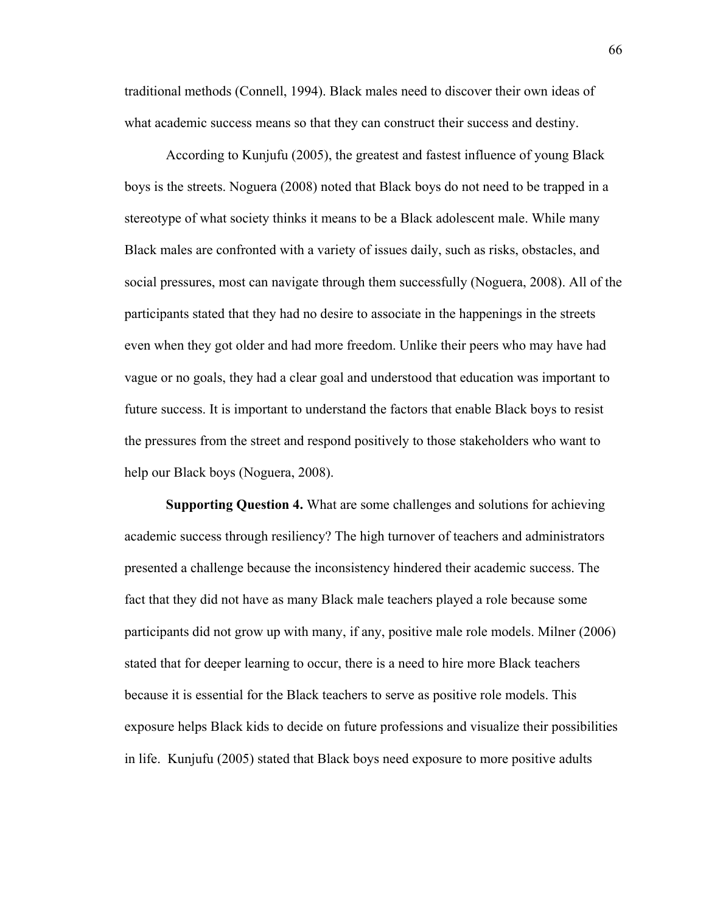traditional methods (Connell, 1994). Black males need to discover their own ideas of what academic success means so that they can construct their success and destiny.

According to Kunjufu (2005), the greatest and fastest influence of young Black boys is the streets. Noguera (2008) noted that Black boys do not need to be trapped in a stereotype of what society thinks it means to be a Black adolescent male. While many Black males are confronted with a variety of issues daily, such as risks, obstacles, and social pressures, most can navigate through them successfully (Noguera, 2008). All of the participants stated that they had no desire to associate in the happenings in the streets even when they got older and had more freedom. Unlike their peers who may have had vague or no goals, they had a clear goal and understood that education was important to future success. It is important to understand the factors that enable Black boys to resist the pressures from the street and respond positively to those stakeholders who want to help our Black boys (Noguera, 2008).

**Supporting Question 4.** What are some challenges and solutions for achieving academic success through resiliency? The high turnover of teachers and administrators presented a challenge because the inconsistency hindered their academic success. The fact that they did not have as many Black male teachers played a role because some participants did not grow up with many, if any, positive male role models. Milner (2006) stated that for deeper learning to occur, there is a need to hire more Black teachers because it is essential for the Black teachers to serve as positive role models. This exposure helps Black kids to decide on future professions and visualize their possibilities in life. Kunjufu (2005) stated that Black boys need exposure to more positive adults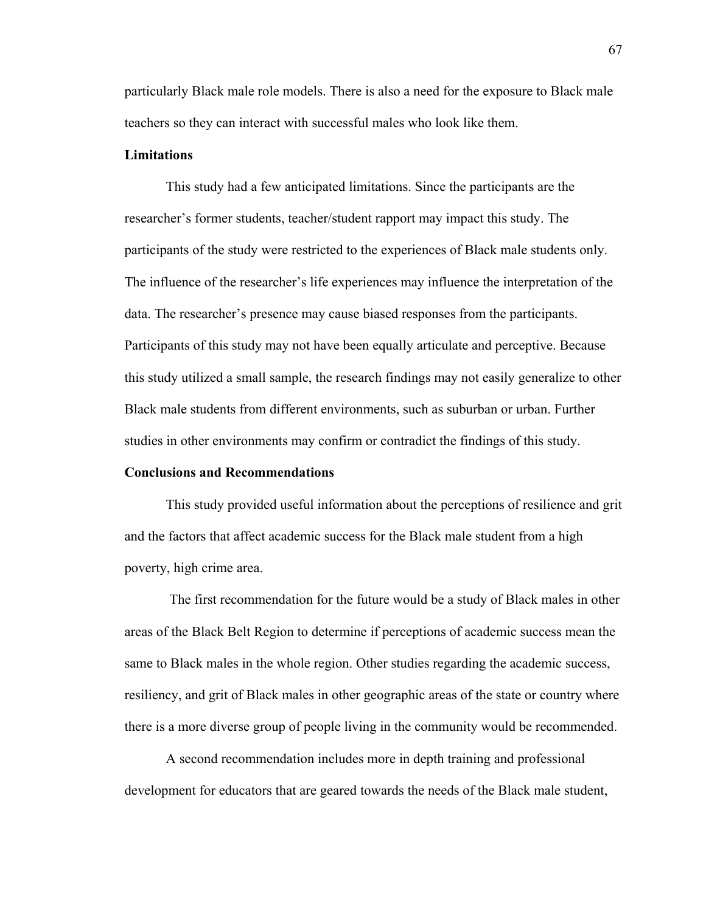particularly Black male role models. There is also a need for the exposure to Black male teachers so they can interact with successful males who look like them.

## **Limitations**

This study had a few anticipated limitations. Since the participants are the researcher's former students, teacher/student rapport may impact this study. The participants of the study were restricted to the experiences of Black male students only. The influence of the researcher's life experiences may influence the interpretation of the data. The researcher's presence may cause biased responses from the participants. Participants of this study may not have been equally articulate and perceptive. Because this study utilized a small sample, the research findings may not easily generalize to other Black male students from different environments, such as suburban or urban. Further studies in other environments may confirm or contradict the findings of this study.

## **Conclusions and Recommendations**

This study provided useful information about the perceptions of resilience and grit and the factors that affect academic success for the Black male student from a high poverty, high crime area.

 The first recommendation for the future would be a study of Black males in other areas of the Black Belt Region to determine if perceptions of academic success mean the same to Black males in the whole region. Other studies regarding the academic success, resiliency, and grit of Black males in other geographic areas of the state or country where there is a more diverse group of people living in the community would be recommended.

A second recommendation includes more in depth training and professional development for educators that are geared towards the needs of the Black male student,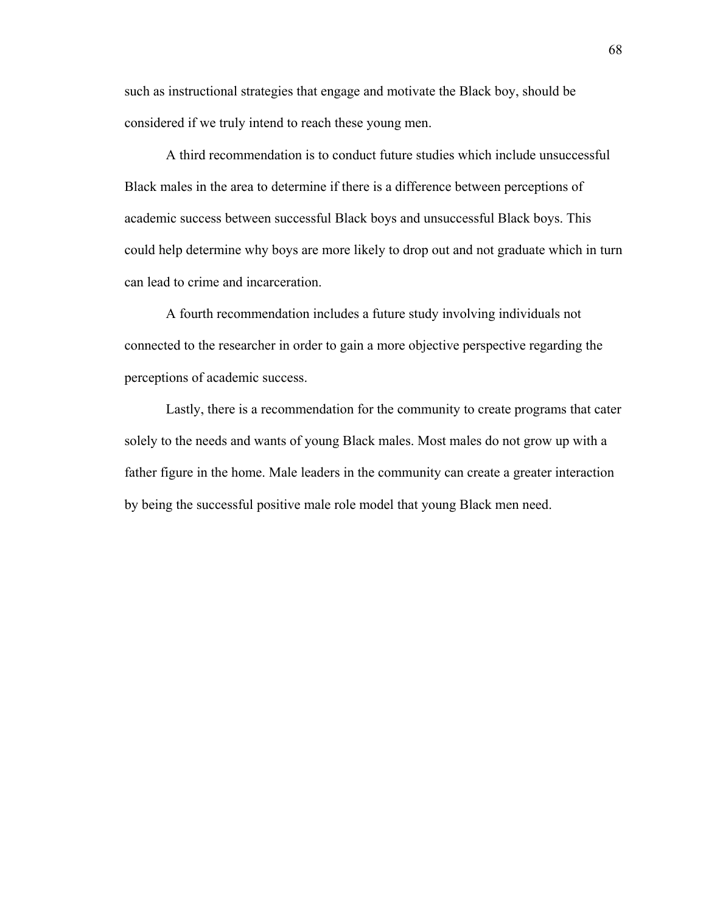such as instructional strategies that engage and motivate the Black boy, should be considered if we truly intend to reach these young men.

A third recommendation is to conduct future studies which include unsuccessful Black males in the area to determine if there is a difference between perceptions of academic success between successful Black boys and unsuccessful Black boys. This could help determine why boys are more likely to drop out and not graduate which in turn can lead to crime and incarceration.

A fourth recommendation includes a future study involving individuals not connected to the researcher in order to gain a more objective perspective regarding the perceptions of academic success.

Lastly, there is a recommendation for the community to create programs that cater solely to the needs and wants of young Black males. Most males do not grow up with a father figure in the home. Male leaders in the community can create a greater interaction by being the successful positive male role model that young Black men need.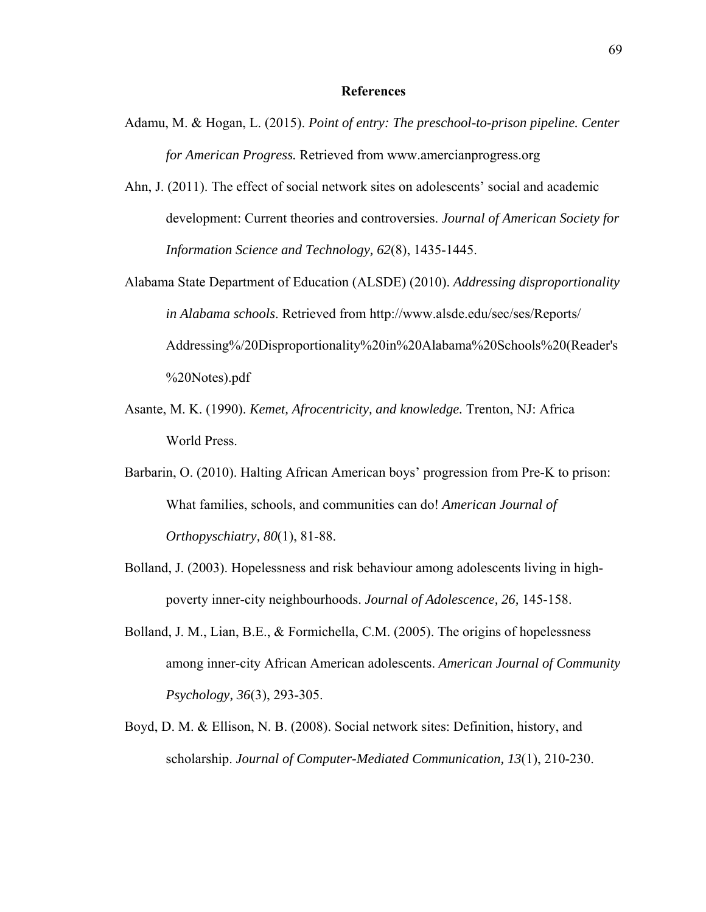- Adamu, M. & Hogan, L. (2015). *Point of entry: The preschool-to-prison pipeline. Center for American Progress.* Retrieved from www.amercianprogress.org
- Ahn, J. (2011). The effect of social network sites on adolescents' social and academic development: Current theories and controversies. *Journal of American Society for Information Science and Technology, 62*(8), 1435-1445.
- Alabama State Department of Education (ALSDE) (2010). *Addressing disproportionality in Alabama schools*. Retrieved from http://www.alsde.edu/sec/ses/Reports/ Addressing%/20Disproportionality%20in%20Alabama%20Schools%20(Reader's %20Notes).pdf
- Asante, M. K. (1990). *Kemet, Afrocentricity, and knowledge.* Trenton, NJ: Africa World Press.
- Barbarin, O. (2010). Halting African American boys' progression from Pre-K to prison: What families, schools, and communities can do! *American Journal of Orthopyschiatry, 80*(1), 81-88.
- Bolland, J. (2003). Hopelessness and risk behaviour among adolescents living in highpoverty inner-city neighbourhoods. *Journal of Adolescence, 26,* 145-158.
- Bolland, J. M., Lian, B.E., & Formichella, C.M. (2005). The origins of hopelessness among inner-city African American adolescents. *American Journal of Community Psychology, 36*(3), 293-305.
- Boyd, D. M. & Ellison, N. B. (2008). Social network sites: Definition, history, and scholarship. *Journal of Computer-Mediated Communication, 13*(1), 210-230.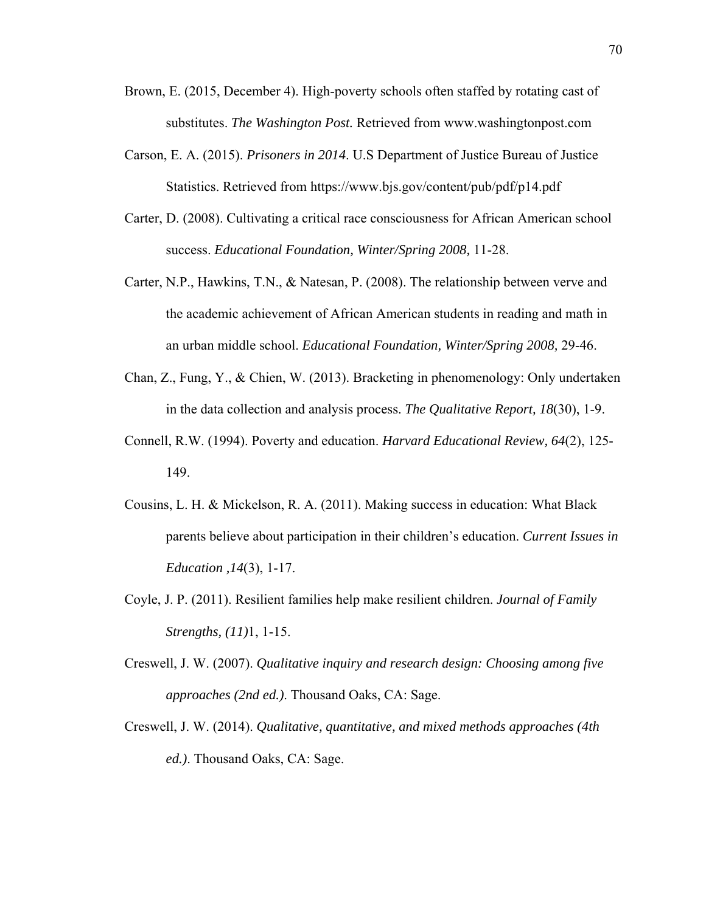- Brown, E. (2015, December 4). High-poverty schools often staffed by rotating cast of substitutes. *The Washington Post.* Retrieved from www.washingtonpost.com
- Carson, E. A. (2015). *Prisoners in 2014*. U.S Department of Justice Bureau of Justice Statistics. Retrieved from https://www.bjs.gov/content/pub/pdf/p14.pdf
- Carter, D. (2008). Cultivating a critical race consciousness for African American school success. *Educational Foundation, Winter/Spring 2008,* 11-28.
- Carter, N.P., Hawkins, T.N., & Natesan, P. (2008). The relationship between verve and the academic achievement of African American students in reading and math in an urban middle school. *Educational Foundation, Winter/Spring 2008,* 29-46.
- Chan, Z., Fung, Y., & Chien, W. (2013). Bracketing in phenomenology: Only undertaken in the data collection and analysis process. *The Qualitative Report, 18*(30), 1-9.
- Connell, R.W. (1994). Poverty and education. *Harvard Educational Review, 64*(2), 125- 149.
- Cousins, L. H. & Mickelson, R. A. (2011). Making success in education: What Black parents believe about participation in their children's education. *Current Issues in Education ,14*(3), 1-17.
- Coyle, J. P. (2011). Resilient families help make resilient children. *Journal of Family Strengths, (11)*1, 1-15.
- Creswell, J. W. (2007). *Qualitative inquiry and research design: Choosing among five approaches (2nd ed.)*. Thousand Oaks, CA: Sage.
- Creswell, J. W. (2014). *Qualitative, quantitative, and mixed methods approaches (4th ed.)*. Thousand Oaks, CA: Sage.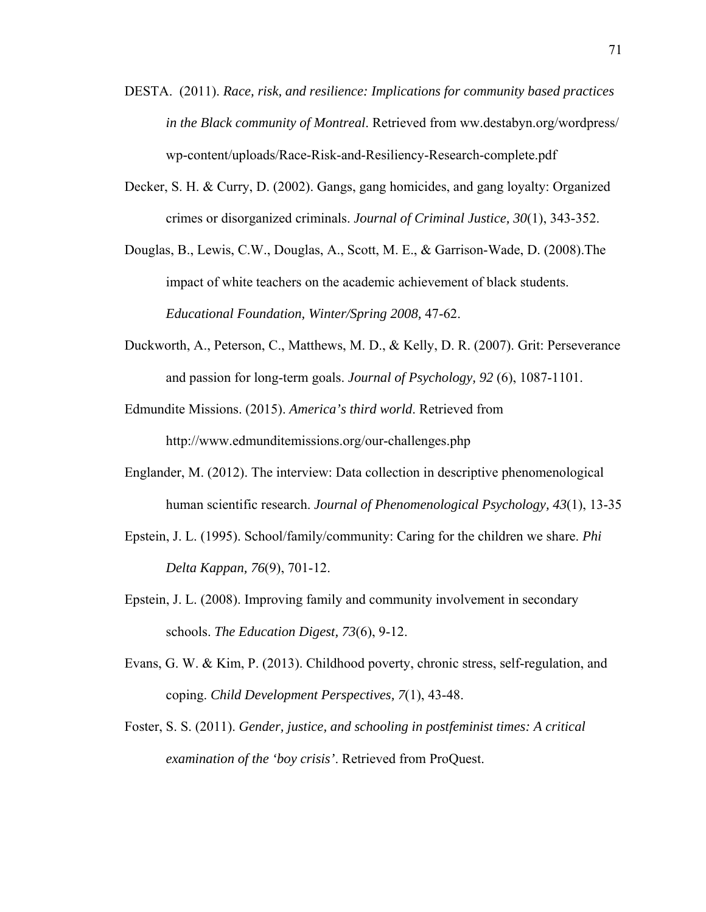- DESTA. (2011). *Race, risk, and resilience: Implications for community based practices in the Black community of Montreal*. Retrieved from ww.destabyn.org/wordpress/ wp-content/uploads/Race-Risk-and-Resiliency-Research-complete.pdf
- Decker, S. H. & Curry, D. (2002). Gangs, gang homicides, and gang loyalty: Organized crimes or disorganized criminals. *Journal of Criminal Justice, 30*(1), 343-352.
- Douglas, B., Lewis, C.W., Douglas, A., Scott, M. E., & Garrison-Wade, D. (2008).The impact of white teachers on the academic achievement of black students. *Educational Foundation, Winter/Spring 2008,* 47-62.
- Duckworth, A., Peterson, C., Matthews, M. D., & Kelly, D. R. (2007). Grit: Perseverance and passion for long-term goals. *Journal of Psychology, 92* (6), 1087-1101.

Edmundite Missions. (2015). *America's third world*. Retrieved from http://www.edmunditemissions.org/our-challenges.php

- Englander, M. (2012). The interview: Data collection in descriptive phenomenological human scientific research. *Journal of Phenomenological Psychology, 43*(1), 13-35
- Epstein, J. L. (1995). School/family/community: Caring for the children we share. *Phi Delta Kappan, 76*(9), 701-12.
- Epstein, J. L. (2008). Improving family and community involvement in secondary schools. *The Education Digest, 73*(6), 9-12.
- Evans, G. W. & Kim, P. (2013). Childhood poverty, chronic stress, self-regulation, and coping. *Child Development Perspectives, 7*(1), 43-48.
- Foster, S. S. (2011). *Gender, justice, and schooling in postfeminist times: A critical examination of the 'boy crisis'*. Retrieved from ProQuest.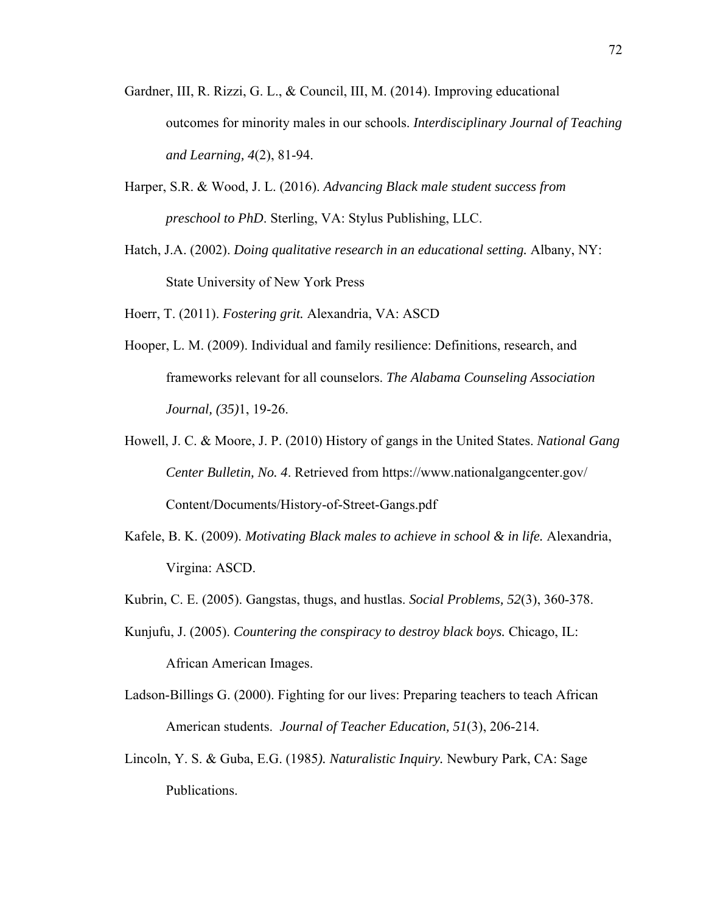- Gardner, III, R. Rizzi, G. L., & Council, III, M. (2014). Improving educational outcomes for minority males in our schools. *Interdisciplinary Journal of Teaching and Learning, 4*(2), 81-94.
- Harper, S.R. & Wood, J. L. (2016). *Advancing Black male student success from preschool to PhD*. Sterling, VA: Stylus Publishing, LLC.
- Hatch, J.A. (2002). *Doing qualitative research in an educational setting.* Albany, NY: State University of New York Press
- Hoerr, T. (2011). *Fostering grit.* Alexandria, VA: ASCD
- Hooper, L. M. (2009). Individual and family resilience: Definitions, research, and frameworks relevant for all counselors. *The Alabama Counseling Association Journal, (35)*1, 19-26.
- Howell, J. C. & Moore, J. P. (2010) History of gangs in the United States. *National Gang Center Bulletin, No. 4*. Retrieved from https://www.nationalgangcenter.gov/ Content/Documents/History-of-Street-Gangs.pdf
- Kafele, B. K. (2009). *Motivating Black males to achieve in school & in life.* Alexandria, Virgina: ASCD.
- Kubrin, C. E. (2005). Gangstas, thugs, and hustlas. *Social Problems, 52*(3), 360-378.
- Kunjufu, J. (2005). *Countering the conspiracy to destroy black boys.* Chicago, IL:

African American Images.

- Ladson-Billings G. (2000). Fighting for our lives: Preparing teachers to teach African American students. *Journal of Teacher Education, 51*(3), 206-214.
- Lincoln, Y. S. & Guba, E.G. (1985*). Naturalistic Inquiry.* Newbury Park, CA: Sage Publications.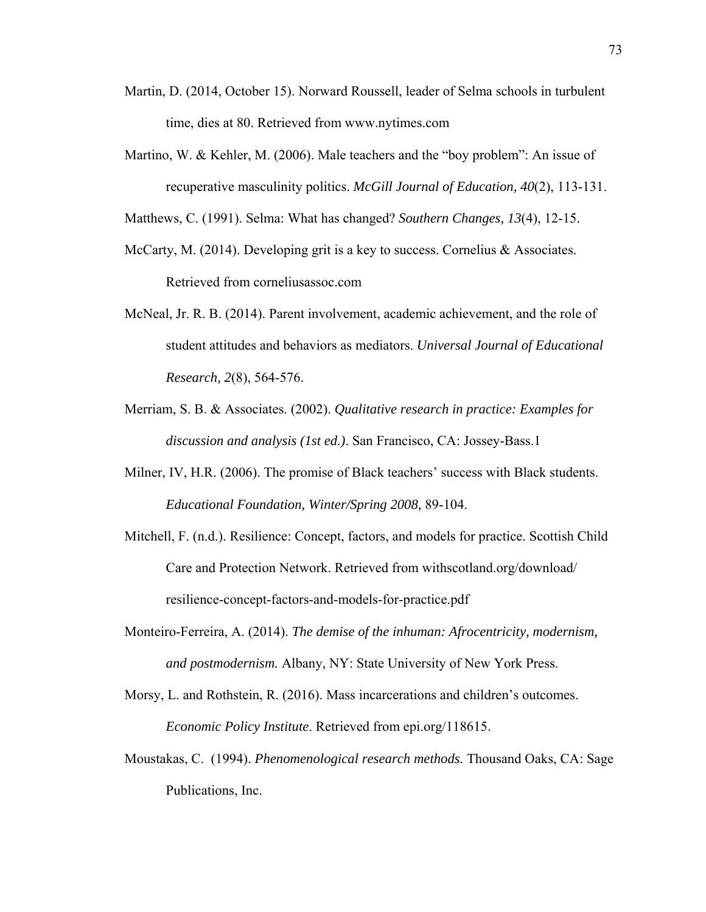- Martin, D. (2014, October 15). Norward Roussell, leader of Selma schools in turbulent time, dies at 80. Retrieved from www.nytimes.com
- Martino, W. & Kehler, M. (2006). Male teachers and the "boy problem": An issue of recuperative masculinity politics. *McGill Journal of Education, 40*(2), 113-131.

Matthews, C. (1991). Selma: What has changed? *Southern Changes, 13*(4), 12-15.

- McCarty, M. (2014). Developing grit is a key to success. Cornelius  $\&$  Associates. Retrieved from corneliusassoc.com
- McNeal, Jr. R. B. (2014). Parent involvement, academic achievement, and the role of student attitudes and behaviors as mediators. *Universal Journal of Educational Research, 2*(8), 564-576.
- Merriam, S. B. & Associates. (2002). *Qualitative research in practice: Examples for discussion and analysis (1st ed.)*. San Francisco, CA: Jossey-Bass.1
- Milner, IV, H.R. (2006). The promise of Black teachers' success with Black students. *Educational Foundation, Winter/Spring 2008,* 89-104.
- Mitchell, F. (n.d.). Resilience: Concept, factors, and models for practice. Scottish Child Care and Protection Network. Retrieved from withscotland.org/download/ resilience-concept-factors-and-models-for-practice.pdf
- Monteiro-Ferreira, A. (2014). *The demise of the inhuman: Afrocentricity, modernism, and postmodernism.* Albany, NY: State University of New York Press.
- Morsy, L. and Rothstein, R. (2016). Mass incarcerations and children's outcomes. *Economic Policy Institute*. Retrieved from epi.org/118615.
- Moustakas, C. (1994). *Phenomenological research methods.* Thousand Oaks, CA: Sage Publications, Inc.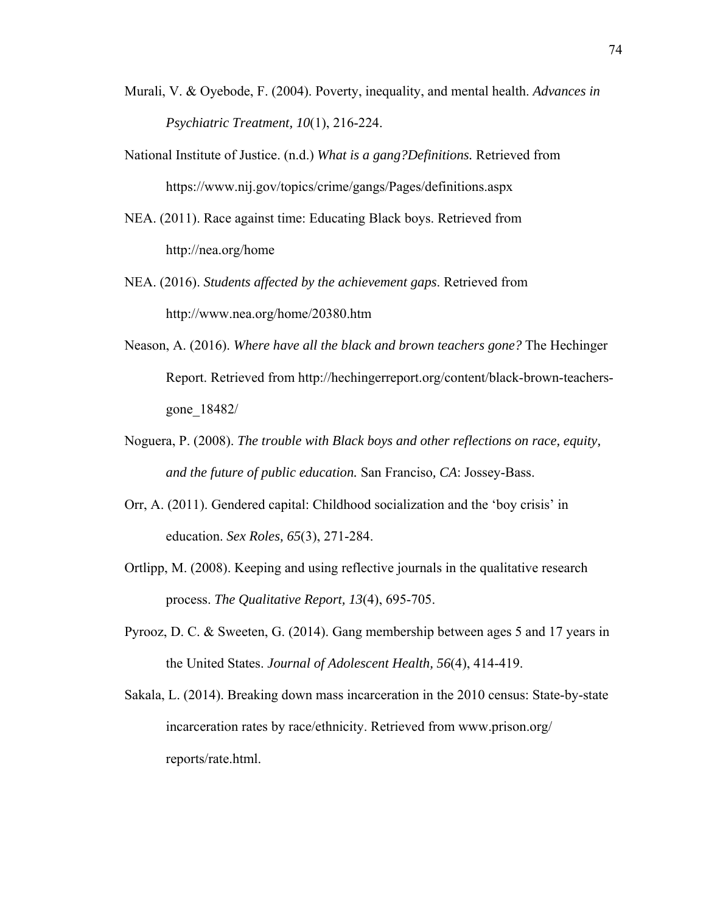- Murali, V. & Oyebode, F. (2004). Poverty, inequality, and mental health. *Advances in Psychiatric Treatment, 10*(1), 216-224.
- National Institute of Justice. (n.d.) *What is a gang?Definitions.* Retrieved from https://www.nij.gov/topics/crime/gangs/Pages/definitions.aspx
- NEA. (2011). Race against time: Educating Black boys. Retrieved from http://nea.org/home
- NEA. (2016). *Students affected by the achievement gaps*. Retrieved from http://www.nea.org/home/20380.htm
- Neason, A. (2016). *Where have all the black and brown teachers gone?* The Hechinger Report. Retrieved from http://hechingerreport.org/content/black-brown-teachersgone\_18482/
- Noguera, P. (2008). *The trouble with Black boys and other reflections on race, equity, and the future of public education.* San Franciso*, CA*: Jossey-Bass.
- Orr, A. (2011). Gendered capital: Childhood socialization and the 'boy crisis' in education. *Sex Roles, 65*(3), 271-284.
- Ortlipp, M. (2008). Keeping and using reflective journals in the qualitative research process. *The Qualitative Report, 13*(4), 695-705.
- Pyrooz, D. C. & Sweeten, G. (2014). Gang membership between ages 5 and 17 years in the United States. *Journal of Adolescent Health, 56*(4), 414-419.
- Sakala, L. (2014). Breaking down mass incarceration in the 2010 census: State-by-state incarceration rates by race/ethnicity. Retrieved from www.prison.org/ reports/rate.html.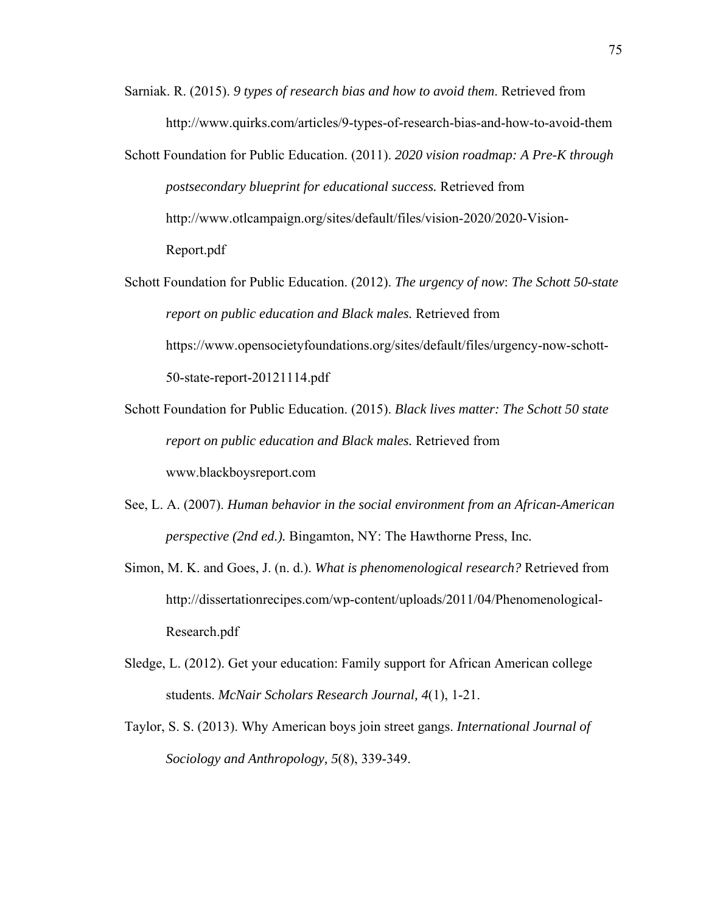- Sarniak. R. (2015). *9 types of research bias and how to avoid them*. Retrieved from http://www.quirks.com/articles/9-types-of-research-bias-and-how-to-avoid-them
- Schott Foundation for Public Education. (2011). *2020 vision roadmap: A Pre-K through postsecondary blueprint for educational success.* Retrieved from http://www.otlcampaign.org/sites/default/files/vision-2020/2020-Vision-Report.pdf
- Schott Foundation for Public Education. (2012). *The urgency of now*: *The Schott 50-state report on public education and Black males.* Retrieved from https://www.opensocietyfoundations.org/sites/default/files/urgency-now-schott-50-state-report-20121114.pdf
- Schott Foundation for Public Education. (2015). *Black lives matter: The Schott 50 state report on public education and Black males.* Retrieved from www.blackboysreport.com
- See, L. A. (2007). *Human behavior in the social environment from an African-American perspective (2nd ed.).* Bingamton, NY: The Hawthorne Press, Inc*.*
- Simon, M. K. and Goes, J. (n. d.). *What is phenomenological research?* Retrieved from http://dissertationrecipes.com/wp-content/uploads/2011/04/Phenomenological-Research.pdf
- Sledge, L. (2012). Get your education: Family support for African American college students. *McNair Scholars Research Journal, 4*(1), 1-21.
- Taylor, S. S. (2013). Why American boys join street gangs. *International Journal of Sociology and Anthropology, 5*(8), 339-349.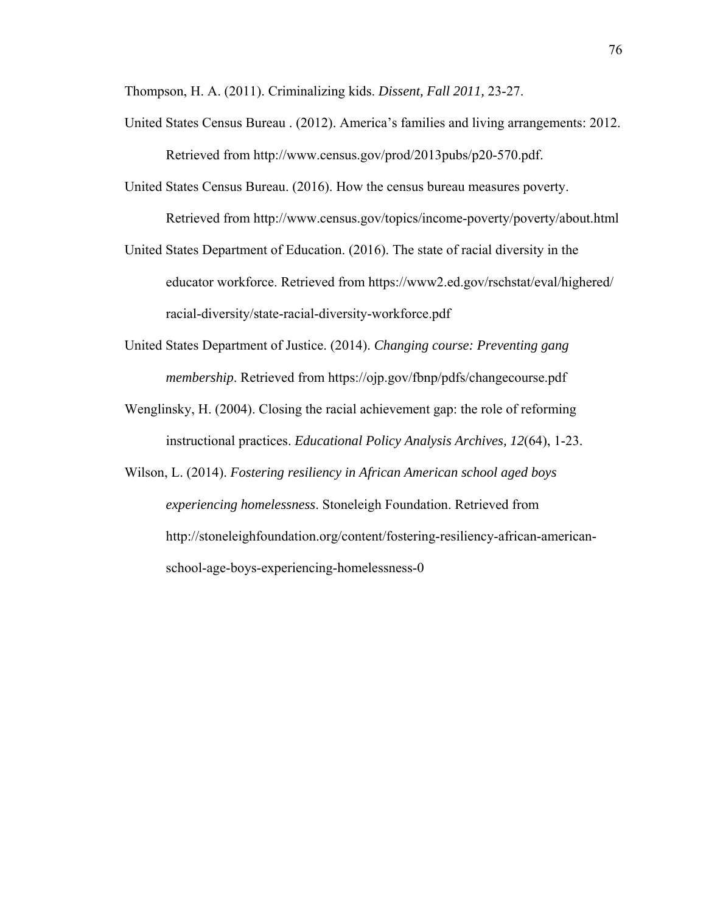Thompson, H. A. (2011). Criminalizing kids. *Dissent, Fall 2011,* 23-27.

- United States Census Bureau . (2012). America's families and living arrangements: 2012. Retrieved from http://www.census.gov/prod/2013pubs/p20-570.pdf.
- United States Census Bureau. (2016). How the census bureau measures poverty. Retrieved from http://www.census.gov/topics/income-poverty/poverty/about.html
- United States Department of Education. (2016). The state of racial diversity in the educator workforce. Retrieved from https://www2.ed.gov/rschstat/eval/highered/ racial-diversity/state-racial-diversity-workforce.pdf
- United States Department of Justice. (2014). *Changing course: Preventing gang membership*. Retrieved from https://ojp.gov/fbnp/pdfs/changecourse.pdf
- Wenglinsky, H. (2004). Closing the racial achievement gap: the role of reforming instructional practices. *Educational Policy Analysis Archives, 12*(64), 1-23.
- Wilson, L. (2014). *Fostering resiliency in African American school aged boys experiencing homelessness*. Stoneleigh Foundation. Retrieved from http://stoneleighfoundation.org/content/fostering-resiliency-african-americanschool-age-boys-experiencing-homelessness-0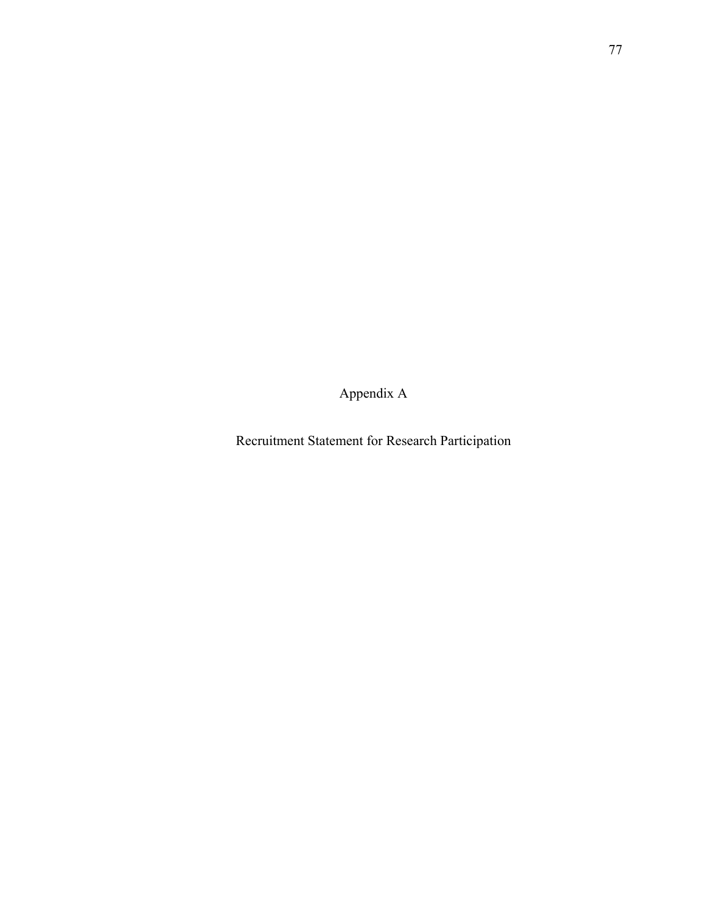Appendix A

Recruitment Statement for Research Participation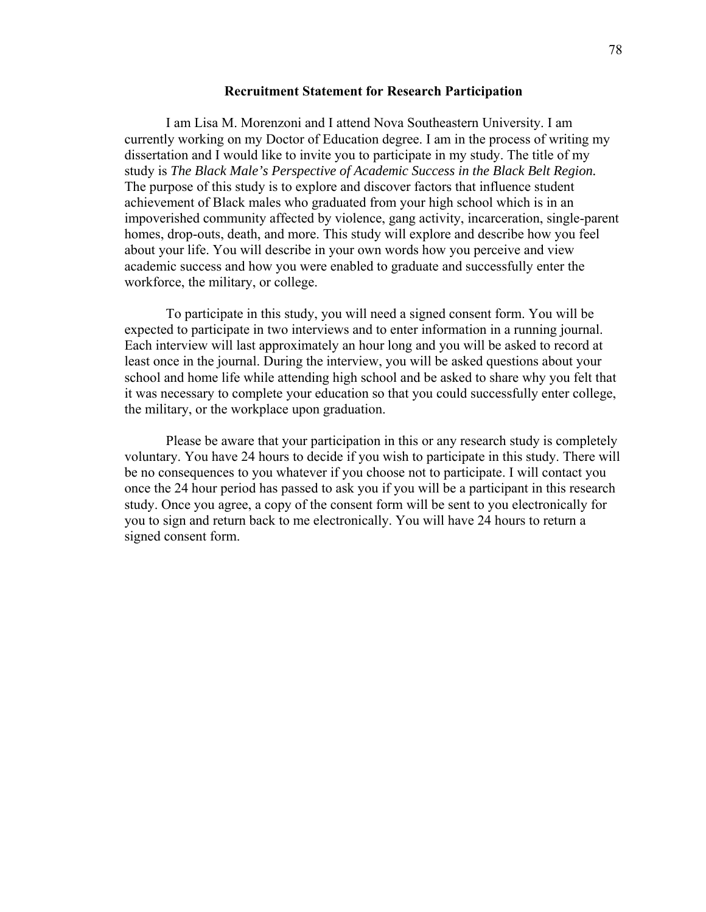## **Recruitment Statement for Research Participation**

 I am Lisa M. Morenzoni and I attend Nova Southeastern University. I am currently working on my Doctor of Education degree. I am in the process of writing my dissertation and I would like to invite you to participate in my study. The title of my study is *The Black Male's Perspective of Academic Success in the Black Belt Region.*  The purpose of this study is to explore and discover factors that influence student achievement of Black males who graduated from your high school which is in an impoverished community affected by violence, gang activity, incarceration, single-parent homes, drop-outs, death, and more. This study will explore and describe how you feel about your life. You will describe in your own words how you perceive and view academic success and how you were enabled to graduate and successfully enter the workforce, the military, or college.

To participate in this study, you will need a signed consent form. You will be expected to participate in two interviews and to enter information in a running journal. Each interview will last approximately an hour long and you will be asked to record at least once in the journal. During the interview, you will be asked questions about your school and home life while attending high school and be asked to share why you felt that it was necessary to complete your education so that you could successfully enter college, the military, or the workplace upon graduation.

Please be aware that your participation in this or any research study is completely voluntary. You have 24 hours to decide if you wish to participate in this study. There will be no consequences to you whatever if you choose not to participate. I will contact you once the 24 hour period has passed to ask you if you will be a participant in this research study. Once you agree, a copy of the consent form will be sent to you electronically for you to sign and return back to me electronically. You will have 24 hours to return a signed consent form.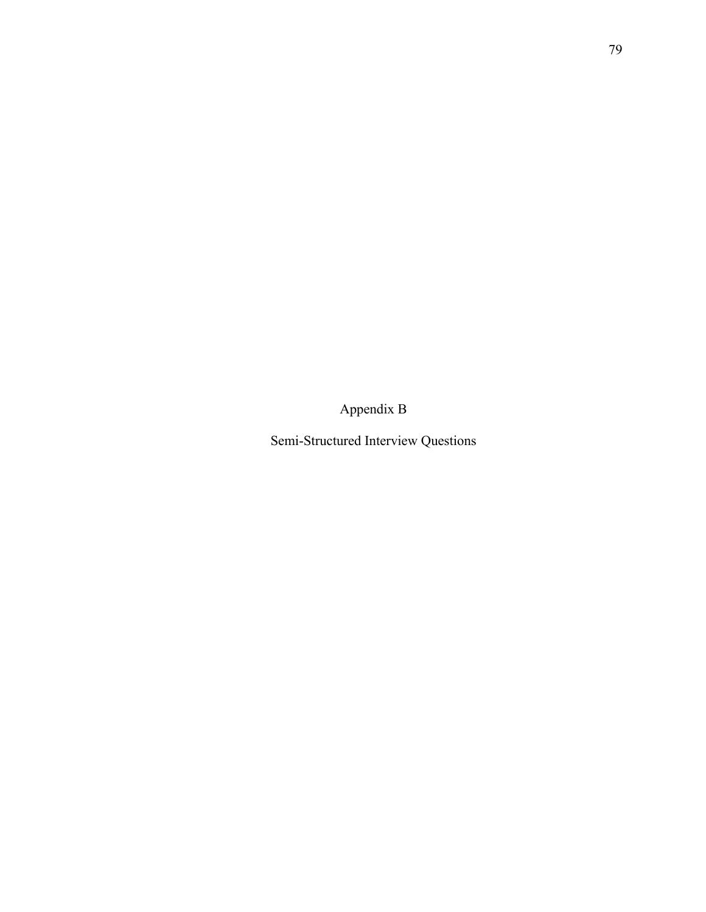Appendix B

Semi-Structured Interview Questions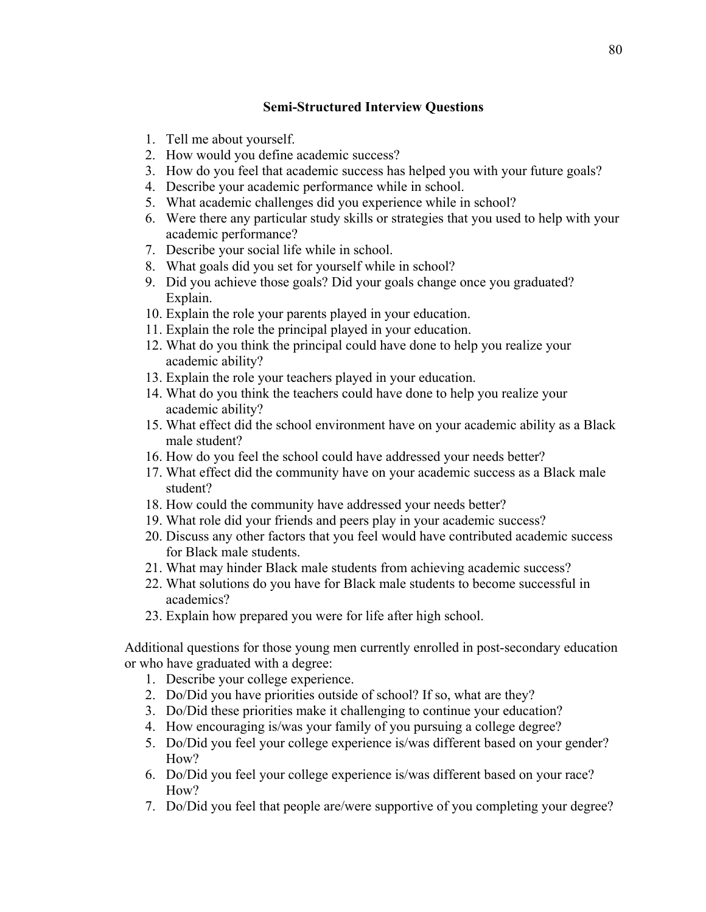## **Semi-Structured Interview Questions**

- 1. Tell me about yourself.
- 2. How would you define academic success?
- 3. How do you feel that academic success has helped you with your future goals?
- 4. Describe your academic performance while in school.
- 5. What academic challenges did you experience while in school?
- 6. Were there any particular study skills or strategies that you used to help with your academic performance?
- 7. Describe your social life while in school.
- 8. What goals did you set for yourself while in school?
- 9. Did you achieve those goals? Did your goals change once you graduated? Explain.
- 10. Explain the role your parents played in your education.
- 11. Explain the role the principal played in your education.
- 12. What do you think the principal could have done to help you realize your academic ability?
- 13. Explain the role your teachers played in your education.
- 14. What do you think the teachers could have done to help you realize your academic ability?
- 15. What effect did the school environment have on your academic ability as a Black male student?
- 16. How do you feel the school could have addressed your needs better?
- 17. What effect did the community have on your academic success as a Black male student?
- 18. How could the community have addressed your needs better?
- 19. What role did your friends and peers play in your academic success?
- 20. Discuss any other factors that you feel would have contributed academic success for Black male students.
- 21. What may hinder Black male students from achieving academic success?
- 22. What solutions do you have for Black male students to become successful in academics?
- 23. Explain how prepared you were for life after high school.

Additional questions for those young men currently enrolled in post-secondary education or who have graduated with a degree:

- 1. Describe your college experience.
- 2. Do/Did you have priorities outside of school? If so, what are they?
- 3. Do/Did these priorities make it challenging to continue your education?
- 4. How encouraging is/was your family of you pursuing a college degree?
- 5. Do/Did you feel your college experience is/was different based on your gender? How?
- 6. Do/Did you feel your college experience is/was different based on your race? How?
- 7. Do/Did you feel that people are/were supportive of you completing your degree?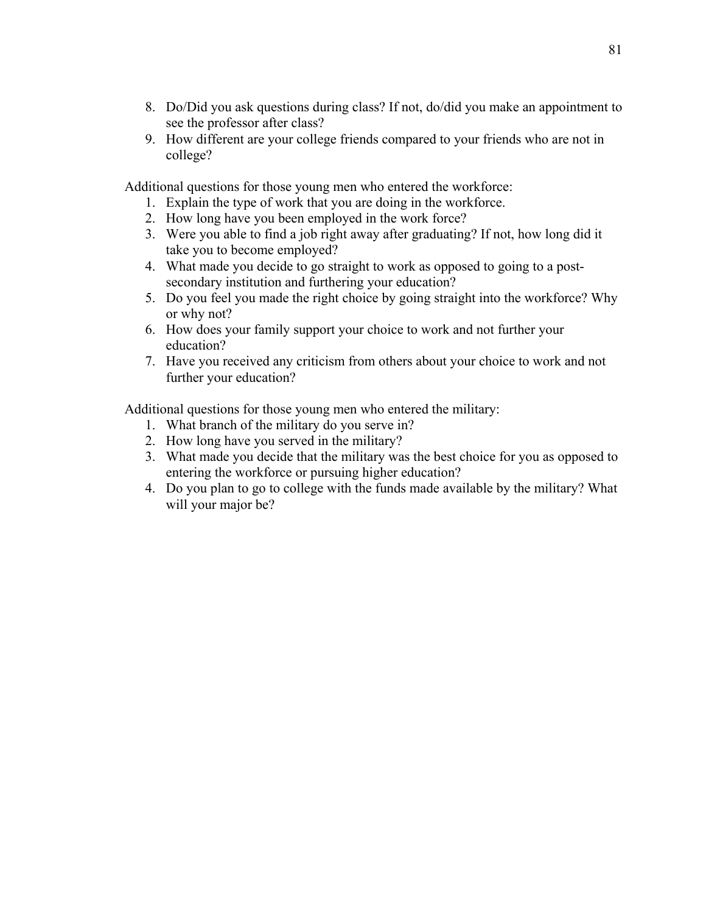- 8. Do/Did you ask questions during class? If not, do/did you make an appointment to see the professor after class?
- 9. How different are your college friends compared to your friends who are not in college?

Additional questions for those young men who entered the workforce:

- 1. Explain the type of work that you are doing in the workforce.
- 2. How long have you been employed in the work force?
- 3. Were you able to find a job right away after graduating? If not, how long did it take you to become employed?
- 4. What made you decide to go straight to work as opposed to going to a postsecondary institution and furthering your education?
- 5. Do you feel you made the right choice by going straight into the workforce? Why or why not?
- 6. How does your family support your choice to work and not further your education?
- 7. Have you received any criticism from others about your choice to work and not further your education?

Additional questions for those young men who entered the military:

- 1. What branch of the military do you serve in?
- 2. How long have you served in the military?
- 3. What made you decide that the military was the best choice for you as opposed to entering the workforce or pursuing higher education?
- 4. Do you plan to go to college with the funds made available by the military? What will your major be?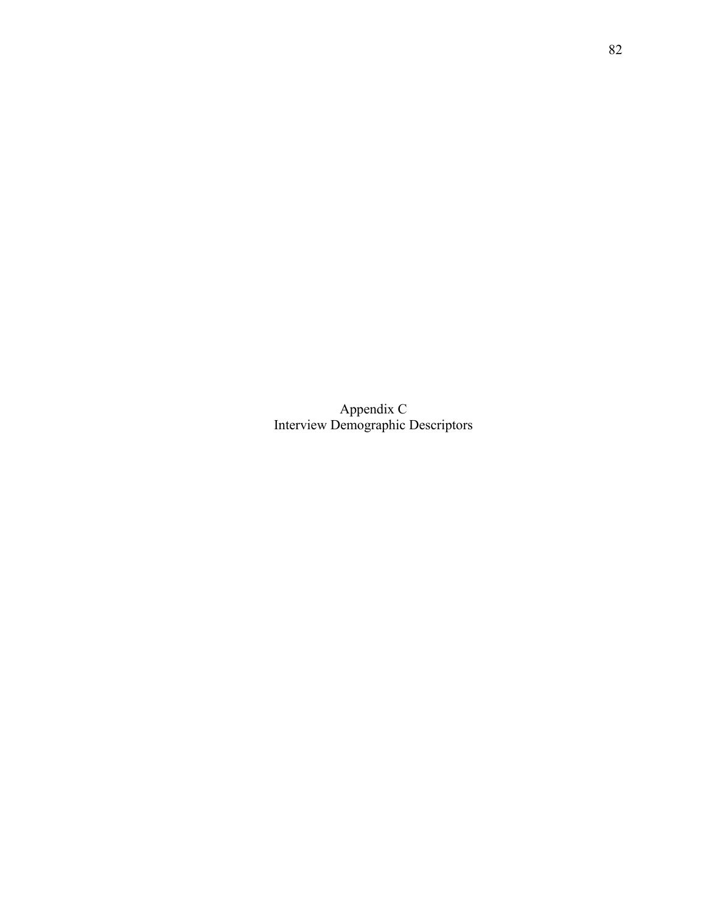Appendix C Interview Demographic Descriptors